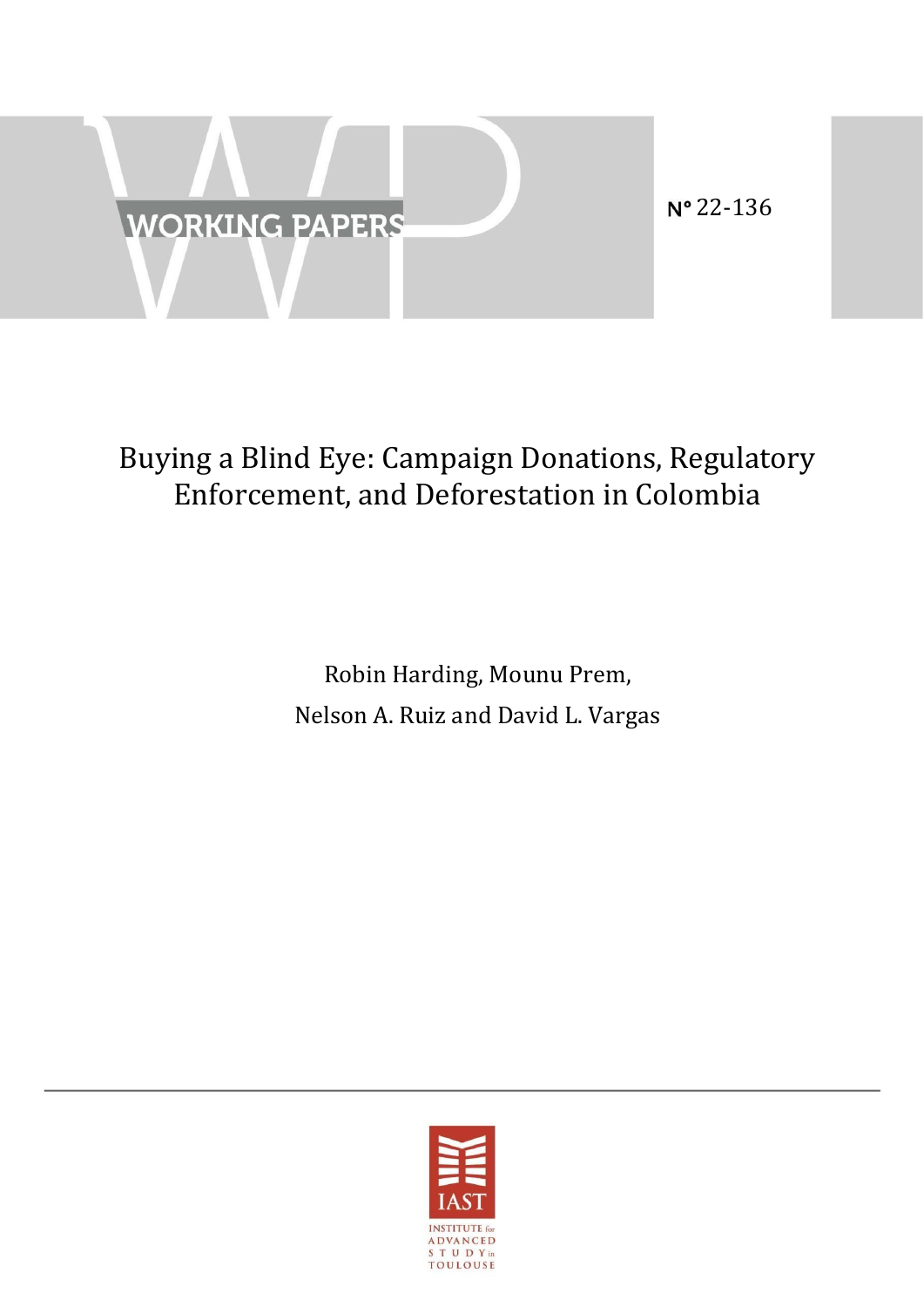

# Buying a Blind Eye: Campaign Donations, Regulatory Enforcement, and Deforestation in Colombia

Robin Harding, Mounu Prem, Nelson A. Ruiz and David L. Vargas

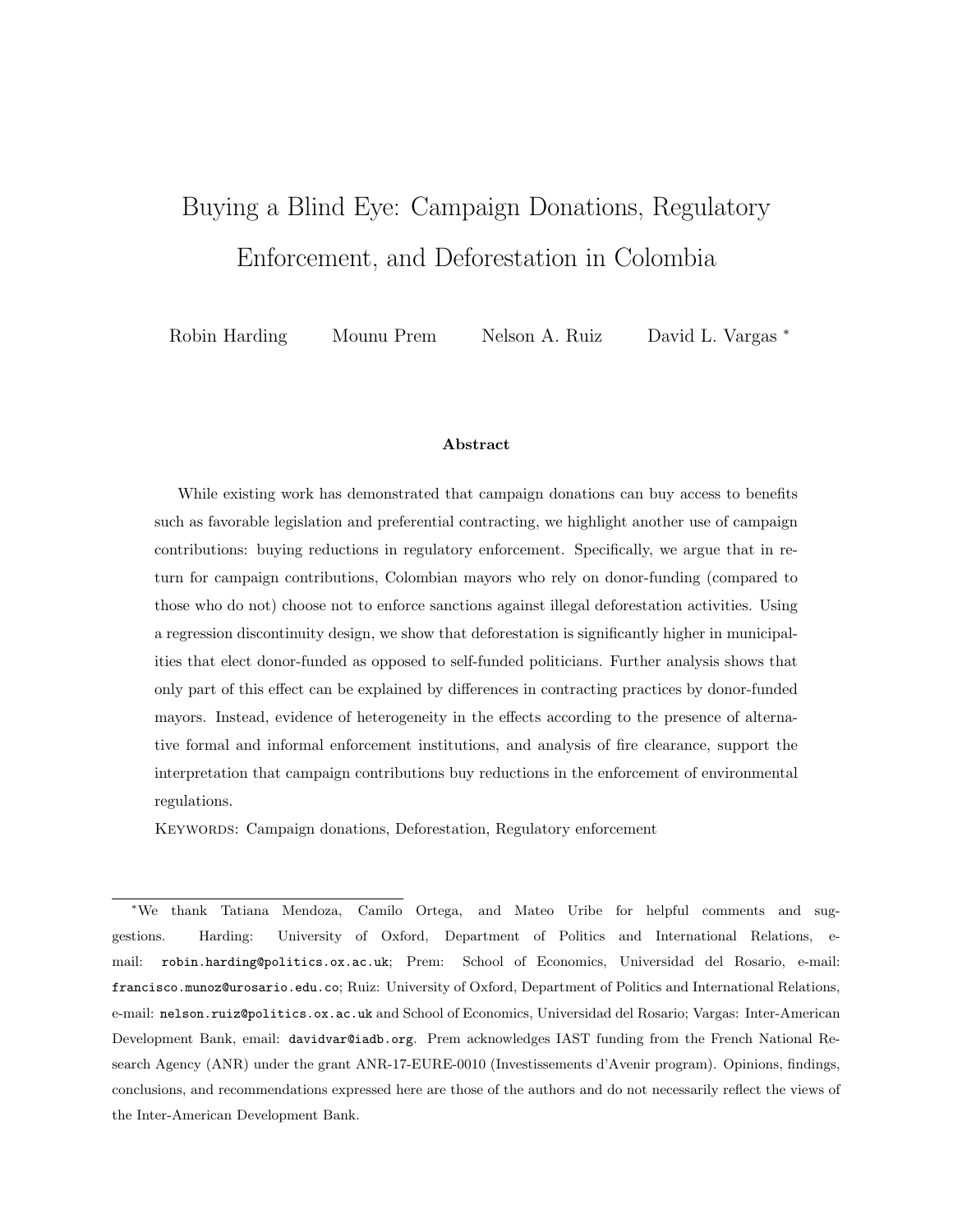# <span id="page-1-0"></span>Buying a Blind Eye: Campaign Donations, Regulatory Enforcement, and Deforestation in Colombia

Robin Harding Mounu Prem Nelson A. Ruiz David L. Vargas <sup>∗</sup>

#### Abstract

While existing work has demonstrated that campaign donations can buy access to benefits such as favorable legislation and preferential contracting, we highlight another use of campaign contributions: buying reductions in regulatory enforcement. Specifically, we argue that in return for campaign contributions, Colombian mayors who rely on donor-funding (compared to those who do not) choose not to enforce sanctions against illegal deforestation activities. Using a regression discontinuity design, we show that deforestation is significantly higher in municipalities that elect donor-funded as opposed to self-funded politicians. Further analysis shows that only part of this effect can be explained by differences in contracting practices by donor-funded mayors. Instead, evidence of heterogeneity in the effects according to the presence of alternative formal and informal enforcement institutions, and analysis of fire clearance, support the interpretation that campaign contributions buy reductions in the enforcement of environmental regulations.

KEYWORDS: Campaign donations, Deforestation, Regulatory enforcement

<sup>∗</sup>We thank Tatiana Mendoza, Camilo Ortega, and Mateo Uribe for helpful comments and suggestions. Harding: University of Oxford, Department of Politics and International Relations, email: robin.harding@politics.ox.ac.uk; Prem: School of Economics, Universidad del Rosario, e-mail: francisco.munoz@urosario.edu.co; Ruiz: University of Oxford, Department of Politics and International Relations, e-mail: nelson.ruiz@politics.ox.ac.uk and School of Economics, Universidad del Rosario; Vargas: Inter-American Development Bank, email: davidvar@iadb.org. Prem acknowledges IAST funding from the French National Research Agency (ANR) under the grant ANR-17-EURE-0010 (Investissements d'Avenir program). Opinions, findings, conclusions, and recommendations expressed here are those of the authors and do not necessarily reflect the views of the Inter-American Development Bank.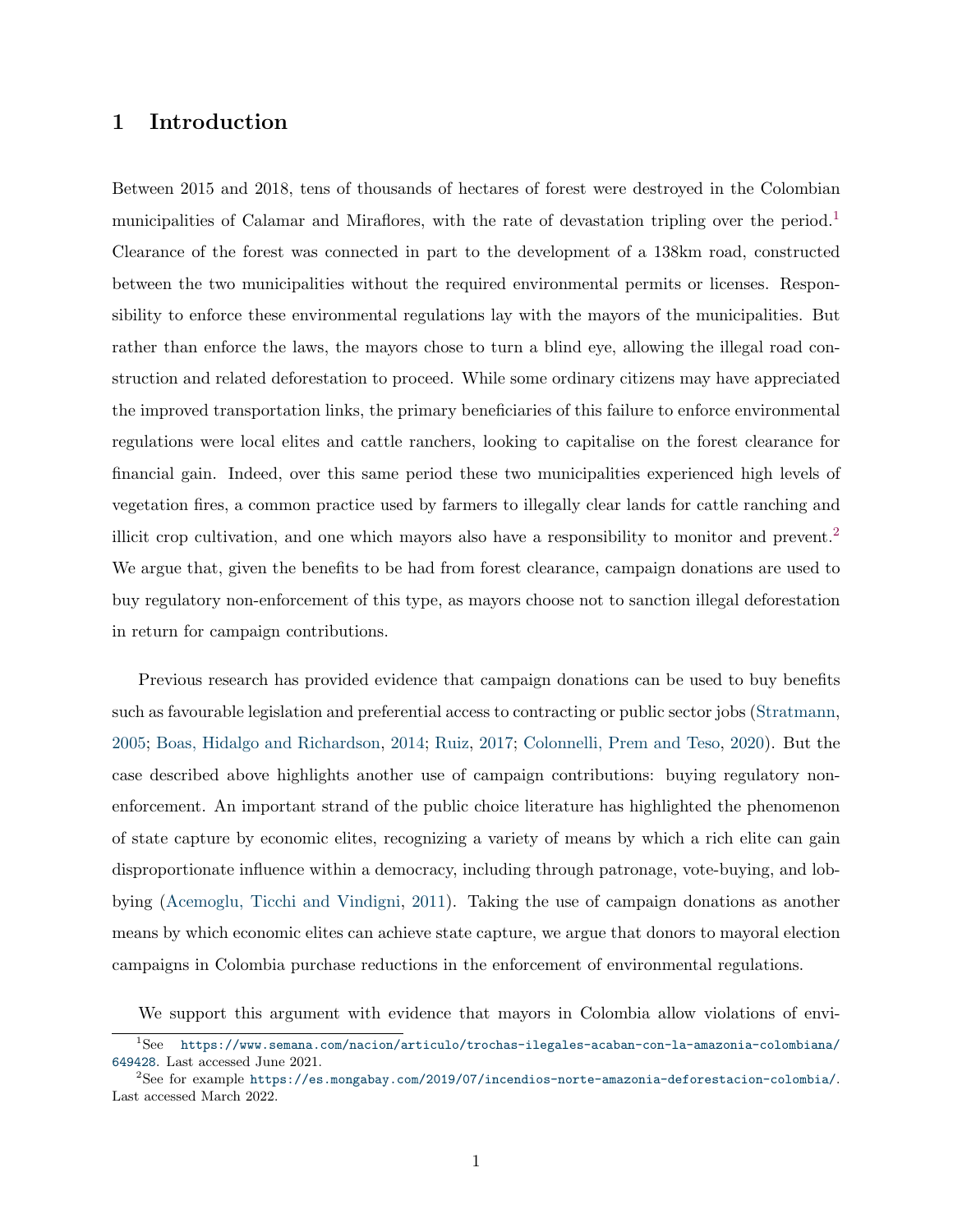### 1 Introduction

Between 2015 and 2018, tens of thousands of hectares of forest were destroyed in the Colombian municipalities of Calamar and Miraflores, with the rate of devastation tripling over the period.<sup>[1](#page-1-0)</sup> Clearance of the forest was connected in part to the development of a 138km road, constructed between the two municipalities without the required environmental permits or licenses. Responsibility to enforce these environmental regulations lay with the mayors of the municipalities. But rather than enforce the laws, the mayors chose to turn a blind eye, allowing the illegal road construction and related deforestation to proceed. While some ordinary citizens may have appreciated the improved transportation links, the primary beneficiaries of this failure to enforce environmental regulations were local elites and cattle ranchers, looking to capitalise on the forest clearance for financial gain. Indeed, over this same period these two municipalities experienced high levels of vegetation fires, a common practice used by farmers to illegally clear lands for cattle ranching and illicit crop cultivation, and one which mayors also have a responsibility to monitor and prevent.[2](#page-1-0) We argue that, given the benefits to be had from forest clearance, campaign donations are used to buy regulatory non-enforcement of this type, as mayors choose not to sanction illegal deforestation in return for campaign contributions.

Previous research has provided evidence that campaign donations can be used to buy benefits such as favourable legislation and preferential access to contracting or public sector jobs [\(Stratmann,](#page-35-0) [2005;](#page-35-0) [Boas, Hidalgo and Richardson,](#page-32-0) [2014;](#page-32-0) [Ruiz,](#page-35-1) [2017;](#page-35-1) [Colonnelli, Prem and Teso,](#page-33-0) [2020\)](#page-33-0). But the case described above highlights another use of campaign contributions: buying regulatory nonenforcement. An important strand of the public choice literature has highlighted the phenomenon of state capture by economic elites, recognizing a variety of means by which a rich elite can gain disproportionate influence within a democracy, including through patronage, vote-buying, and lobbying [\(Acemoglu, Ticchi and Vindigni,](#page-32-1) [2011\)](#page-32-1). Taking the use of campaign donations as another means by which economic elites can achieve state capture, we argue that donors to mayoral election campaigns in Colombia purchase reductions in the enforcement of environmental regulations.

We support this argument with evidence that mayors in Colombia allow violations of envi-

<sup>1</sup>See [https://www.semana.com/nacion/articulo/trochas-ilegales-acaban-con-la-amazonia-colombiana/](https://www.semana.com/nacion/articulo/trochas-ilegales-acaban-con-la-amazonia-colombiana/649428) [649428](https://www.semana.com/nacion/articulo/trochas-ilegales-acaban-con-la-amazonia-colombiana/649428). Last accessed June 2021.

 $^{2}$ See for example <https://es.mongabay.com/2019/07/incendios-norte-amazonia-deforestacion-colombia/>. Last accessed March 2022.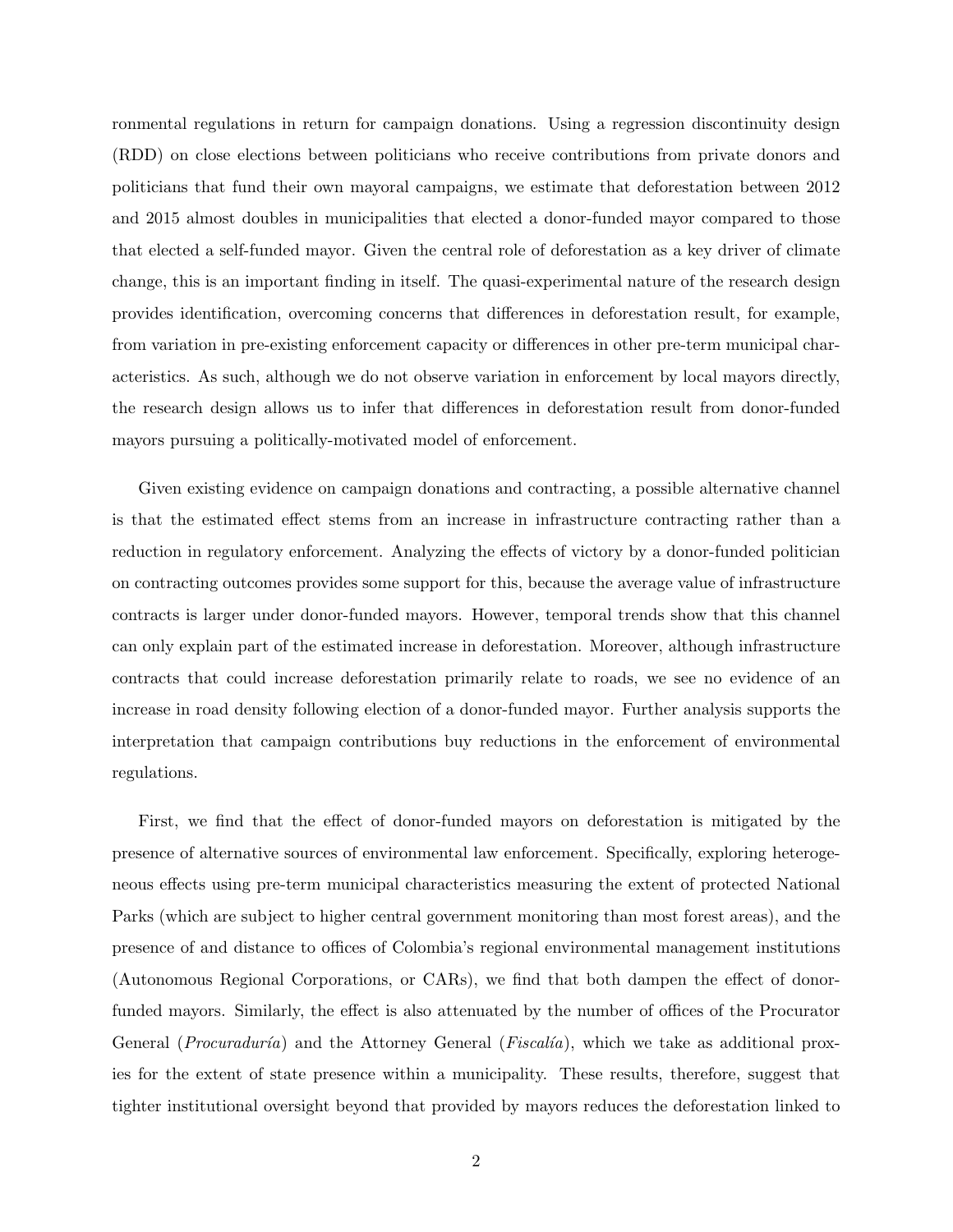ronmental regulations in return for campaign donations. Using a regression discontinuity design (RDD) on close elections between politicians who receive contributions from private donors and politicians that fund their own mayoral campaigns, we estimate that deforestation between 2012 and 2015 almost doubles in municipalities that elected a donor-funded mayor compared to those that elected a self-funded mayor. Given the central role of deforestation as a key driver of climate change, this is an important finding in itself. The quasi-experimental nature of the research design provides identification, overcoming concerns that differences in deforestation result, for example, from variation in pre-existing enforcement capacity or differences in other pre-term municipal characteristics. As such, although we do not observe variation in enforcement by local mayors directly, the research design allows us to infer that differences in deforestation result from donor-funded mayors pursuing a politically-motivated model of enforcement.

Given existing evidence on campaign donations and contracting, a possible alternative channel is that the estimated effect stems from an increase in infrastructure contracting rather than a reduction in regulatory enforcement. Analyzing the effects of victory by a donor-funded politician on contracting outcomes provides some support for this, because the average value of infrastructure contracts is larger under donor-funded mayors. However, temporal trends show that this channel can only explain part of the estimated increase in deforestation. Moreover, although infrastructure contracts that could increase deforestation primarily relate to roads, we see no evidence of an increase in road density following election of a donor-funded mayor. Further analysis supports the interpretation that campaign contributions buy reductions in the enforcement of environmental regulations.

First, we find that the effect of donor-funded mayors on deforestation is mitigated by the presence of alternative sources of environmental law enforcement. Specifically, exploring heterogeneous effects using pre-term municipal characteristics measuring the extent of protected National Parks (which are subject to higher central government monitoring than most forest areas), and the presence of and distance to offices of Colombia's regional environmental management institutions (Autonomous Regional Corporations, or CARs), we find that both dampen the effect of donorfunded mayors. Similarly, the effect is also attenuated by the number of offices of the Procurator General (*Procuraduría*) and the Attorney General (*Fiscalía*), which we take as additional proxies for the extent of state presence within a municipality. These results, therefore, suggest that tighter institutional oversight beyond that provided by mayors reduces the deforestation linked to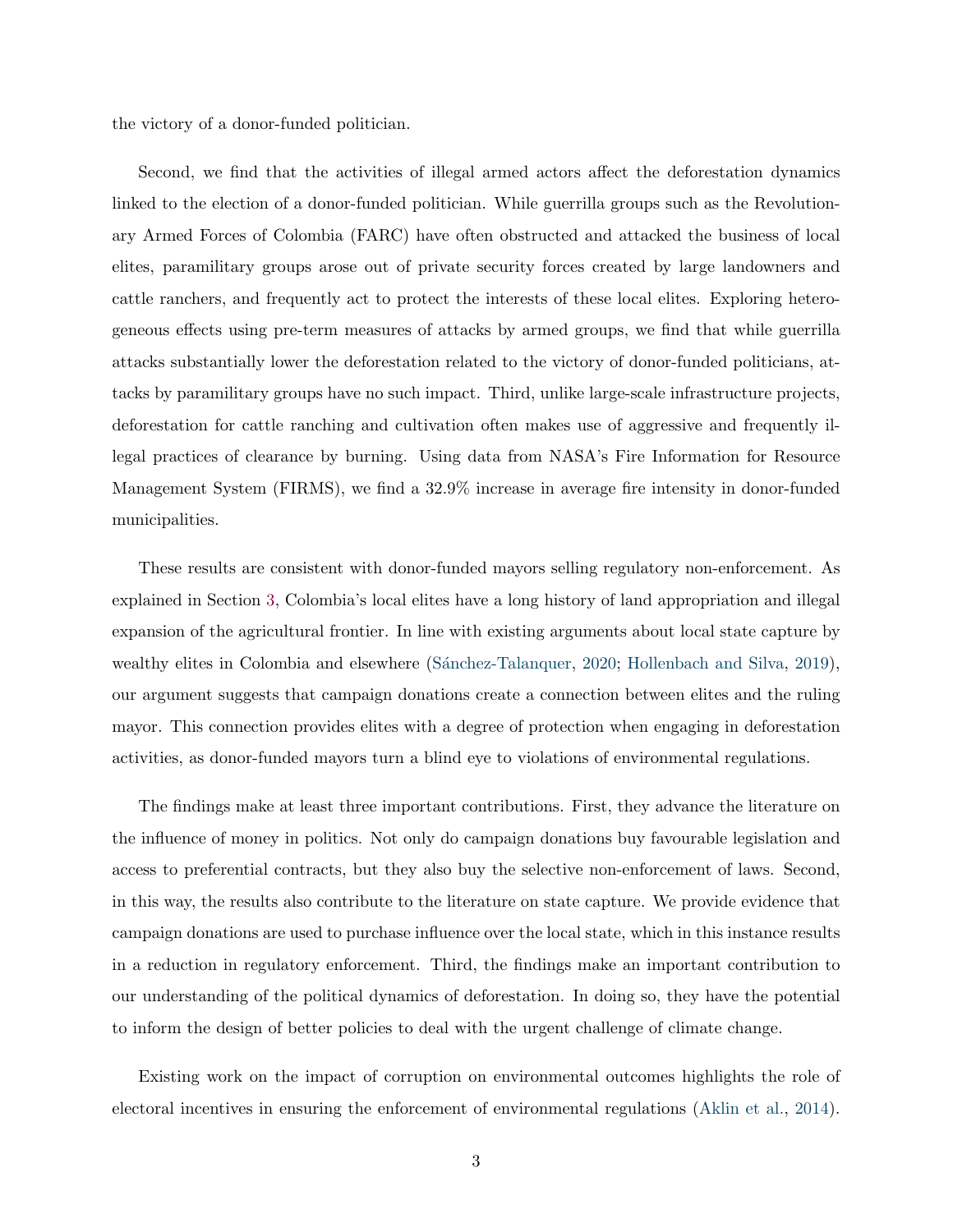the victory of a donor-funded politician.

Second, we find that the activities of illegal armed actors affect the deforestation dynamics linked to the election of a donor-funded politician. While guerrilla groups such as the Revolutionary Armed Forces of Colombia (FARC) have often obstructed and attacked the business of local elites, paramilitary groups arose out of private security forces created by large landowners and cattle ranchers, and frequently act to protect the interests of these local elites. Exploring heterogeneous effects using pre-term measures of attacks by armed groups, we find that while guerrilla attacks substantially lower the deforestation related to the victory of donor-funded politicians, attacks by paramilitary groups have no such impact. Third, unlike large-scale infrastructure projects, deforestation for cattle ranching and cultivation often makes use of aggressive and frequently illegal practices of clearance by burning. Using data from NASA's Fire Information for Resource Management System (FIRMS), we find a 32.9% increase in average fire intensity in donor-funded municipalities.

These results are consistent with donor-funded mayors selling regulatory non-enforcement. As explained in Section [3,](#page-8-0) Colombia's local elites have a long history of land appropriation and illegal expansion of the agricultural frontier. In line with existing arguments about local state capture by wealthy elites in Colombia and elsewhere (Sánchez-Talanquer, [2020;](#page-35-2) [Hollenbach and Silva,](#page-34-0) [2019\)](#page-34-0), our argument suggests that campaign donations create a connection between elites and the ruling mayor. This connection provides elites with a degree of protection when engaging in deforestation activities, as donor-funded mayors turn a blind eye to violations of environmental regulations.

The findings make at least three important contributions. First, they advance the literature on the influence of money in politics. Not only do campaign donations buy favourable legislation and access to preferential contracts, but they also buy the selective non-enforcement of laws. Second, in this way, the results also contribute to the literature on state capture. We provide evidence that campaign donations are used to purchase influence over the local state, which in this instance results in a reduction in regulatory enforcement. Third, the findings make an important contribution to our understanding of the political dynamics of deforestation. In doing so, they have the potential to inform the design of better policies to deal with the urgent challenge of climate change.

Existing work on the impact of corruption on environmental outcomes highlights the role of electoral incentives in ensuring the enforcement of environmental regulations [\(Aklin et al.,](#page-32-2) [2014\)](#page-32-2).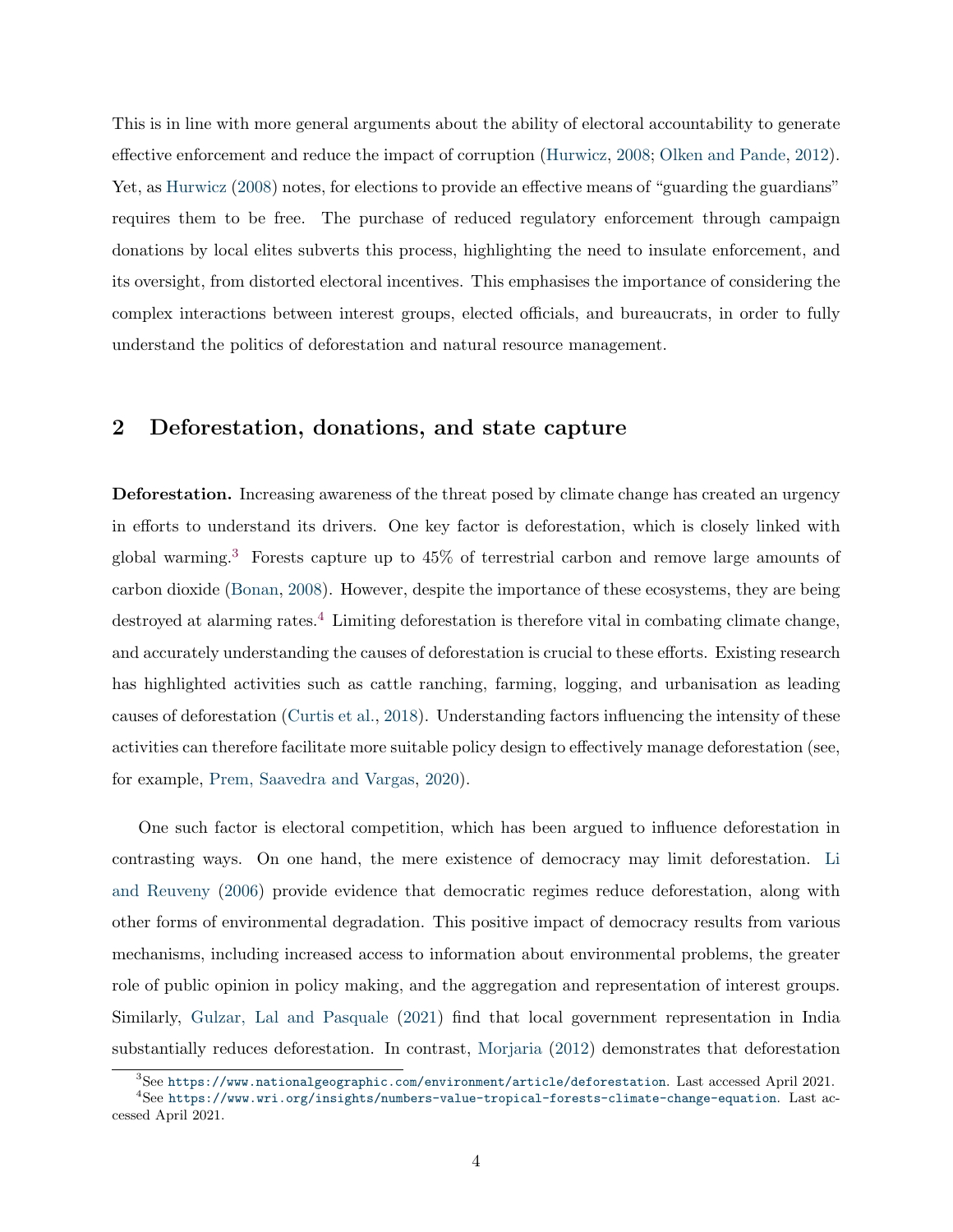This is in line with more general arguments about the ability of electoral accountability to generate effective enforcement and reduce the impact of corruption [\(Hurwicz,](#page-34-1) [2008;](#page-34-1) [Olken and Pande,](#page-35-3) [2012\)](#page-35-3). Yet, as [Hurwicz](#page-34-1) [\(2008\)](#page-34-1) notes, for elections to provide an effective means of "guarding the guardians" requires them to be free. The purchase of reduced regulatory enforcement through campaign donations by local elites subverts this process, highlighting the need to insulate enforcement, and its oversight, from distorted electoral incentives. This emphasises the importance of considering the complex interactions between interest groups, elected officials, and bureaucrats, in order to fully understand the politics of deforestation and natural resource management.

### 2 Deforestation, donations, and state capture

Deforestation. Increasing awareness of the threat posed by climate change has created an urgency in efforts to understand its drivers. One key factor is deforestation, which is closely linked with global warming.[3](#page-1-0) Forests capture up to 45% of terrestrial carbon and remove large amounts of carbon dioxide [\(Bonan,](#page-32-3) [2008\)](#page-32-3). However, despite the importance of these ecosystems, they are being destroyed at alarming rates.[4](#page-1-0) Limiting deforestation is therefore vital in combating climate change, and accurately understanding the causes of deforestation is crucial to these efforts. Existing research has highlighted activities such as cattle ranching, farming, logging, and urbanisation as leading causes of deforestation [\(Curtis et al.,](#page-33-1) [2018\)](#page-33-1). Understanding factors influencing the intensity of these activities can therefore facilitate more suitable policy design to effectively manage deforestation (see, for example, [Prem, Saavedra and Vargas,](#page-35-4) [2020\)](#page-35-4).

One such factor is electoral competition, which has been argued to influence deforestation in contrasting ways. On one hand, the mere existence of democracy may limit deforestation. [Li](#page-34-2) [and Reuveny](#page-34-2) [\(2006\)](#page-34-2) provide evidence that democratic regimes reduce deforestation, along with other forms of environmental degradation. This positive impact of democracy results from various mechanisms, including increased access to information about environmental problems, the greater role of public opinion in policy making, and the aggregation and representation of interest groups. Similarly, [Gulzar, Lal and Pasquale](#page-33-2) [\(2021\)](#page-33-2) find that local government representation in India substantially reduces deforestation. In contrast, [Morjaria](#page-35-5) [\(2012\)](#page-35-5) demonstrates that deforestation

 ${}^{3}$ See <https://www.nationalgeographic.com/environment/article/deforestation>. Last accessed April 2021.

<sup>4</sup>See <https://www.wri.org/insights/numbers-value-tropical-forests-climate-change-equation>. Last accessed April 2021.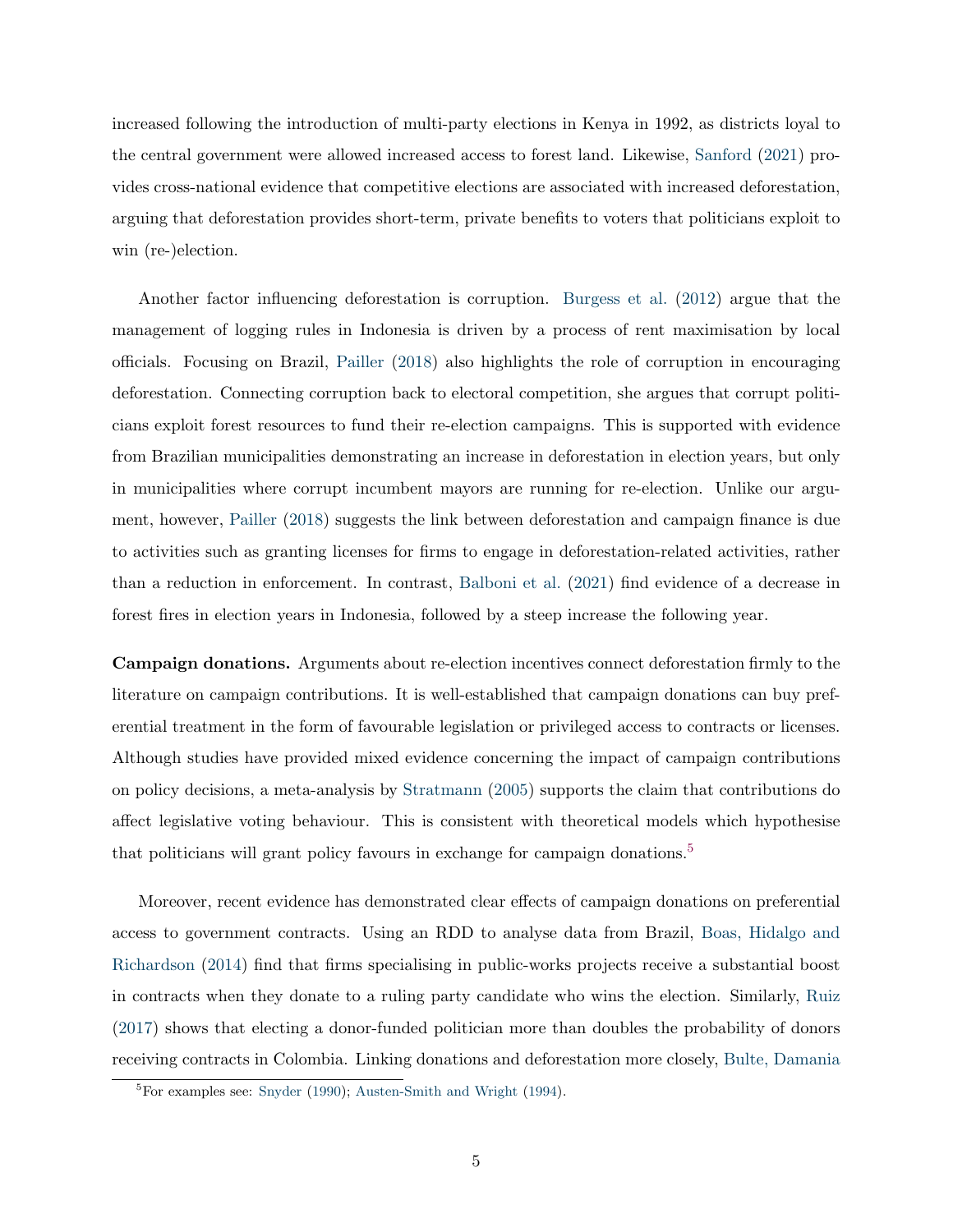increased following the introduction of multi-party elections in Kenya in 1992, as districts loyal to the central government were allowed increased access to forest land. Likewise, [Sanford](#page-35-6) [\(2021\)](#page-35-6) provides cross-national evidence that competitive elections are associated with increased deforestation, arguing that deforestation provides short-term, private benefits to voters that politicians exploit to win (re-)election.

Another factor influencing deforestation is corruption. [Burgess et al.](#page-33-3) [\(2012\)](#page-33-3) argue that the management of logging rules in Indonesia is driven by a process of rent maximisation by local officials. Focusing on Brazil, [Pailler](#page-35-7) [\(2018\)](#page-35-7) also highlights the role of corruption in encouraging deforestation. Connecting corruption back to electoral competition, she argues that corrupt politicians exploit forest resources to fund their re-election campaigns. This is supported with evidence from Brazilian municipalities demonstrating an increase in deforestation in election years, but only in municipalities where corrupt incumbent mayors are running for re-election. Unlike our argument, however, [Pailler](#page-35-7) [\(2018\)](#page-35-7) suggests the link between deforestation and campaign finance is due to activities such as granting licenses for firms to engage in deforestation-related activities, rather than a reduction in enforcement. In contrast, [Balboni et al.](#page-32-4) [\(2021\)](#page-32-4) find evidence of a decrease in forest fires in election years in Indonesia, followed by a steep increase the following year.

Campaign donations. Arguments about re-election incentives connect deforestation firmly to the literature on campaign contributions. It is well-established that campaign donations can buy preferential treatment in the form of favourable legislation or privileged access to contracts or licenses. Although studies have provided mixed evidence concerning the impact of campaign contributions on policy decisions, a meta-analysis by [Stratmann](#page-35-0) [\(2005\)](#page-35-0) supports the claim that contributions do affect legislative voting behaviour. This is consistent with theoretical models which hypothesise that politicians will grant policy favours in exchange for campaign donations.<sup>[5](#page-1-0)</sup>

Moreover, recent evidence has demonstrated clear effects of campaign donations on preferential access to government contracts. Using an RDD to analyse data from Brazil, [Boas, Hidalgo and](#page-32-0) [Richardson](#page-32-0) [\(2014\)](#page-32-0) find that firms specialising in public-works projects receive a substantial boost in contracts when they donate to a ruling party candidate who wins the election. Similarly, [Ruiz](#page-35-1) [\(2017\)](#page-35-1) shows that electing a donor-funded politician more than doubles the probability of donors receiving contracts in Colombia. Linking donations and deforestation more closely, [Bulte, Damania](#page-32-5)

<sup>5</sup>For examples see: [Snyder](#page-35-8) [\(1990\)](#page-35-8); [Austen-Smith and Wright](#page-32-5) [\(1994\)](#page-32-6).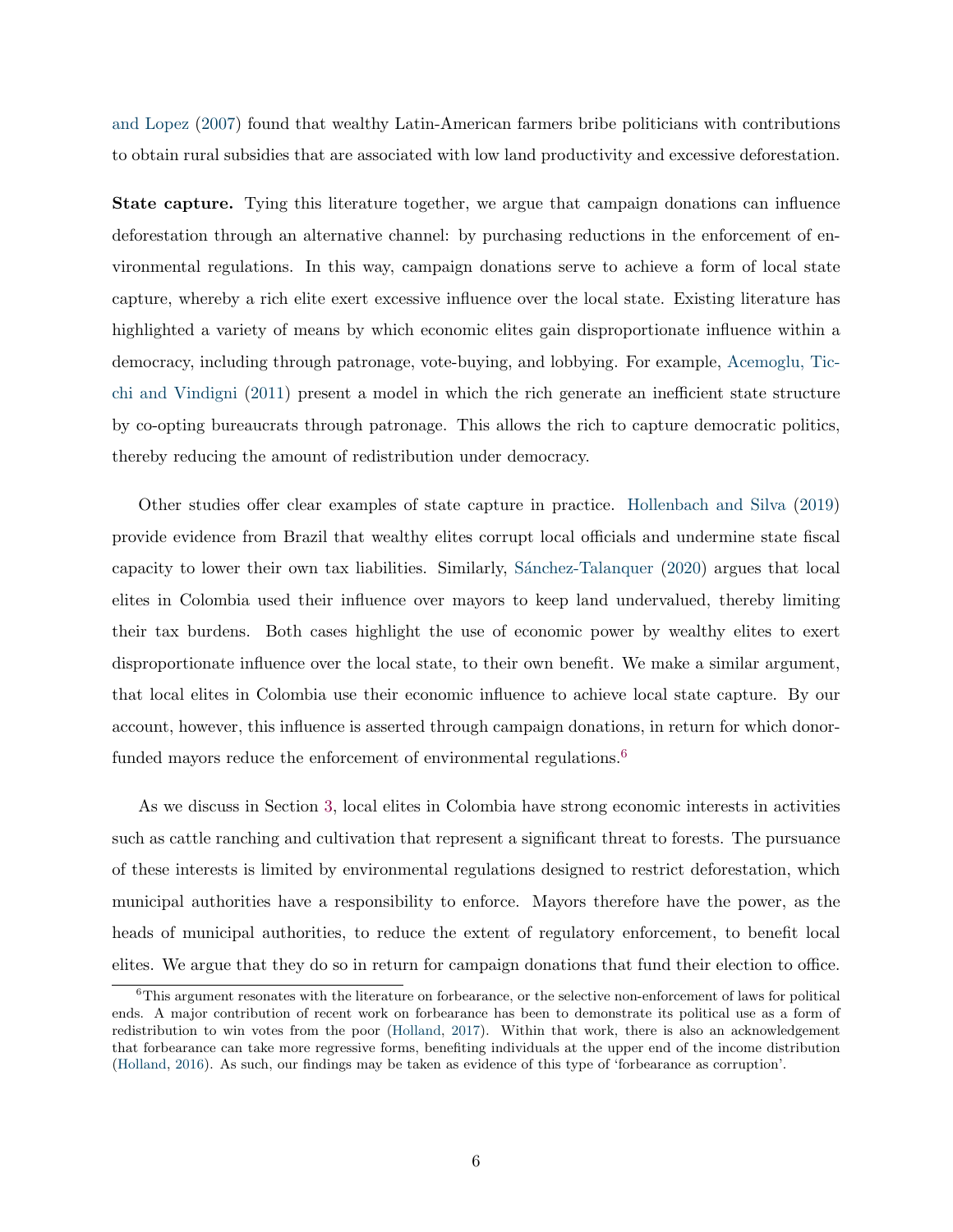[and Lopez](#page-32-5) [\(2007\)](#page-32-5) found that wealthy Latin-American farmers bribe politicians with contributions to obtain rural subsidies that are associated with low land productivity and excessive deforestation.

State capture. Tying this literature together, we argue that campaign donations can influence deforestation through an alternative channel: by purchasing reductions in the enforcement of environmental regulations. In this way, campaign donations serve to achieve a form of local state capture, whereby a rich elite exert excessive influence over the local state. Existing literature has highlighted a variety of means by which economic elites gain disproportionate influence within a democracy, including through patronage, vote-buying, and lobbying. For example, [Acemoglu, Tic](#page-32-1)[chi and Vindigni](#page-32-1) [\(2011\)](#page-32-1) present a model in which the rich generate an inefficient state structure by co-opting bureaucrats through patronage. This allows the rich to capture democratic politics, thereby reducing the amount of redistribution under democracy.

Other studies offer clear examples of state capture in practice. [Hollenbach and Silva](#page-34-0) [\(2019\)](#page-34-0) provide evidence from Brazil that wealthy elites corrupt local officials and undermine state fiscal capacity to lower their own tax liabilities. Similarly, Sánchez-Talanquer [\(2020\)](#page-35-2) argues that local elites in Colombia used their influence over mayors to keep land undervalued, thereby limiting their tax burdens. Both cases highlight the use of economic power by wealthy elites to exert disproportionate influence over the local state, to their own benefit. We make a similar argument, that local elites in Colombia use their economic influence to achieve local state capture. By our account, however, this influence is asserted through campaign donations, in return for which donor-funded mayors reduce the enforcement of environmental regulations.<sup>[6](#page-1-0)</sup>

As we discuss in Section [3,](#page-8-0) local elites in Colombia have strong economic interests in activities such as cattle ranching and cultivation that represent a significant threat to forests. The pursuance of these interests is limited by environmental regulations designed to restrict deforestation, which municipal authorities have a responsibility to enforce. Mayors therefore have the power, as the heads of municipal authorities, to reduce the extent of regulatory enforcement, to benefit local elites. We argue that they do so in return for campaign donations that fund their election to office.

 $6$ This argument resonates with the literature on forbearance, or the selective non-enforcement of laws for political ends. A major contribution of recent work on forbearance has been to demonstrate its political use as a form of redistribution to win votes from the poor [\(Holland,](#page-34-3) [2017\)](#page-34-3). Within that work, there is also an acknowledgement that forbearance can take more regressive forms, benefiting individuals at the upper end of the income distribution [\(Holland,](#page-34-4) [2016\)](#page-34-4). As such, our findings may be taken as evidence of this type of 'forbearance as corruption'.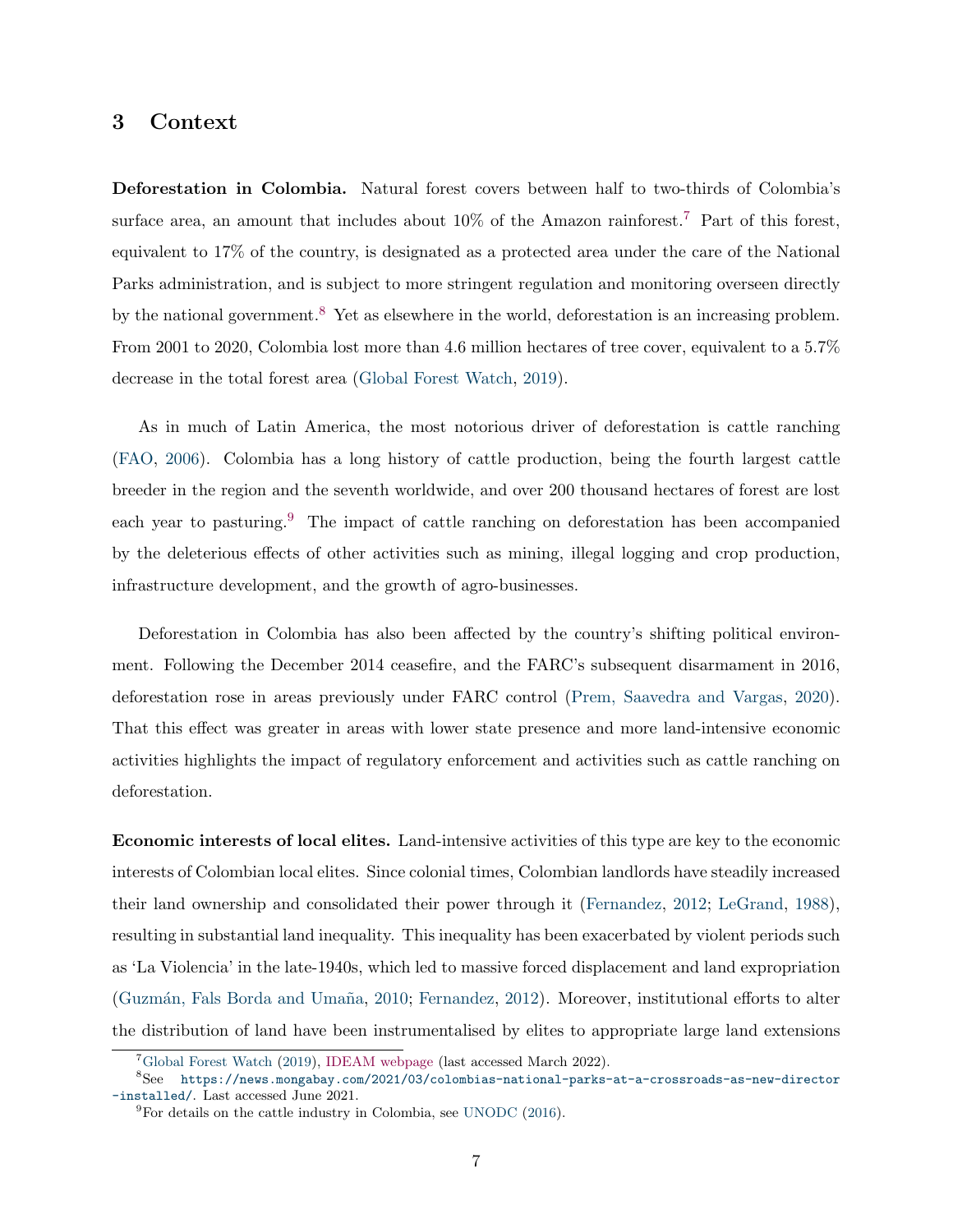### <span id="page-8-0"></span>3 Context

Deforestation in Colombia. Natural forest covers between half to two-thirds of Colombia's surface area, an amount that includes about  $10\%$  of the Amazon rainforest.<sup>[7](#page-1-0)</sup> Part of this forest, equivalent to 17% of the country, is designated as a protected area under the care of the National Parks administration, and is subject to more stringent regulation and monitoring overseen directly by the national government.<sup>[8](#page-1-0)</sup> Yet as elsewhere in the world, deforestation is an increasing problem. From 2001 to 2020, Colombia lost more than 4.6 million hectares of tree cover, equivalent to a 5.7% decrease in the total forest area [\(Global Forest Watch,](#page-33-4) [2019\)](#page-33-4).

As in much of Latin America, the most notorious driver of deforestation is cattle ranching [\(FAO,](#page-33-5) [2006\)](#page-33-5). Colombia has a long history of cattle production, being the fourth largest cattle breeder in the region and the seventh worldwide, and over 200 thousand hectares of forest are lost each year to pasturing.<sup>[9](#page-1-0)</sup> The impact of cattle ranching on deforestation has been accompanied by the deleterious effects of other activities such as mining, illegal logging and crop production, infrastructure development, and the growth of agro-businesses.

Deforestation in Colombia has also been affected by the country's shifting political environment. Following the December 2014 ceasefire, and the FARC's subsequent disarmament in 2016, deforestation rose in areas previously under FARC control [\(Prem, Saavedra and Vargas,](#page-35-4) [2020\)](#page-35-4). That this effect was greater in areas with lower state presence and more land-intensive economic activities highlights the impact of regulatory enforcement and activities such as cattle ranching on deforestation.

Economic interests of local elites. Land-intensive activities of this type are key to the economic interests of Colombian local elites. Since colonial times, Colombian landlords have steadily increased their land ownership and consolidated their power through it [\(Fernandez,](#page-33-6) [2012;](#page-33-6) [LeGrand,](#page-34-5) [1988\)](#page-34-5), resulting in substantial land inequality. This inequality has been exacerbated by violent periods such as 'La Violencia' in the late-1940s, which led to massive forced displacement and land expropriation (Guzmán, Fals Borda and Umaña, [2010;](#page-34-6) [Fernandez,](#page-33-6) [2012\)](#page-33-6). Moreover, institutional efforts to alter the distribution of land have been instrumentalised by elites to appropriate large land extensions

<sup>7</sup>[Global Forest Watch](#page-33-4) [\(2019\)](#page-33-4), [IDEAM webpage](#page-1-0) (last accessed March 2022).

<sup>8</sup>See [https://news.mongabay.com/2021/03/colombias-national-parks-at-a-crossroads-as-new-director](https://news.mongabay.com/2021/03/colombias-national-parks-at-a-crossroads-as-new-director-installed/) [-installed/](https://news.mongabay.com/2021/03/colombias-national-parks-at-a-crossroads-as-new-director-installed/). Last accessed June 2021.

 ${}^{9}$ For details on the cattle industry in Colombia, see [UNODC](#page-35-9) [\(2016\)](#page-35-9).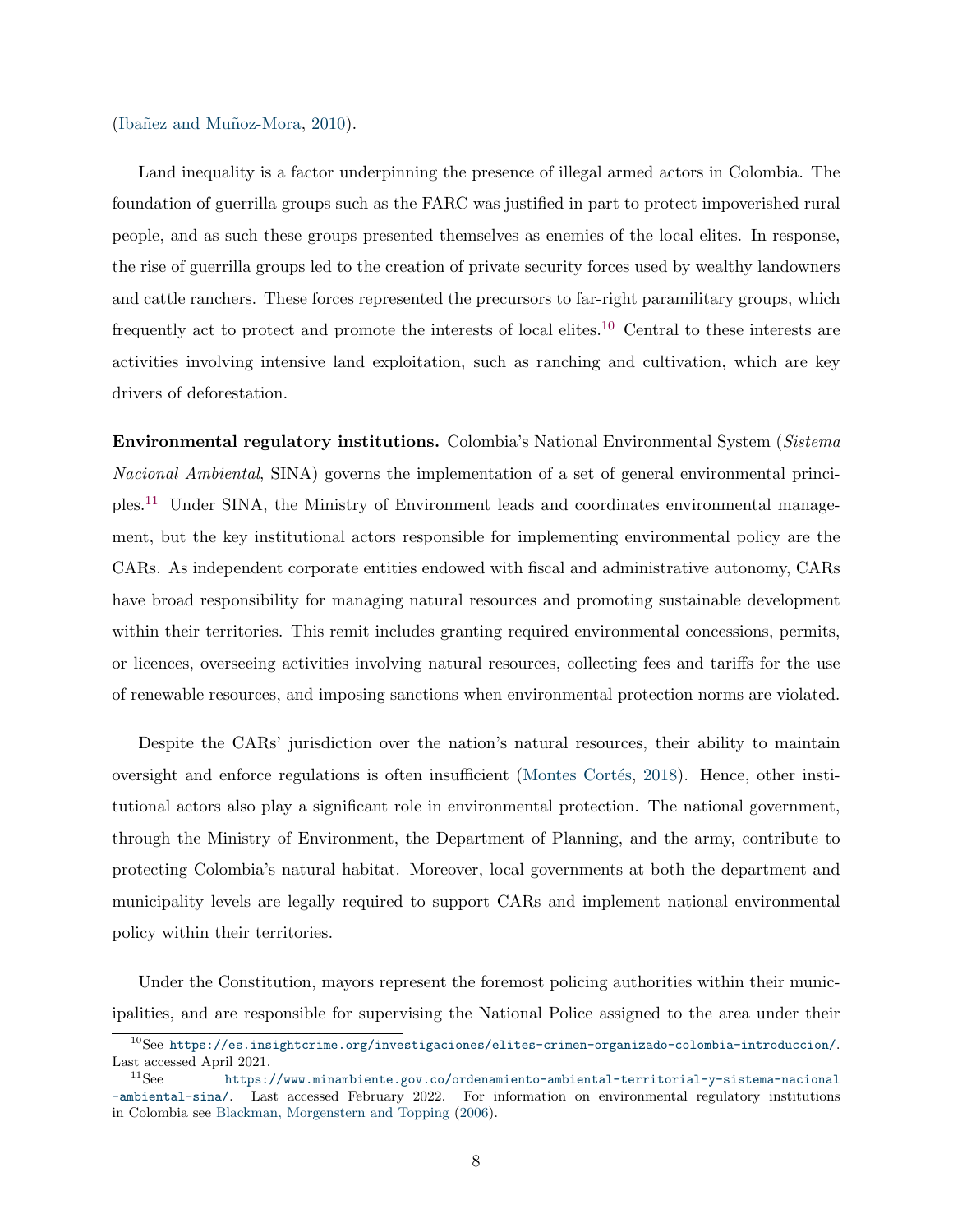#### (Ibañez and Muñoz-Mora, [2010\)](#page-34-7).

Land inequality is a factor underpinning the presence of illegal armed actors in Colombia. The foundation of guerrilla groups such as the FARC was justified in part to protect impoverished rural people, and as such these groups presented themselves as enemies of the local elites. In response, the rise of guerrilla groups led to the creation of private security forces used by wealthy landowners and cattle ranchers. These forces represented the precursors to far-right paramilitary groups, which frequently act to protect and promote the interests of local elites.[10](#page-1-0) Central to these interests are activities involving intensive land exploitation, such as ranching and cultivation, which are key drivers of deforestation.

Environmental regulatory institutions. Colombia's National Environmental System (Sistema Nacional Ambiental, SINA) governs the implementation of a set of general environmental principles.[11](#page-1-0) Under SINA, the Ministry of Environment leads and coordinates environmental management, but the key institutional actors responsible for implementing environmental policy are the CARs. As independent corporate entities endowed with fiscal and administrative autonomy, CARs have broad responsibility for managing natural resources and promoting sustainable development within their territories. This remit includes granting required environmental concessions, permits, or licences, overseeing activities involving natural resources, collecting fees and tariffs for the use of renewable resources, and imposing sanctions when environmental protection norms are violated.

Despite the CARs' jurisdiction over the nation's natural resources, their ability to maintain oversight and enforce regulations is often insufficient (Montes Cortés, [2018\)](#page-34-8). Hence, other institutional actors also play a significant role in environmental protection. The national government, through the Ministry of Environment, the Department of Planning, and the army, contribute to protecting Colombia's natural habitat. Moreover, local governments at both the department and municipality levels are legally required to support CARs and implement national environmental policy within their territories.

Under the Constitution, mayors represent the foremost policing authorities within their municipalities, and are responsible for supervising the National Police assigned to the area under their

 $^{10}\text{See }\text{https://es.insignificant.crg/investigaciones/eltes-crimen-organizado-colombia-introduction/.}$ Last accessed April 2021.<br> $\frac{11}{2}$ See https:

[https://www.minambiente.gov.co/ordenamiento-ambiental-territorial-y-sistema-nacional](https://www.minambiente.gov.co/ordenamiento-ambiental-territorial-y-sistema-nacional-ambiental-sina/) [-ambiental-sina/](https://www.minambiente.gov.co/ordenamiento-ambiental-territorial-y-sistema-nacional-ambiental-sina/). Last accessed February 2022. For information on environmental regulatory institutions in Colombia see [Blackman, Morgenstern and Topping](#page-32-7) [\(2006\)](#page-32-7).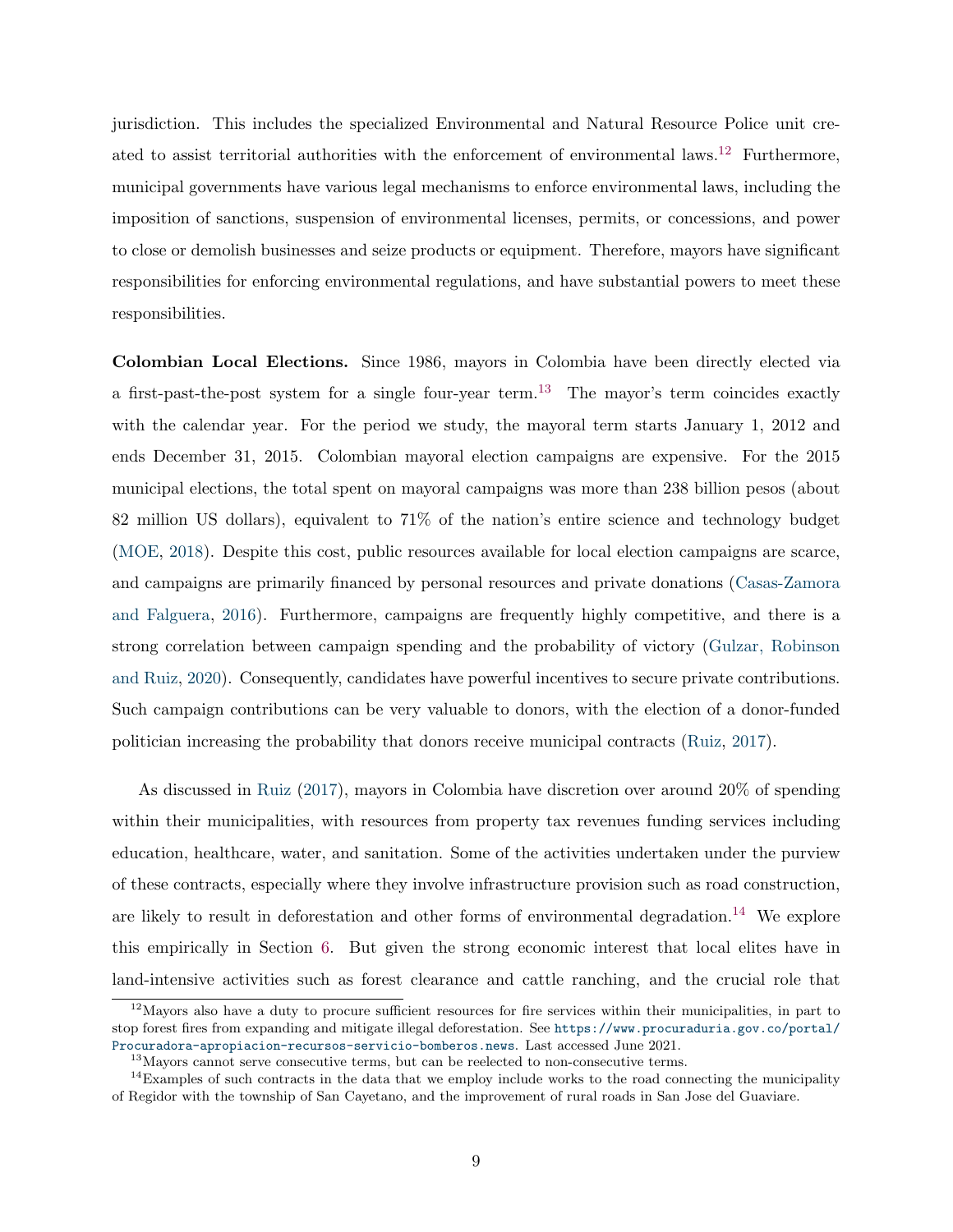jurisdiction. This includes the specialized Environmental and Natural Resource Police unit created to assist territorial authorities with the enforcement of environmental laws.[12](#page-1-0) Furthermore, municipal governments have various legal mechanisms to enforce environmental laws, including the imposition of sanctions, suspension of environmental licenses, permits, or concessions, and power to close or demolish businesses and seize products or equipment. Therefore, mayors have significant responsibilities for enforcing environmental regulations, and have substantial powers to meet these responsibilities.

Colombian Local Elections. Since 1986, mayors in Colombia have been directly elected via a first-past-the-post system for a single four-year term.<sup>[13](#page-1-0)</sup> The mayor's term coincides exactly with the calendar year. For the period we study, the mayoral term starts January 1, 2012 and ends December 31, 2015. Colombian mayoral election campaigns are expensive. For the 2015 municipal elections, the total spent on mayoral campaigns was more than 238 billion pesos (about 82 million US dollars), equivalent to 71% of the nation's entire science and technology budget [\(MOE,](#page-34-9) [2018\)](#page-34-9). Despite this cost, public resources available for local election campaigns are scarce, and campaigns are primarily financed by personal resources and private donations [\(Casas-Zamora](#page-33-7) [and Falguera,](#page-33-7) [2016\)](#page-33-7). Furthermore, campaigns are frequently highly competitive, and there is a strong correlation between campaign spending and the probability of victory [\(Gulzar, Robinson](#page-34-10) [and Ruiz,](#page-34-10) [2020\)](#page-34-10). Consequently, candidates have powerful incentives to secure private contributions. Such campaign contributions can be very valuable to donors, with the election of a donor-funded politician increasing the probability that donors receive municipal contracts [\(Ruiz,](#page-35-1) [2017\)](#page-35-1).

As discussed in [Ruiz](#page-35-1) [\(2017\)](#page-35-1), mayors in Colombia have discretion over around 20% of spending within their municipalities, with resources from property tax revenues funding services including education, healthcare, water, and sanitation. Some of the activities undertaken under the purview of these contracts, especially where they involve infrastructure provision such as road construction, are likely to result in deforestation and other forms of environmental degradation.<sup>[14](#page-1-0)</sup> We explore this empirically in Section [6.](#page-17-0) But given the strong economic interest that local elites have in land-intensive activities such as forest clearance and cattle ranching, and the crucial role that

 $12$ Mayors also have a duty to procure sufficient resources for fire services within their municipalities, in part to stop forest fires from expanding and mitigate illegal deforestation. See [https://www.procuraduria.gov.co/portal/](https://www.procuraduria.gov.co/portal/Procuradora-apropiacion-recursos-servicio-bomberos.news) [Procuradora-apropiacion-recursos-servicio-bomberos.news](https://www.procuraduria.gov.co/portal/Procuradora-apropiacion-recursos-servicio-bomberos.news). Last accessed June 2021.

<sup>&</sup>lt;sup>13</sup>Mayors cannot serve consecutive terms, but can be reelected to non-consecutive terms.

<sup>&</sup>lt;sup>14</sup>Examples of such contracts in the data that we employ include works to the road connecting the municipality of Regidor with the township of San Cayetano, and the improvement of rural roads in San Jose del Guaviare.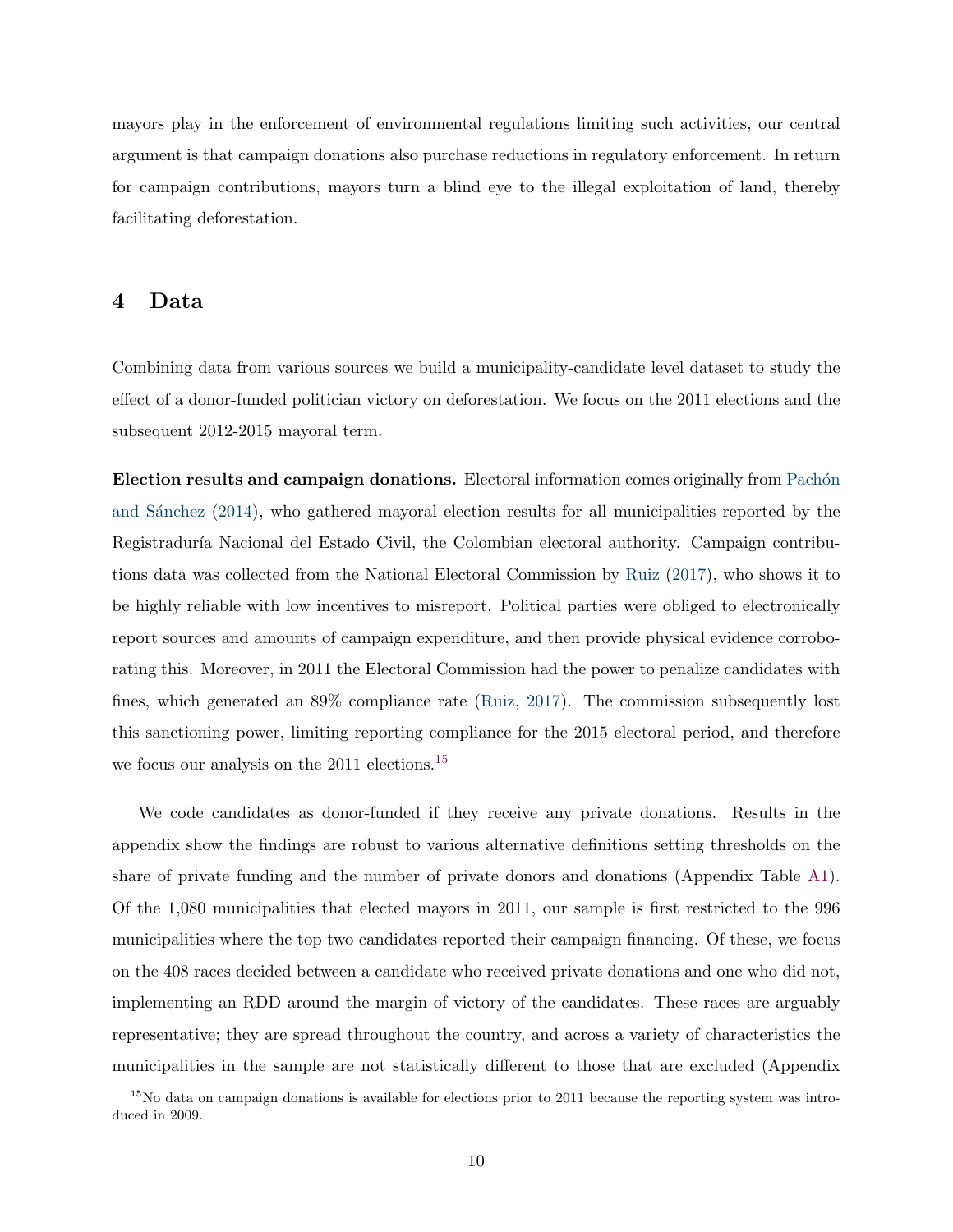mayors play in the enforcement of environmental regulations limiting such activities, our central argument is that campaign donations also purchase reductions in regulatory enforcement. In return for campaign contributions, mayors turn a blind eye to the illegal exploitation of land, thereby facilitating deforestation.

### 4 Data

Combining data from various sources we build a municipality-candidate level dataset to study the effect of a donor-funded politician victory on deforestation. We focus on the 2011 elections and the subsequent 2012-2015 mayoral term.

Election results and campaign donations. Electoral information comes originally from Pachón and Sánchez [\(2014\)](#page-35-10), who gathered mayoral election results for all municipalities reported by the Registraduría Nacional del Estado Civil, the Colombian electoral authority. Campaign contributions data was collected from the National Electoral Commission by [Ruiz](#page-35-1) [\(2017\)](#page-35-1), who shows it to be highly reliable with low incentives to misreport. Political parties were obliged to electronically report sources and amounts of campaign expenditure, and then provide physical evidence corroborating this. Moreover, in 2011 the Electoral Commission had the power to penalize candidates with fines, which generated an 89% compliance rate [\(Ruiz,](#page-35-1) [2017\)](#page-35-1). The commission subsequently lost this sanctioning power, limiting reporting compliance for the 2015 electoral period, and therefore we focus our analysis on the 2011 elections.<sup>[15](#page-1-0)</sup>

We code candidates as donor-funded if they receive any private donations. Results in the appendix show the findings are robust to various alternative definitions setting thresholds on the share of private funding and the number of private donors and donations (Appendix Table [A1\)](#page-42-0). Of the 1,080 municipalities that elected mayors in 2011, our sample is first restricted to the 996 municipalities where the top two candidates reported their campaign financing. Of these, we focus on the 408 races decided between a candidate who received private donations and one who did not, implementing an RDD around the margin of victory of the candidates. These races are arguably representative; they are spread throughout the country, and across a variety of characteristics the municipalities in the sample are not statistically different to those that are excluded (Appendix

 $15$ No data on campaign donations is available for elections prior to 2011 because the reporting system was introduced in 2009.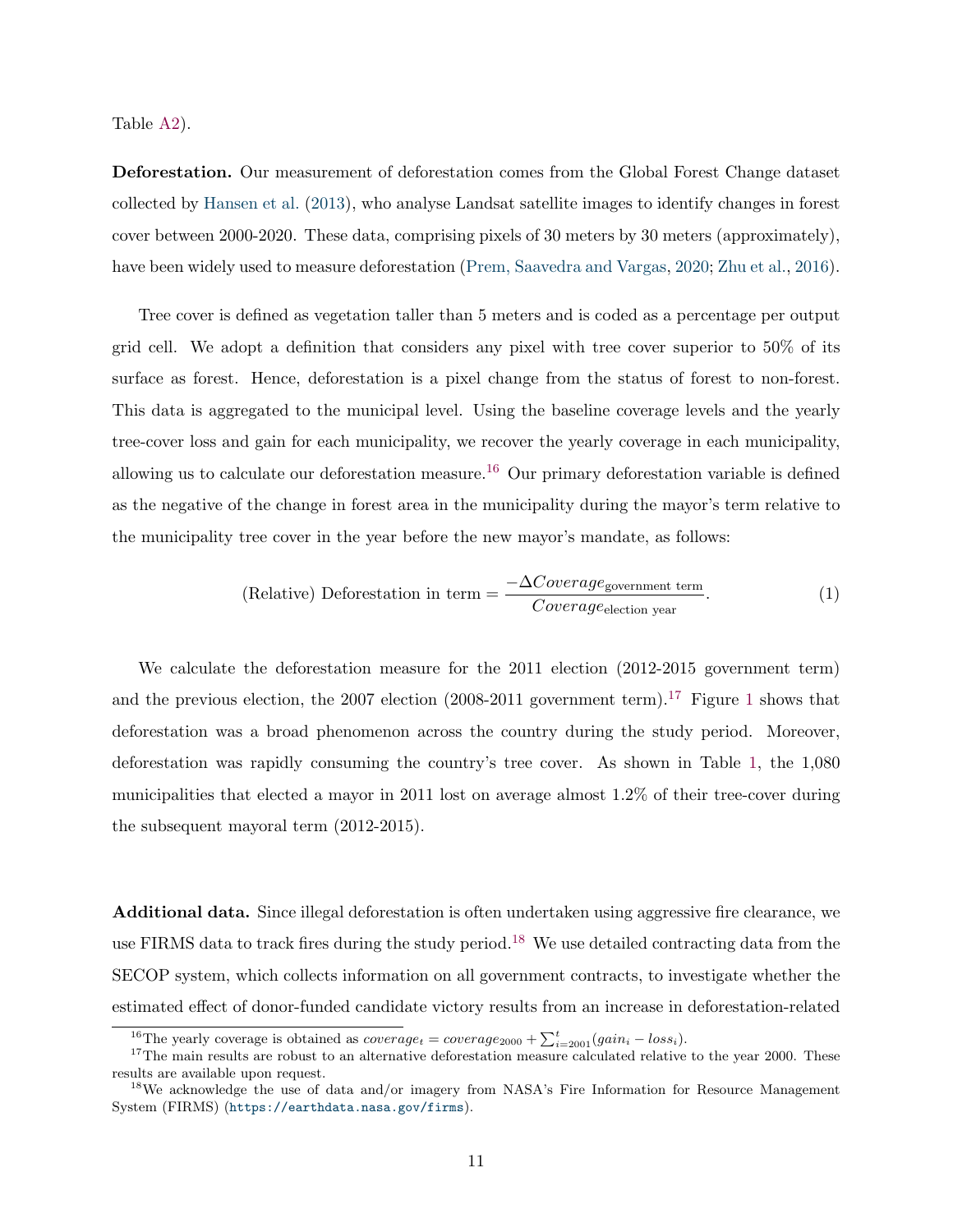Table [A2\)](#page-43-0).

Deforestation. Our measurement of deforestation comes from the Global Forest Change dataset collected by [Hansen et al.](#page-34-11) [\(2013\)](#page-34-11), who analyse Landsat satellite images to identify changes in forest cover between 2000-2020. These data, comprising pixels of 30 meters by 30 meters (approximately), have been widely used to measure deforestation [\(Prem, Saavedra and Vargas,](#page-35-4) [2020;](#page-35-4) [Zhu et al.,](#page-35-11) [2016\)](#page-35-11).

Tree cover is defined as vegetation taller than 5 meters and is coded as a percentage per output grid cell. We adopt a definition that considers any pixel with tree cover superior to 50% of its surface as forest. Hence, deforestation is a pixel change from the status of forest to non-forest. This data is aggregated to the municipal level. Using the baseline coverage levels and the yearly tree-cover loss and gain for each municipality, we recover the yearly coverage in each municipality, allowing us to calculate our deforestation measure.<sup>[16](#page-1-0)</sup> Our primary deforestation variable is defined as the negative of the change in forest area in the municipality during the mayor's term relative to the municipality tree cover in the year before the new mayor's mandate, as follows:

(Relative) Deforestation in term = 
$$
\frac{-\Delta Coverage_{\text{government term}}}{Coverage_{\text{electron year}}}.
$$
 (1)

We calculate the deforestation measure for the 2011 election (2012-2015 government term) and the previous election, the 2007 election  $(2008-2011)$  $(2008-2011)$  $(2008-2011)$  government term).<sup>[17](#page-1-0)</sup> Figure 1 shows that deforestation was a broad phenomenon across the country during the study period. Moreover, deforestation was rapidly consuming the country's tree cover. As shown in Table [1,](#page-13-1) the 1,080 municipalities that elected a mayor in 2011 lost on average almost 1.2% of their tree-cover during the subsequent mayoral term (2012-2015).

Additional data. Since illegal deforestation is often undertaken using aggressive fire clearance, we use FIRMS data to track fires during the study period.<sup>[18](#page-1-0)</sup> We use detailed contracting data from the SECOP system, which collects information on all government contracts, to investigate whether the estimated effect of donor-funded candidate victory results from an increase in deforestation-related

<sup>&</sup>lt;sup>16</sup>The yearly coverage is obtained as  $coverage_t = coverage_{2000} + \sum_{i=2001}^{t} (gain_i - loss_i)$ .

<sup>&</sup>lt;sup>17</sup>The main results are robust to an alternative deforestation measure calculated relative to the year 2000. These results are available upon request.

<sup>&</sup>lt;sup>18</sup>We acknowledge the use of data and/or imagery from NASA's Fire Information for Resource Management System (FIRMS) (<https://earthdata.nasa.gov/firms>).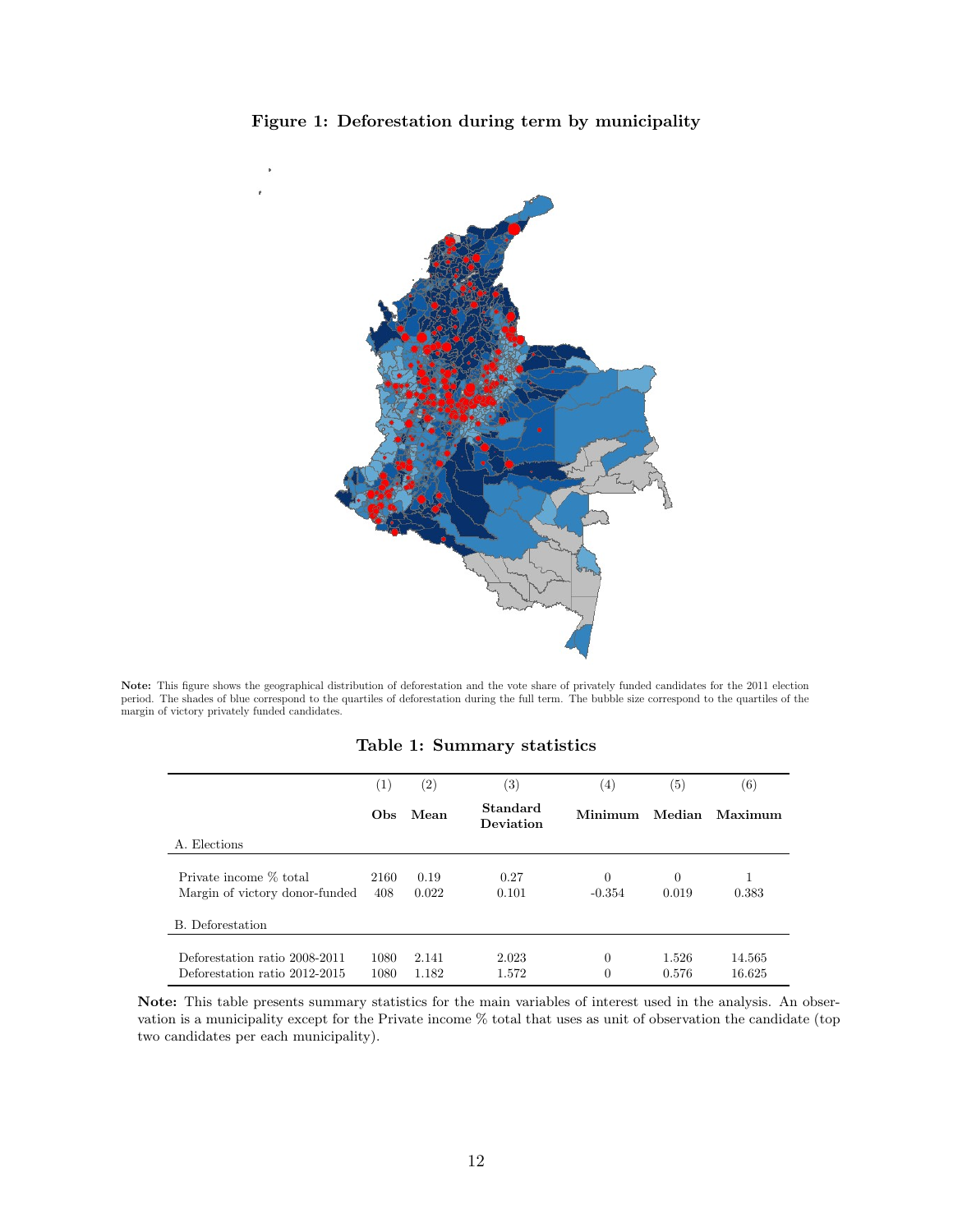<span id="page-13-0"></span>



<span id="page-13-1"></span>Note: This figure shows the geographical distribution of deforestation and the vote share of privately funded candidates for the 2011 election period. The shades of blue correspond to the quartiles of deforestation during the full term. The bubble size correspond to the quartiles of the margin of victory privately funded candidates.

|  |  | Table 1: Summary statistics |  |
|--|--|-----------------------------|--|
|--|--|-----------------------------|--|

|                                                                | $\left(1\right)$ | $\left( 2\right)$ | $\left( 3\right)$     | $\left( 4\right)$    | $\left( 5\right)$ | $^{(6)}$         |
|----------------------------------------------------------------|------------------|-------------------|-----------------------|----------------------|-------------------|------------------|
|                                                                | <b>Obs</b>       | Mean              | Standard<br>Deviation | Minimum              | Median            | Maximum          |
| A. Elections                                                   |                  |                   |                       |                      |                   |                  |
| Private income % total<br>Margin of victory donor-funded       | 2160<br>408      | 0.19<br>0.022     | 0.27<br>0.101         | $\Omega$<br>$-0.354$ | $\Omega$<br>0.019 | 1<br>0.383       |
| B. Deforestation                                               |                  |                   |                       |                      |                   |                  |
| Deforestation ratio 2008-2011<br>Deforestation ratio 2012-2015 | 1080<br>1080     | 2.141<br>1.182    | 2.023<br>1.572        | $\Omega$<br>$\Omega$ | 1.526<br>0.576    | 14.565<br>16.625 |

Note: This table presents summary statistics for the main variables of interest used in the analysis. An observation is a municipality except for the Private income % total that uses as unit of observation the candidate (top two candidates per each municipality).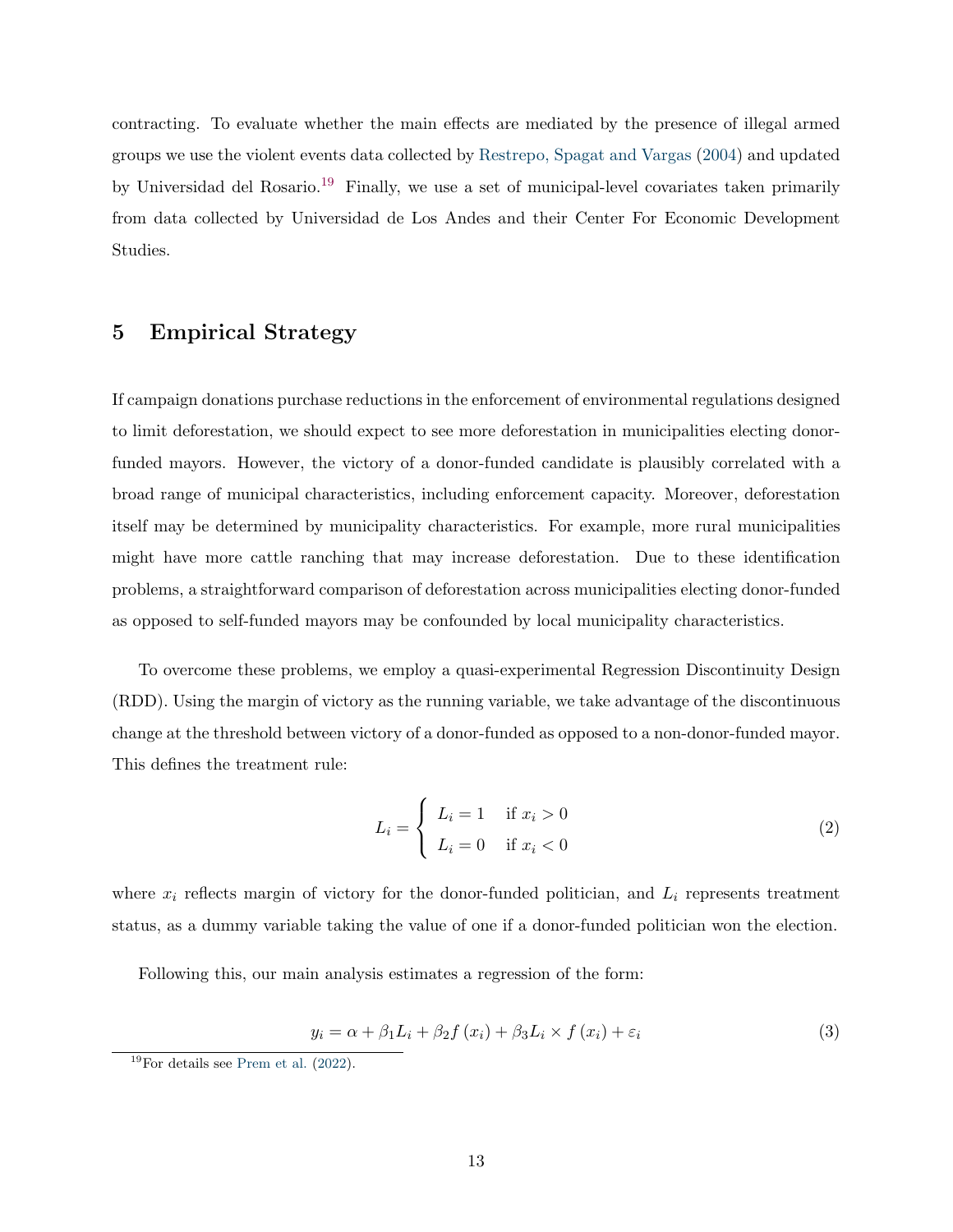contracting. To evaluate whether the main effects are mediated by the presence of illegal armed groups we use the violent events data collected by [Restrepo, Spagat and Vargas](#page-35-12) [\(2004\)](#page-35-12) and updated by Universidad del Rosario.<sup>[19](#page-1-0)</sup> Finally, we use a set of municipal-level covariates taken primarily from data collected by Universidad de Los Andes and their Center For Economic Development Studies.

### 5 Empirical Strategy

If campaign donations purchase reductions in the enforcement of environmental regulations designed to limit deforestation, we should expect to see more deforestation in municipalities electing donorfunded mayors. However, the victory of a donor-funded candidate is plausibly correlated with a broad range of municipal characteristics, including enforcement capacity. Moreover, deforestation itself may be determined by municipality characteristics. For example, more rural municipalities might have more cattle ranching that may increase deforestation. Due to these identification problems, a straightforward comparison of deforestation across municipalities electing donor-funded as opposed to self-funded mayors may be confounded by local municipality characteristics.

To overcome these problems, we employ a quasi-experimental Regression Discontinuity Design (RDD). Using the margin of victory as the running variable, we take advantage of the discontinuous change at the threshold between victory of a donor-funded as opposed to a non-donor-funded mayor. This defines the treatment rule:

<span id="page-14-0"></span>
$$
L_i = \begin{cases} L_i = 1 & \text{if } x_i > 0 \\ L_i = 0 & \text{if } x_i < 0 \end{cases}
$$
 (2)

where  $x_i$  reflects margin of victory for the donor-funded politician, and  $L_i$  represents treatment status, as a dummy variable taking the value of one if a donor-funded politician won the election.

Following this, our main analysis estimates a regression of the form:

$$
y_i = \alpha + \beta_1 L_i + \beta_2 f(x_i) + \beta_3 L_i \times f(x_i) + \varepsilon_i
$$
\n(3)

 $19$ For details see [Prem et al.](#page-35-13)  $(2022)$ .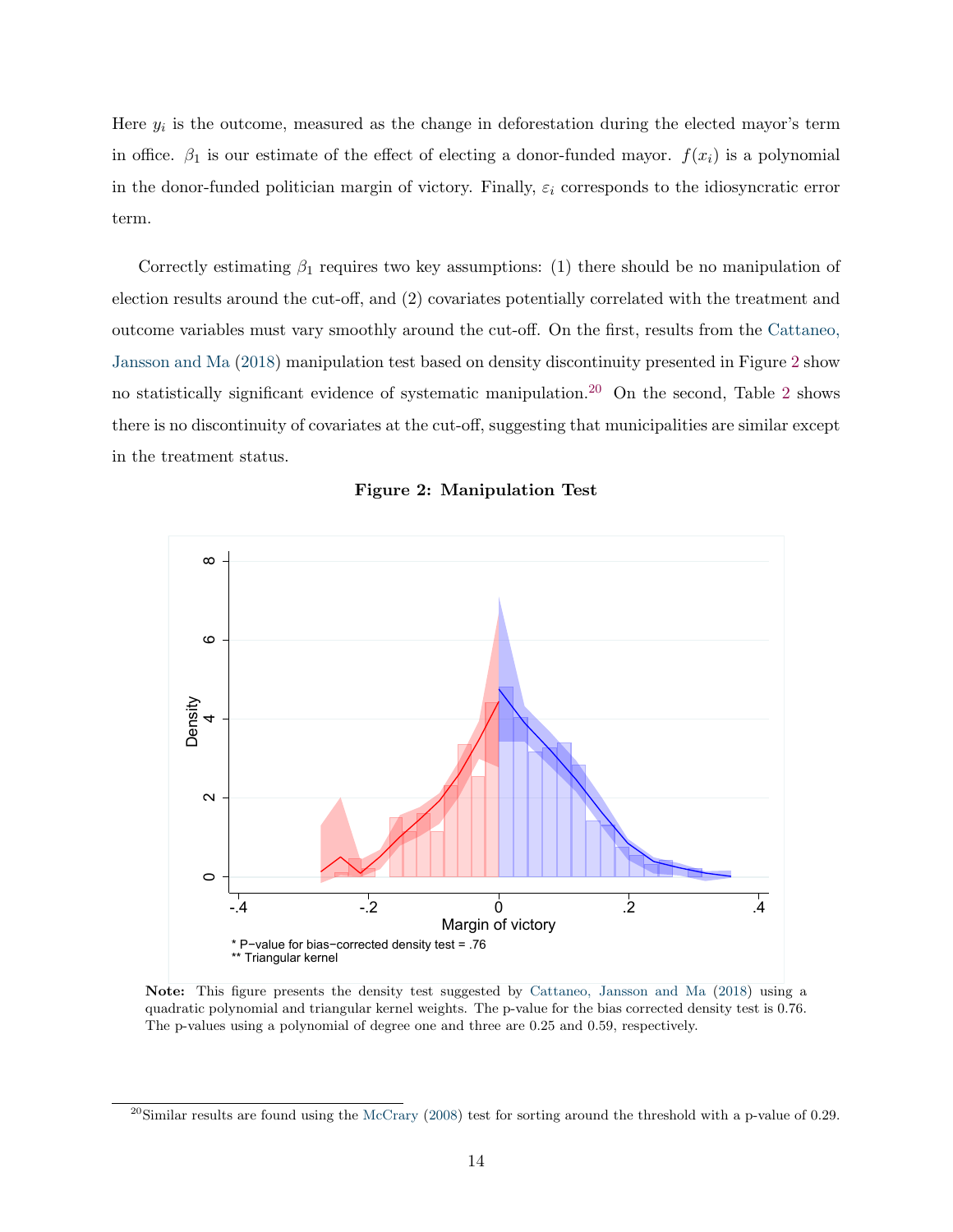Here  $y_i$  is the outcome, measured as the change in deforestation during the elected mayor's term in office.  $\beta_1$  is our estimate of the effect of electing a donor-funded mayor.  $f(x_i)$  is a polynomial in the donor-funded politician margin of victory. Finally,  $\varepsilon_i$  corresponds to the idiosyncratic error term.

Correctly estimating  $\beta_1$  requires two key assumptions: (1) there should be no manipulation of election results around the cut-off, and (2) covariates potentially correlated with the treatment and outcome variables must vary smoothly around the cut-off. On the first, results from the [Cattaneo,](#page-33-8) [Jansson and Ma](#page-33-8) [\(2018\)](#page-33-8) manipulation test based on density discontinuity presented in Figure [2](#page-15-0) show no statistically significant evidence of systematic manipulation.<sup>[20](#page-1-0)</sup> On the second, Table [2](#page-16-0) shows there is no discontinuity of covariates at the cut-off, suggesting that municipalities are similar except in the treatment status.

<span id="page-15-0"></span>



Note: This figure presents the density test suggested by [Cattaneo, Jansson and Ma](#page-33-8) [\(2018\)](#page-33-8) using a quadratic polynomial and triangular kernel weights. The p-value for the bias corrected density test is 0.76. The p-values using a polynomial of degree one and three are 0.25 and 0.59, respectively.

 $^{20}$ Similar results are found using the [McCrary](#page-34-12) [\(2008\)](#page-34-12) test for sorting around the threshold with a p-value of 0.29.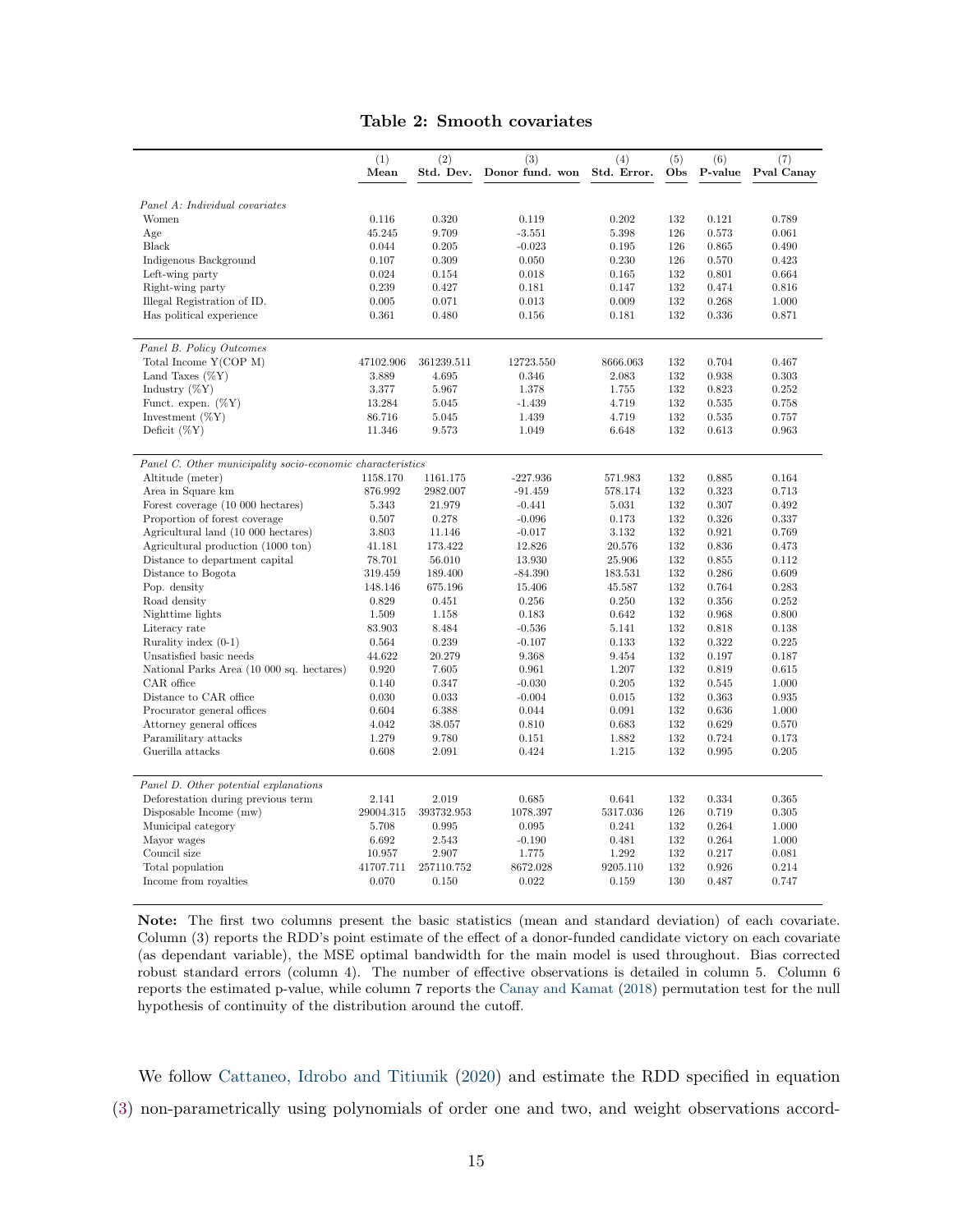#### Table 2: Smooth covariates

<span id="page-16-0"></span>

|                                                            | (1)<br>Mean | (2)<br>Std. Dev. | (3)<br>Donor fund. won | (4)<br>Std. Error. | (5)<br>Obs | (6)<br>P-value | (7)<br>Pval Canay |
|------------------------------------------------------------|-------------|------------------|------------------------|--------------------|------------|----------------|-------------------|
| Panel A: Individual covariates                             |             |                  |                        |                    |            |                |                   |
| Women                                                      | 0.116       | 0.320            | 0.119                  | 0.202              | 132        | 0.121          | 0.789             |
|                                                            | 45.245      | 9.709            | $-3.551$               | 5.398              | 126        | 0.573          | 0.061             |
| Age<br>Black                                               | 0.044       | 0.205            | $-0.023$               | 0.195              | 126        | 0.865          | 0.490             |
|                                                            | 0.107       | 0.309            | 0.050                  | 0.230              | 126        | 0.570          | 0.423             |
| Indigenous Background                                      | 0.024       | 0.154            | 0.018                  | 0.165              | 132        | 0.801          | 0.664             |
| Left-wing party<br>Right-wing party                        | 0.239       | 0.427            | 0.181                  | 0.147              | 132        | 0.474          | 0.816             |
|                                                            | 0.005       |                  | 0.013                  | 0.009              | 132        | 0.268          | 1.000             |
| Illegal Registration of ID.<br>Has political experience    | 0.361       | 0.071<br>0.480   | 0.156                  | 0.181              | 132        | 0.336          | 0.871             |
|                                                            |             |                  |                        |                    |            |                |                   |
| Panel B. Policy Outcomes                                   |             |                  |                        |                    |            |                |                   |
| Total Income Y(COP M)                                      | 47102.906   | 361239.511       | 12723.550              | 8666.063           | 132        | 0.704          | 0.467             |
| Land Taxes $(\%Y)$                                         | 3.889       | 4.695            | 0.346                  | 2.083              | 132        | 0.938          | 0.303             |
| Industry $(\%Y)$                                           | 3.377       | 5.967            | 1.378                  | 1.755              | 132        | 0.823          | 0.252             |
| Funct. expen. $(\%Y)$                                      | 13.284      | 5.045            | $-1.439$               | 4.719              | 132        | 0.535          | 0.758             |
| Investment $(\%Y)$                                         | 86.716      | 5.045            | 1.439                  | 4.719              | 132        | 0.535          | 0.757             |
| Deficit $(\%Y)$                                            | 11.346      | 9.573            | 1.049                  | 6.648              | 132        | 0.613          | 0.963             |
| Panel C. Other municipality socio-economic characteristics |             |                  |                        |                    |            |                |                   |
| Altitude (meter)                                           | 1158.170    | 1161.175         | $-227.936$             | 571.983            | 132        | 0.885          | 0.164             |
| Area in Square km                                          | 876.992     | 2982.007         | $-91.459$              | 578.174            | 132        | 0.323          | 0.713             |
| Forest coverage (10 000 hectares)                          | 5.343       | 21.979           | $-0.441$               | 5.031              | 132        | 0.307          | 0.492             |
| Proportion of forest coverage                              | 0.507       | 0.278            | $-0.096$               | 0.173              | 132        | 0.326          | 0.337             |
| Agricultural land (10 000 hectares)                        | 3.803       | 11.146           | $-0.017$               | 3.132              | 132        | 0.921          | 0.769             |
| Agricultural production (1000 ton)                         | 41.181      | 173.422          | 12.826                 | 20.576             | 132        | 0.836          | 0.473             |
| Distance to department capital                             | 78.701      | 56.010           | 13.930                 | 25.906             | 132        | 0.855          | 0.112             |
| Distance to Bogota                                         | 319.459     | 189.400          | $-84.390$              | 183.531            | 132        | 0.286          | 0.609             |
| Pop. density                                               | 148.146     | 675.196          | 15.406                 | 45.587             | 132        | 0.764          | 0.283             |
| Road density                                               | 0.829       | 0.451            | 0.256                  | 0.250              | 132        | 0.356          | 0.252             |
| Nighttime lights                                           | 1.509       | 1.158            | 0.183                  | 0.642              | 132        | 0.968          | 0.800             |
| Literacy rate                                              | 83.903      | 8.484            | $-0.536$               | 5.141              | 132        | 0.818          | 0.138             |
| Rurality index $(0-1)$                                     | 0.564       | 0.239            | $-0.107$               | 0.133              | 132        | 0.322          | 0.225             |
| Unsatisfied basic needs                                    | 44.622      | 20.279           | 9.368                  | 9.454              | 132        | 0.197          | 0.187             |
| National Parks Area (10 000 sq. hectares)                  | 0.920       | 7.605            | 0.961                  | 1.207              | 132        | 0.819          | 0.615             |
| CAR office                                                 | 0.140       | 0.347            | $-0.030$               | 0.205              | 132        | 0.545          | 1.000             |
| Distance to CAR office                                     | 0.030       | 0.033            | $-0.004$               | 0.015              | 132        | 0.363          | 0.935             |
| Procurator general offices                                 | 0.604       | 6.388            | 0.044                  | 0.091              | 132        | 0.636          | 1.000             |
| Attorney general offices                                   | 4.042       | 38.057           | 0.810                  | 0.683              | 132        | 0.629          | 0.570             |
| Paramilitary attacks                                       | 1.279       | 9.780            | 0.151                  | 1.882              | 132        | 0.724          | 0.173             |
| Guerilla attacks                                           | 0.608       | 2.091            | 0.424                  | 1.215              | 132        | 0.995          | 0.205             |
|                                                            |             |                  |                        |                    |            |                |                   |
| Panel D. Other potential explanations                      |             |                  |                        |                    |            |                |                   |
| Deforestation during previous term                         | 2.141       | 2.019            | 0.685                  | 0.641              | 132        | 0.334          | 0.365             |
| Disposable Income (mw)                                     | 29004.315   | 393732.953       | 1078.397               | 5317.036           | 126        | 0.719          | 0.305             |
| Municipal category                                         | 5.708       | 0.995            | 0.095                  | 0.241              | 132        | 0.264          | 1.000             |
| Mayor wages                                                | 6.692       | 2.543            | $-0.190$               | 0.481              | 132        | 0.264          | 1.000             |
| Council size                                               | 10.957      | 2.907            | 1.775                  | 1.292              | 132        | 0.217          | 0.081             |
| Total population                                           | 41707.711   | 257110.752       | 8672.028               | 9205.110           | 132        | 0.926          | 0.214             |
| Income from royalties                                      | 0.070       | 0.150            | 0.022                  | 0.159              | 130        | 0.487          | 0.747             |

Note: The first two columns present the basic statistics (mean and standard deviation) of each covariate. Column (3) reports the RDD's point estimate of the effect of a donor-funded candidate victory on each covariate (as dependant variable), the MSE optimal bandwidth for the main model is used throughout. Bias corrected robust standard errors (column 4). The number of effective observations is detailed in column 5. Column 6 reports the estimated p-value, while column 7 reports the [Canay and Kamat](#page-33-9) [\(2018\)](#page-33-9) permutation test for the null hypothesis of continuity of the distribution around the cutoff.

We follow [Cattaneo, Idrobo and Titiunik](#page-33-10) [\(2020\)](#page-33-10) and estimate the RDD specified in equation [\(3\)](#page-14-0) non-parametrically using polynomials of order one and two, and weight observations accord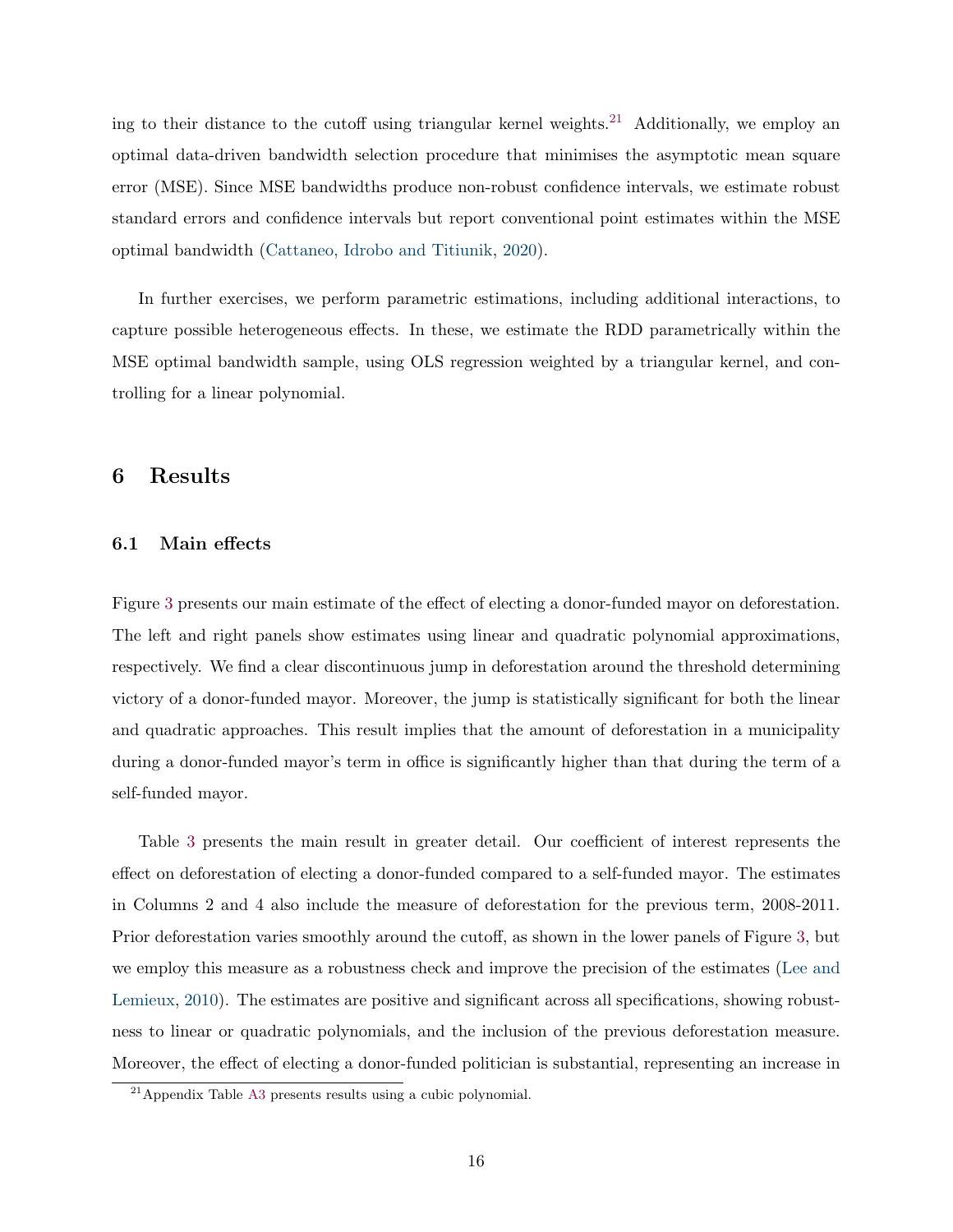ing to their distance to the cutoff using triangular kernel weights.<sup>[21](#page-1-0)</sup> Additionally, we employ an optimal data-driven bandwidth selection procedure that minimises the asymptotic mean square error (MSE). Since MSE bandwidths produce non-robust confidence intervals, we estimate robust standard errors and confidence intervals but report conventional point estimates within the MSE optimal bandwidth [\(Cattaneo, Idrobo and Titiunik,](#page-33-10) [2020\)](#page-33-10).

In further exercises, we perform parametric estimations, including additional interactions, to capture possible heterogeneous effects. In these, we estimate the RDD parametrically within the MSE optimal bandwidth sample, using OLS regression weighted by a triangular kernel, and controlling for a linear polynomial.

### <span id="page-17-0"></span>6 Results

#### 6.1 Main effects

Figure [3](#page-18-0) presents our main estimate of the effect of electing a donor-funded mayor on deforestation. The left and right panels show estimates using linear and quadratic polynomial approximations, respectively. We find a clear discontinuous jump in deforestation around the threshold determining victory of a donor-funded mayor. Moreover, the jump is statistically significant for both the linear and quadratic approaches. This result implies that the amount of deforestation in a municipality during a donor-funded mayor's term in office is significantly higher than that during the term of a self-funded mayor.

Table [3](#page-19-0) presents the main result in greater detail. Our coefficient of interest represents the effect on deforestation of electing a donor-funded compared to a self-funded mayor. The estimates in Columns 2 and 4 also include the measure of deforestation for the previous term, 2008-2011. Prior deforestation varies smoothly around the cutoff, as shown in the lower panels of Figure [3,](#page-18-0) but we employ this measure as a robustness check and improve the precision of the estimates [\(Lee and](#page-34-13) [Lemieux,](#page-34-13) [2010\)](#page-34-13). The estimates are positive and significant across all specifications, showing robustness to linear or quadratic polynomials, and the inclusion of the previous deforestation measure. Moreover, the effect of electing a donor-funded politician is substantial, representing an increase in

<sup>21</sup>Appendix Table [A3](#page-44-0) presents results using a cubic polynomial.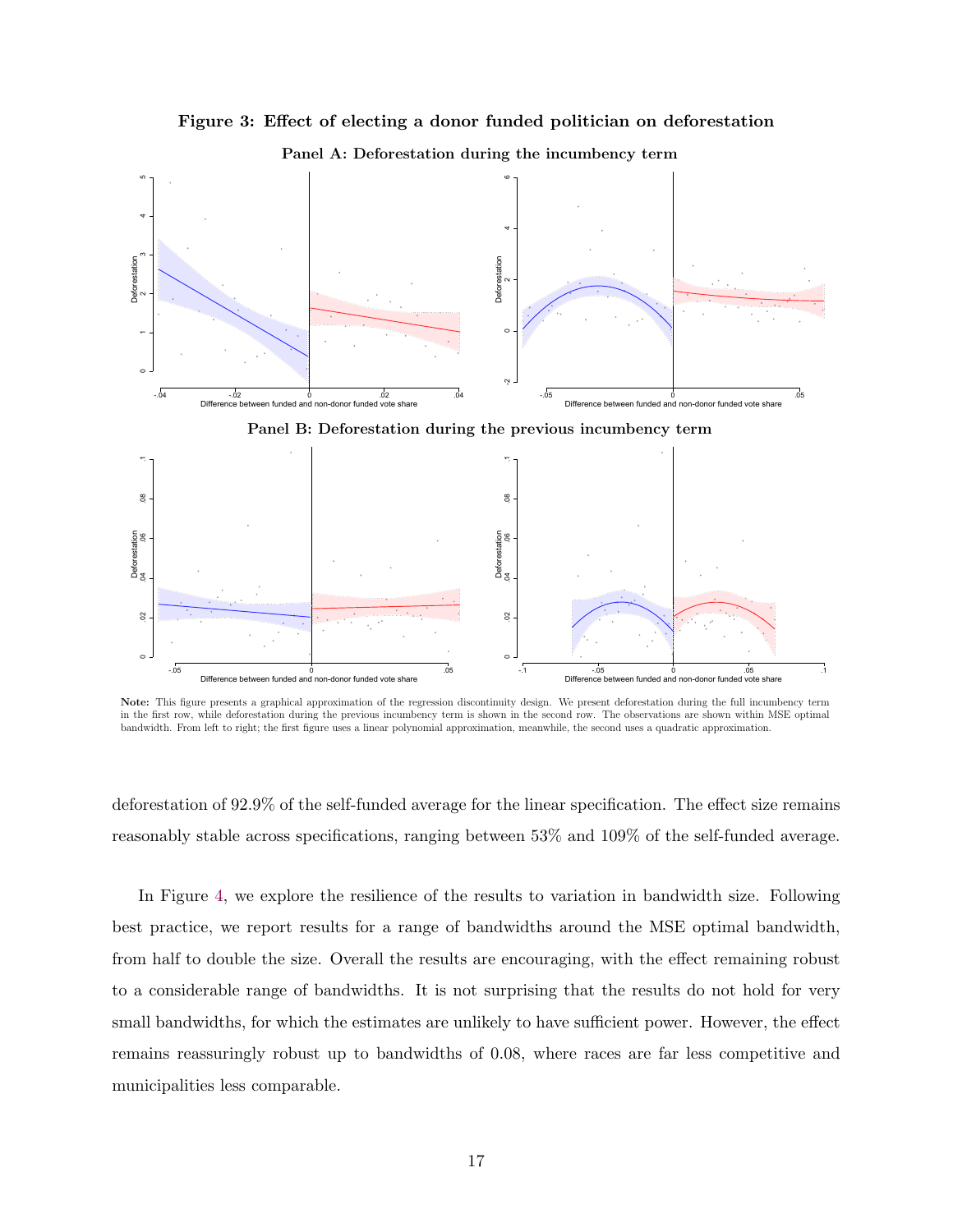<span id="page-18-0"></span>

Figure 3: Effect of electing a donor funded politician on deforestation

Note: This figure presents a graphical approximation of the regression discontinuity design. We present deforestation during the full incumbency term in the first row, while deforestation during the previous incumbency term is shown in the second row. The observations are shown within MSE optimal bandwidth. From left to right; the first figure uses a linear polynomial approximation, meanwhile, the second uses a quadratic approximation.

Difference between funded and non-donor funded vote share

-.05 0 .05

een funded and non-donor funded vote share

-.1 -.05 0 .05 .1

deforestation of 92.9% of the self-funded average for the linear specification. The effect size remains reasonably stable across specifications, ranging between 53% and 109% of the self-funded average.

In Figure [4,](#page-19-1) we explore the resilience of the results to variation in bandwidth size. Following best practice, we report results for a range of bandwidths around the MSE optimal bandwidth, from half to double the size. Overall the results are encouraging, with the effect remaining robust to a considerable range of bandwidths. It is not surprising that the results do not hold for very small bandwidths, for which the estimates are unlikely to have sufficient power. However, the effect remains reassuringly robust up to bandwidths of 0.08, where races are far less competitive and municipalities less comparable.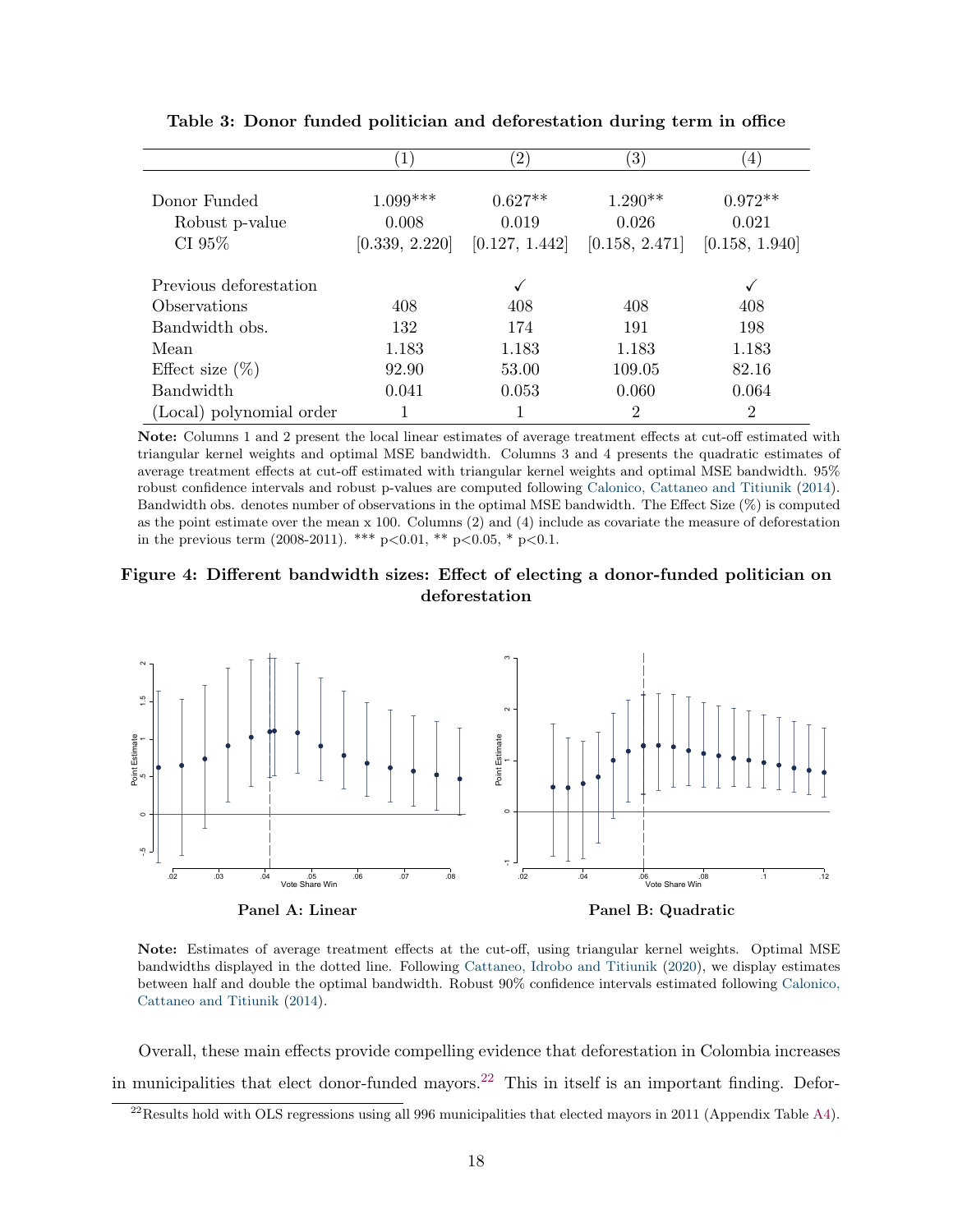<span id="page-19-0"></span>

|                                          |                                       | $^{\prime}2,$                        | $\left(3\right)$                     | $\left(4\right)$                     |
|------------------------------------------|---------------------------------------|--------------------------------------|--------------------------------------|--------------------------------------|
| Donor Funded<br>Robust p-value<br>CI 95% | $1.099***$<br>0.008<br>[0.339, 2.220] | $0.627**$<br>0.019<br>[0.127, 1.442] | $1.290**$<br>0.026<br>[0.158, 2.471] | $0.972**$<br>0.021<br>[0.158, 1.940] |
| Previous deforestation                   |                                       |                                      |                                      |                                      |
| Observations                             | 408                                   | 408                                  | 408                                  | 408                                  |
| Bandwidth obs.                           | 132                                   | 174                                  | 191                                  | 198                                  |
| Mean                                     | 1.183                                 | 1.183                                | 1.183                                | 1.183                                |
| Effect size $(\%)$                       | 92.90                                 | 53.00                                | 109.05                               | 82.16                                |
| <b>Bandwidth</b>                         | 0.041                                 | 0.053                                | 0.060                                | 0.064                                |
| (Local) polynomial order                 |                                       |                                      | 2                                    | $\overline{2}$                       |

Table 3: Donor funded politician and deforestation during term in office

Note: Columns 1 and 2 present the local linear estimates of average treatment effects at cut-off estimated with triangular kernel weights and optimal MSE bandwidth. Columns 3 and 4 presents the quadratic estimates of average treatment effects at cut-off estimated with triangular kernel weights and optimal MSE bandwidth. 95% robust confidence intervals and robust p-values are computed following [Calonico, Cattaneo and Titiunik](#page-33-11) [\(2014\)](#page-33-11). Bandwidth obs. denotes number of observations in the optimal MSE bandwidth. The Effect Size (%) is computed as the point estimate over the mean x 100. Columns (2) and (4) include as covariate the measure of deforestation in the previous term (2008-2011). \*\*\* p<0.01, \*\* p<0.05, \* p<0.1.

<span id="page-19-1"></span>



Note: Estimates of average treatment effects at the cut-off, using triangular kernel weights. Optimal MSE bandwidths displayed in the dotted line. Following [Cattaneo, Idrobo and Titiunik](#page-33-10) [\(2020\)](#page-33-10), we display estimates between half and double the optimal bandwidth. Robust 90% confidence intervals estimated following [Calonico,](#page-33-11) [Cattaneo and Titiunik](#page-33-11) [\(2014\)](#page-33-11).

Overall, these main effects provide compelling evidence that deforestation in Colombia increases in municipalities that elect donor-funded mayors.<sup>[22](#page-1-0)</sup> This in itself is an important finding. Defor-

 $^{22}$ Results hold with OLS regressions using all 996 municipalities that elected mayors in 2011 (Appendix Table [A4\)](#page-45-0).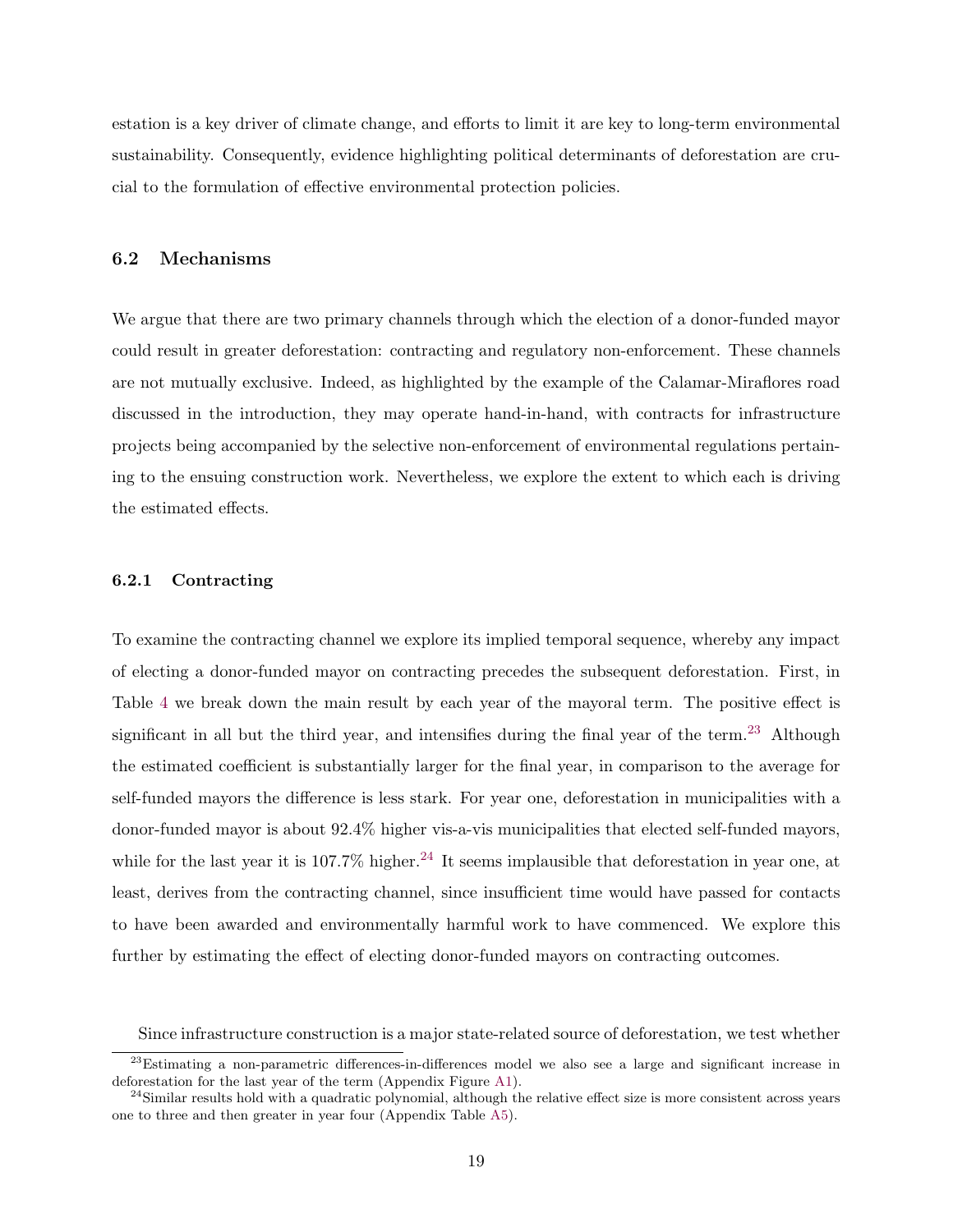estation is a key driver of climate change, and efforts to limit it are key to long-term environmental sustainability. Consequently, evidence highlighting political determinants of deforestation are crucial to the formulation of effective environmental protection policies.

#### 6.2 Mechanisms

We argue that there are two primary channels through which the election of a donor-funded mayor could result in greater deforestation: contracting and regulatory non-enforcement. These channels are not mutually exclusive. Indeed, as highlighted by the example of the Calamar-Miraflores road discussed in the introduction, they may operate hand-in-hand, with contracts for infrastructure projects being accompanied by the selective non-enforcement of environmental regulations pertaining to the ensuing construction work. Nevertheless, we explore the extent to which each is driving the estimated effects.

#### 6.2.1 Contracting

To examine the contracting channel we explore its implied temporal sequence, whereby any impact of electing a donor-funded mayor on contracting precedes the subsequent deforestation. First, in Table [4](#page-21-0) we break down the main result by each year of the mayoral term. The positive effect is significant in all but the third year, and intensifies during the final year of the term.<sup>[23](#page-1-0)</sup> Although the estimated coefficient is substantially larger for the final year, in comparison to the average for self-funded mayors the difference is less stark. For year one, deforestation in municipalities with a donor-funded mayor is about 92.4% higher vis-a-vis municipalities that elected self-funded mayors, while for the last year it is  $107.7\%$  higher.<sup>[24](#page-1-0)</sup> It seems implausible that deforestation in year one, at least, derives from the contracting channel, since insufficient time would have passed for contacts to have been awarded and environmentally harmful work to have commenced. We explore this further by estimating the effect of electing donor-funded mayors on contracting outcomes.

Since infrastructure construction is a major state-related source of deforestation, we test whether

<sup>&</sup>lt;sup>23</sup>Estimating a non-parametric differences-in-differences model we also see a large and significant increase in deforestation for the last year of the term (Appendix Figure [A1\)](#page-38-0).

 $^{24}$ Similar results hold with a quadratic polynomial, although the relative effect size is more consistent across years one to three and then greater in year four (Appendix Table [A5\)](#page-46-0).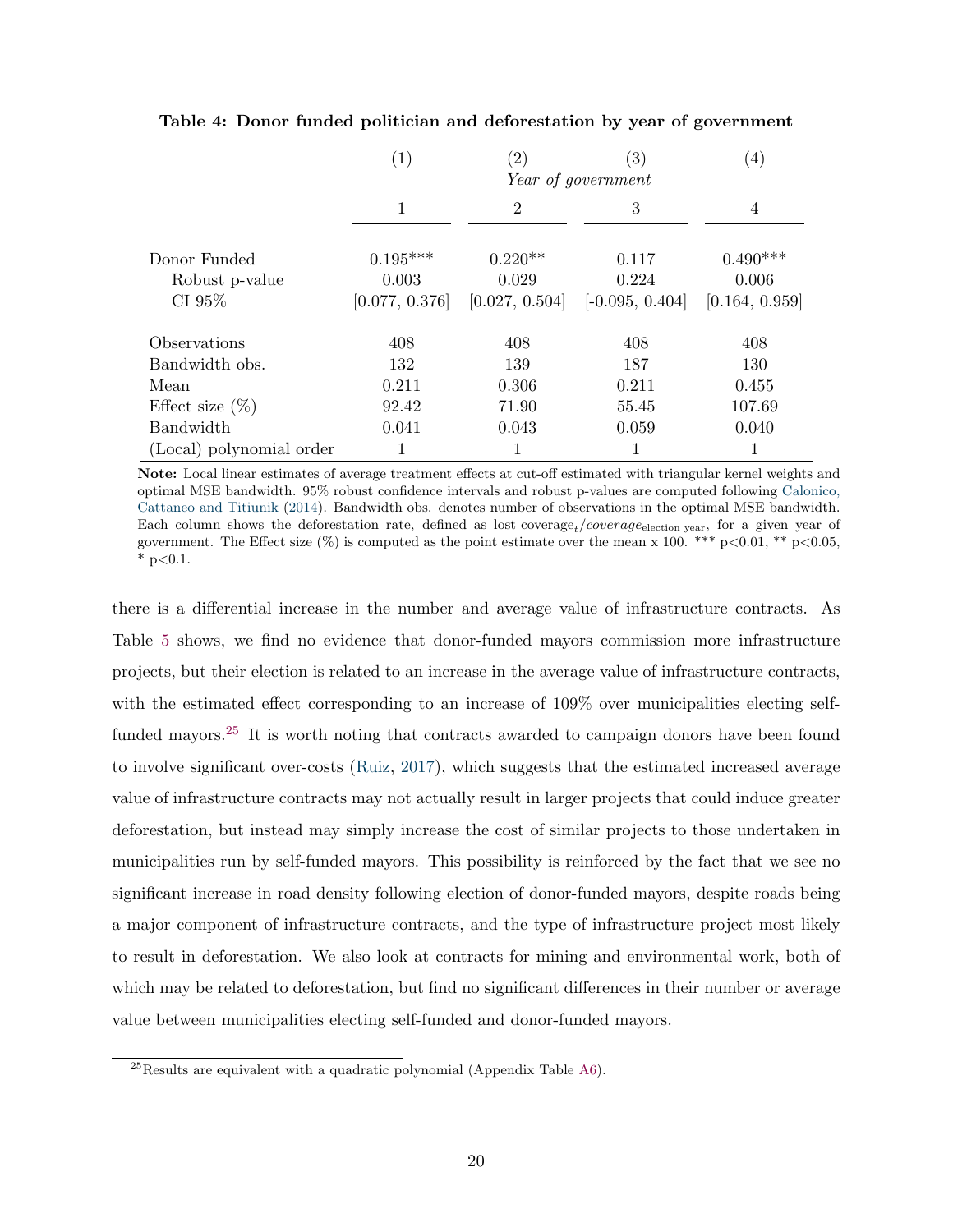|                          | $\left( 1\right)$ | $\left( 2\right)$ | $\left( 3\right)$  | $\left(4\right)$ |
|--------------------------|-------------------|-------------------|--------------------|------------------|
|                          |                   |                   | Year of government |                  |
|                          | $\overline{2}$    |                   | 3                  | 4                |
| Donor Funded             | $0.195***$        | $0.220**$         | 0.117              | $0.490***$       |
| Robust p-value           | 0.003             | 0.029             | 0.224              | 0.006            |
| CI 95%                   | [0.077, 0.376]    | [0.027, 0.504]    | $[-0.095, 0.404]$  | [0.164, 0.959]   |
| Observations             | 408               | 408               | 408                | 408              |
| Bandwidth obs.           | 132               | 139               | 187                | 130              |
| Mean                     | 0.211             | 0.306             | 0.211              | 0.455            |
| Effect size $(\%)$       | 92.42             | 71.90             | 55.45              | 107.69           |
| <b>Bandwidth</b>         | 0.041             | 0.043             | 0.059              | 0.040            |
| (Local) polynomial order |                   |                   | 1                  |                  |

<span id="page-21-0"></span>Table 4: Donor funded politician and deforestation by year of government

Note: Local linear estimates of average treatment effects at cut-off estimated with triangular kernel weights and optimal MSE bandwidth. 95% robust confidence intervals and robust p-values are computed following [Calonico,](#page-33-11) [Cattaneo and Titiunik](#page-33-11) [\(2014\)](#page-33-11). Bandwidth obs. denotes number of observations in the optimal MSE bandwidth. Each column shows the deforestation rate, defined as lost coverage,  $/coverage_e$  election vear, for a given year of government. The Effect size  $(\%)$  is computed as the point estimate over the mean x 100. \*\*\* p<0.01, \*\* p<0.05,  $*$  p $< 0.1$ .

there is a differential increase in the number and average value of infrastructure contracts. As Table [5](#page-22-0) shows, we find no evidence that donor-funded mayors commission more infrastructure projects, but their election is related to an increase in the average value of infrastructure contracts, with the estimated effect corresponding to an increase of  $109\%$  over municipalities electing self-funded mayors.<sup>[25](#page-1-0)</sup> It is worth noting that contracts awarded to campaign donors have been found to involve significant over-costs [\(Ruiz,](#page-35-1) [2017\)](#page-35-1), which suggests that the estimated increased average value of infrastructure contracts may not actually result in larger projects that could induce greater deforestation, but instead may simply increase the cost of similar projects to those undertaken in municipalities run by self-funded mayors. This possibility is reinforced by the fact that we see no significant increase in road density following election of donor-funded mayors, despite roads being a major component of infrastructure contracts, and the type of infrastructure project most likely to result in deforestation. We also look at contracts for mining and environmental work, both of which may be related to deforestation, but find no significant differences in their number or average value between municipalities electing self-funded and donor-funded mayors.

 $^{25}$ Results are equivalent with a quadratic polynomial (Appendix Table [A6\)](#page-47-0).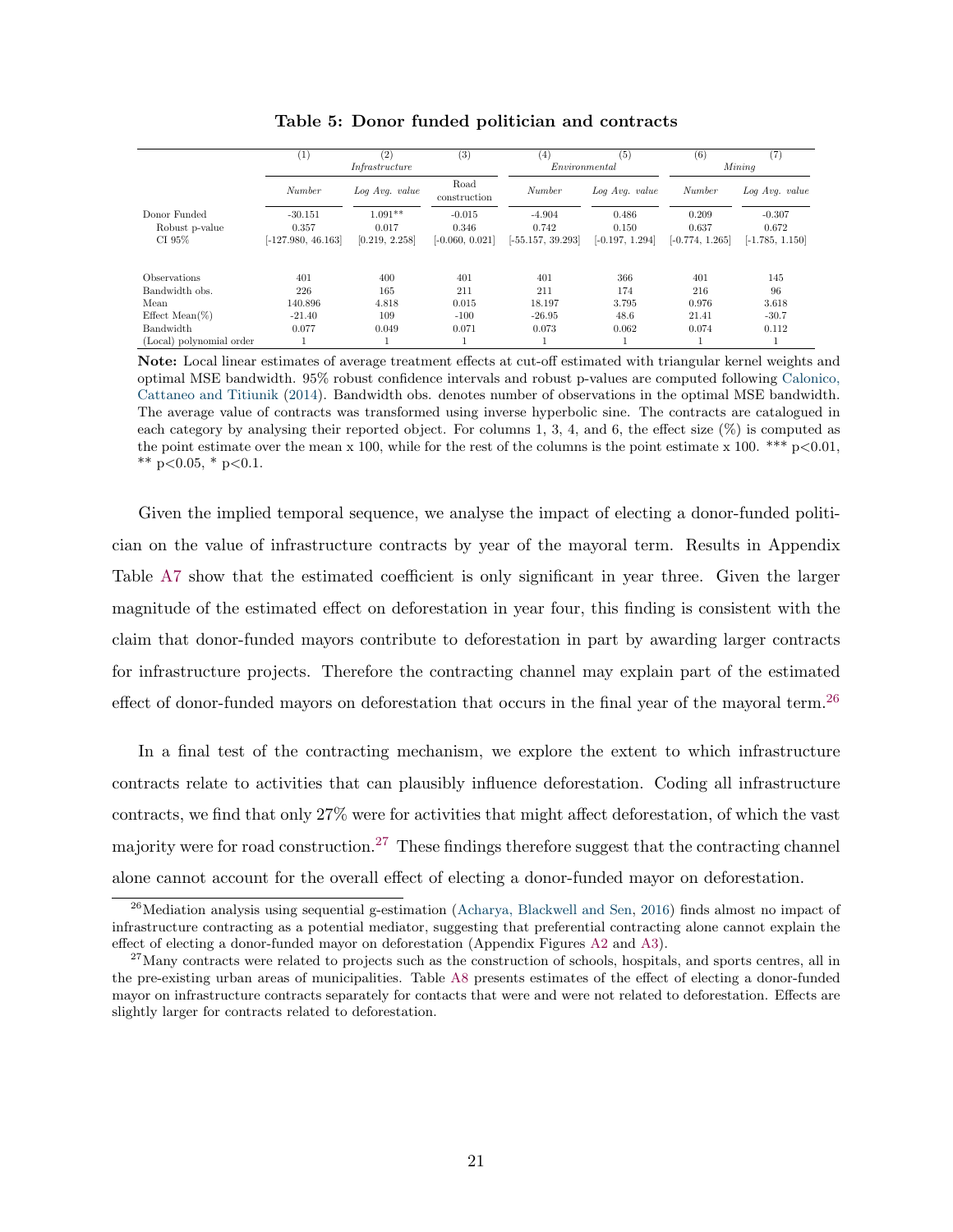<span id="page-22-0"></span>

|                          | $\left(1\right)$     | (2)            | (3)                  | $\left( 4\right)$   | (5)               | (6)               | (7)               |
|--------------------------|----------------------|----------------|----------------------|---------------------|-------------------|-------------------|-------------------|
|                          |                      | Infrastructure |                      | Environmental       |                   |                   | Mining            |
|                          | Number               | Log Avg. value | Road<br>construction | Number              | Log Avg. value    | Number            | Log Avg. value    |
| Donor Funded             | $-30.151$            | $1.091**$      | $-0.015$             | $-4.904$            | 0.486             | 0.209             | $-0.307$          |
| Robust p-value           | 0.357                | 0.017          | 0.346                | 0.742               | 0.150             | 0.637             | 0.672             |
| CI 95%                   | $[-127.980, 46.163]$ | [0.219, 2.258] | $[-0.060, 0.021]$    | $[-55.157, 39.293]$ | $[-0.197, 1.294]$ | $[-0.774, 1.265]$ | $[-1.785, 1.150]$ |
| Observations             | 401                  | 400            | 401                  | 401                 | 366               | 401               | 145               |
| Bandwidth obs.           | 226                  | 165            | 211                  | 211                 | 174               | 216               | 96                |
| Mean                     | 140.896              | 4.818          | 0.015                | 18.197              | 3.795             | 0.976             | 3.618             |
| Effect Mean $(\%)$       | $-21.40$             | 109            | $-100$               | $-26.95$            | 48.6              | 21.41             | $-30.7$           |
| Bandwidth                | 0.077                | 0.049          | 0.071                | 0.073               | 0.062             | 0.074             | 0.112             |
| (Local) polynomial order |                      |                |                      |                     |                   |                   |                   |

Table 5: Donor funded politician and contracts

Note: Local linear estimates of average treatment effects at cut-off estimated with triangular kernel weights and optimal MSE bandwidth. 95% robust confidence intervals and robust p-values are computed following [Calonico,](#page-33-11) [Cattaneo and Titiunik](#page-33-11) [\(2014\)](#page-33-11). Bandwidth obs. denotes number of observations in the optimal MSE bandwidth. The average value of contracts was transformed using inverse hyperbolic sine. The contracts are catalogued in each category by analysing their reported object. For columns 1, 3, 4, and 6, the effect size  $(\%)$  is computed as the point estimate over the mean x 100, while for the rest of the columns is the point estimate x 100. \*\*\*  $p<0.01$ , \*\*  $p<0.05$ , \*  $p<0.1$ .

Given the implied temporal sequence, we analyse the impact of electing a donor-funded politician on the value of infrastructure contracts by year of the mayoral term. Results in Appendix Table [A7](#page-48-0) show that the estimated coefficient is only significant in year three. Given the larger magnitude of the estimated effect on deforestation in year four, this finding is consistent with the claim that donor-funded mayors contribute to deforestation in part by awarding larger contracts for infrastructure projects. Therefore the contracting channel may explain part of the estimated effect of donor-funded mayors on deforestation that occurs in the final year of the mayoral term.<sup>[26](#page-1-0)</sup>

In a final test of the contracting mechanism, we explore the extent to which infrastructure contracts relate to activities that can plausibly influence deforestation. Coding all infrastructure contracts, we find that only 27% were for activities that might affect deforestation, of which the vast majority were for road construction.<sup>[27](#page-1-0)</sup> These findings therefore suggest that the contracting channel alone cannot account for the overall effect of electing a donor-funded mayor on deforestation.

 $^{26}$ Mediation analysis using sequential g-estimation [\(Acharya, Blackwell and Sen,](#page-32-8) [2016\)](#page-32-8) finds almost no impact of infrastructure contracting as a potential mediator, suggesting that preferential contracting alone cannot explain the effect of electing a donor-funded mayor on deforestation (Appendix Figures [A2](#page-39-0) and [A3\)](#page-40-0).

<sup>&</sup>lt;sup>27</sup>Many contracts were related to projects such as the construction of schools, hospitals, and sports centres, all in the pre-existing urban areas of municipalities. Table [A8](#page-49-0) presents estimates of the effect of electing a donor-funded mayor on infrastructure contracts separately for contacts that were and were not related to deforestation. Effects are slightly larger for contracts related to deforestation.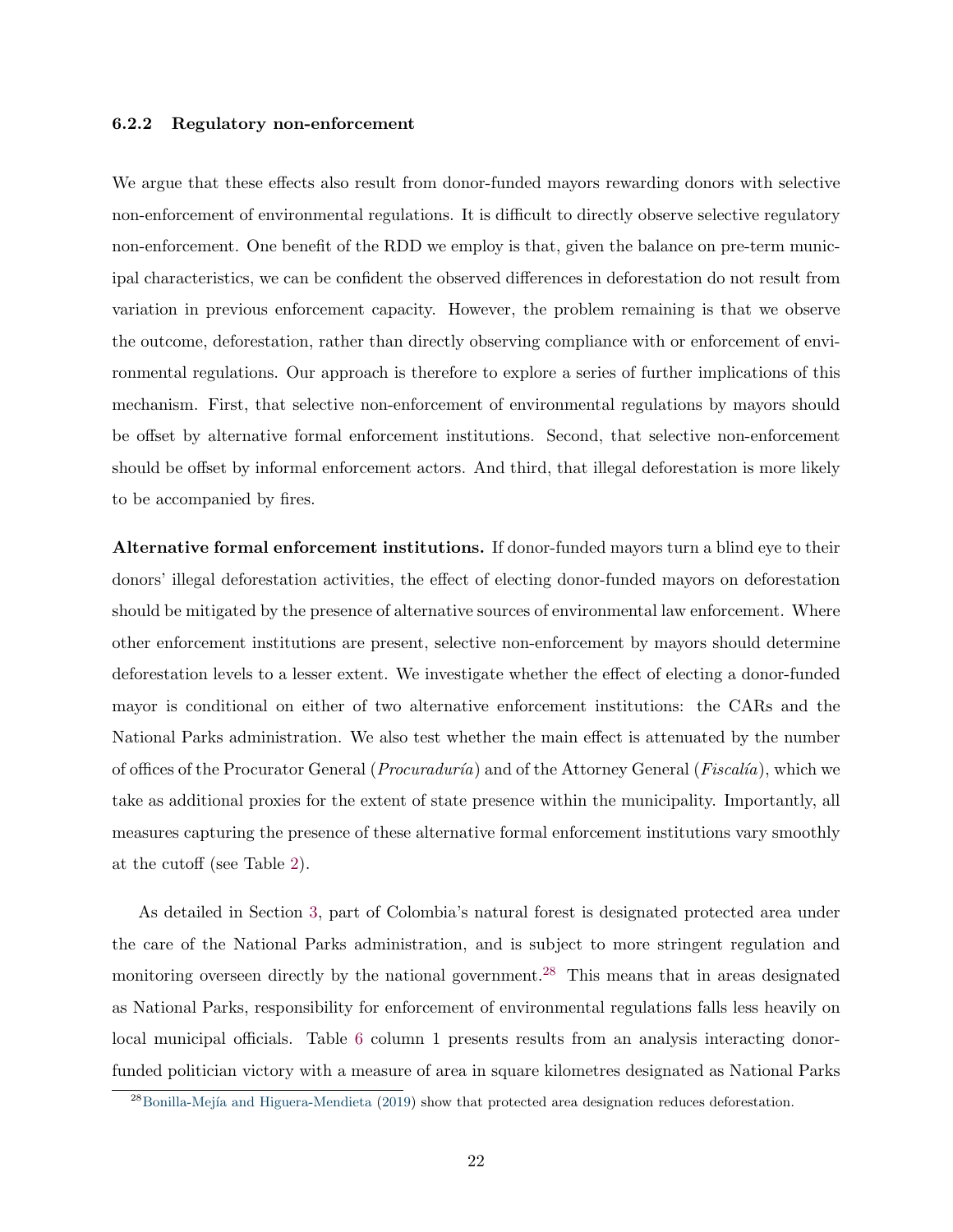#### 6.2.2 Regulatory non-enforcement

We argue that these effects also result from donor-funded mayors rewarding donors with selective non-enforcement of environmental regulations. It is difficult to directly observe selective regulatory non-enforcement. One benefit of the RDD we employ is that, given the balance on pre-term municipal characteristics, we can be confident the observed differences in deforestation do not result from variation in previous enforcement capacity. However, the problem remaining is that we observe the outcome, deforestation, rather than directly observing compliance with or enforcement of environmental regulations. Our approach is therefore to explore a series of further implications of this mechanism. First, that selective non-enforcement of environmental regulations by mayors should be offset by alternative formal enforcement institutions. Second, that selective non-enforcement should be offset by informal enforcement actors. And third, that illegal deforestation is more likely to be accompanied by fires.

Alternative formal enforcement institutions. If donor-funded mayors turn a blind eye to their donors' illegal deforestation activities, the effect of electing donor-funded mayors on deforestation should be mitigated by the presence of alternative sources of environmental law enforcement. Where other enforcement institutions are present, selective non-enforcement by mayors should determine deforestation levels to a lesser extent. We investigate whether the effect of electing a donor-funded mayor is conditional on either of two alternative enforcement institutions: the CARs and the National Parks administration. We also test whether the main effect is attenuated by the number of offices of the Procurator General (*Procuraduría*) and of the Attorney General (*Fiscalía*), which we take as additional proxies for the extent of state presence within the municipality. Importantly, all measures capturing the presence of these alternative formal enforcement institutions vary smoothly at the cutoff (see Table [2\)](#page-16-0).

As detailed in Section [3,](#page-8-0) part of Colombia's natural forest is designated protected area under the care of the National Parks administration, and is subject to more stringent regulation and monitoring overseen directly by the national government.<sup>[28](#page-1-0)</sup> This means that in areas designated as National Parks, responsibility for enforcement of environmental regulations falls less heavily on local municipal officials. Table [6](#page-24-0) column 1 presents results from an analysis interacting donorfunded politician victory with a measure of area in square kilometres designated as National Parks

 $^{28}$ Bonilla-Mejía and Higuera-Mendieta [\(2019\)](#page-32-9) show that protected area designation reduces deforestation.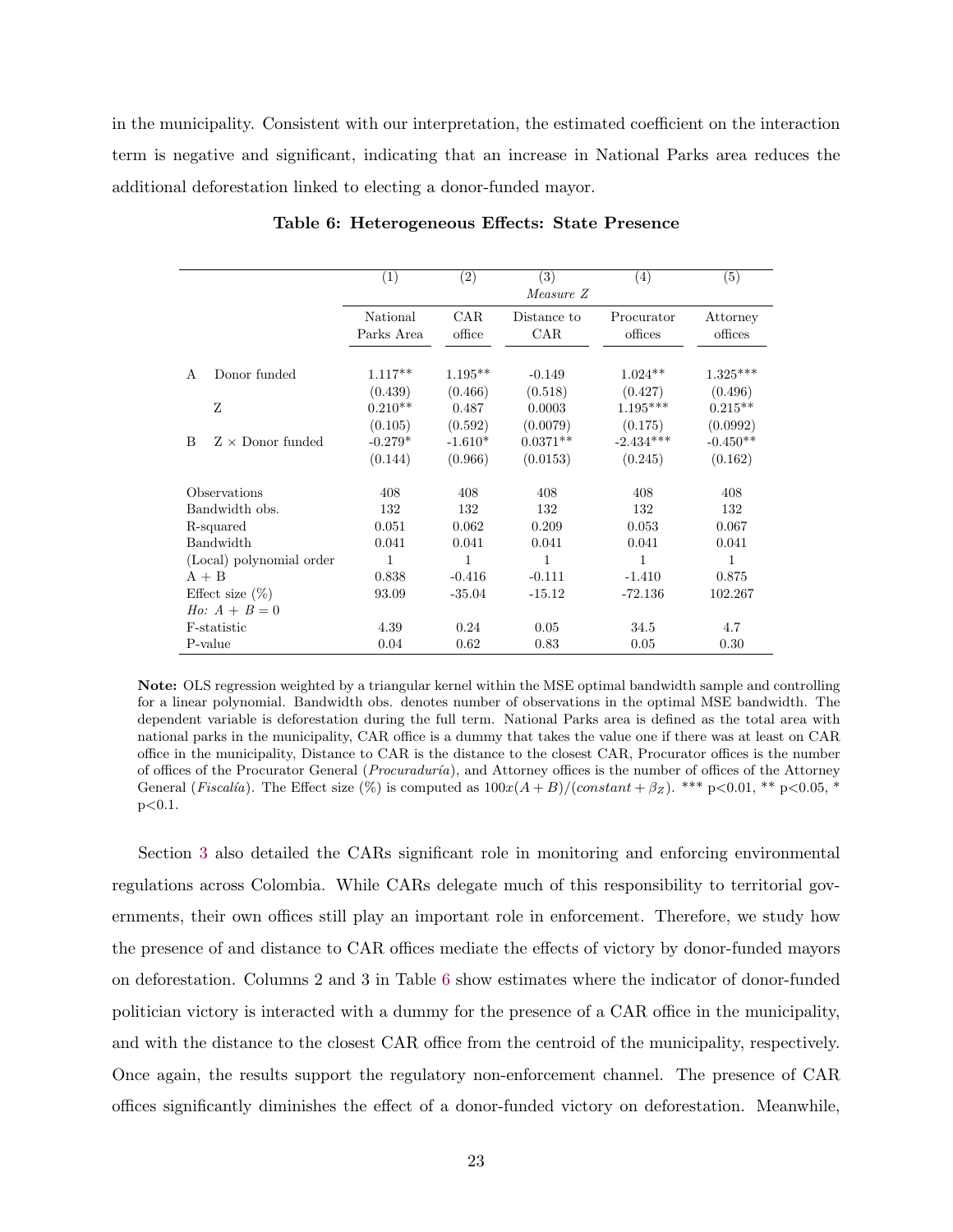<span id="page-24-0"></span>in the municipality. Consistent with our interpretation, the estimated coefficient on the interaction term is negative and significant, indicating that an increase in National Parks area reduces the additional deforestation linked to electing a donor-funded mayor.

|    |                          | (1)        | (2)          | (3)         | (4)         | (5)                    |
|----|--------------------------|------------|--------------|-------------|-------------|------------------------|
|    |                          |            |              | Measure Z   |             |                        |
|    |                          | National   | <b>CAR</b>   | Distance to | Procurator  | Attorney               |
|    |                          | Parks Area | office       | CAR.        | offices     | offices                |
|    |                          |            |              |             |             |                        |
| A  | Donor funded             | $1.117**$  | $1.195**$    | $-0.149$    | $1.024**$   | $1.325^{\ast\ast\ast}$ |
|    |                          | (0.439)    | (0.466)      | (0.518)     | (0.427)     | (0.496)                |
|    | Z                        | $0.210**$  | 0.487        | 0.0003      | $1.195***$  | $0.215**$              |
|    |                          | (0.105)    | (0.592)      | (0.0079)    | (0.175)     | (0.0992)               |
| B. | $Z \times$ Donor funded  | $-0.279*$  | $-1.610*$    | $0.0371**$  | $-2.434***$ | $-0.450**$             |
|    |                          | (0.144)    | (0.966)      | (0.0153)    | (0.245)     | (0.162)                |
|    | Observations             | 408        | 408          | 408         | 408         | 408                    |
|    | Bandwidth obs.           | 132        | 132          | 132         | 132         | 132                    |
|    | R-squared                | 0.051      | 0.062        | 0.209       | 0.053       | 0.067                  |
|    | Bandwidth                | 0.041      | 0.041        | 0.041       | 0.041       | 0.041                  |
|    | (Local) polynomial order | 1          | $\mathbf{1}$ | 1           | 1           | 1                      |
|    | $A + B$                  | 0.838      | $-0.416$     | $-0.111$    | $-1.410$    | 0.875                  |
|    | Effect size $(\%)$       | 93.09      | $-35.04$     | $-15.12$    | $-72.136$   | 102.267                |
|    | <i>Ho</i> : $A + B = 0$  |            |              |             |             |                        |
|    | F-statistic              | 4.39       | 0.24         | 0.05        | 34.5        | 4.7                    |
|    | P-value                  | 0.04       | 0.62         | 0.83        | 0.05        | 0.30                   |

Table 6: Heterogeneous Effects: State Presence

Note: OLS regression weighted by a triangular kernel within the MSE optimal bandwidth sample and controlling for a linear polynomial. Bandwidth obs. denotes number of observations in the optimal MSE bandwidth. The dependent variable is deforestation during the full term. National Parks area is defined as the total area with national parks in the municipality, CAR office is a dummy that takes the value one if there was at least on CAR office in the municipality, Distance to CAR is the distance to the closest CAR, Procurator offices is the number of offices of the Procurator General (*Procuraduría*), and Attorney offices is the number of offices of the Attorney General (Fiscalía). The Effect size (%) is computed as  $100x(A+B)/(constant+\beta z)$ . \*\*\* p<0.01, \*\* p<0.05, \*  $p<0.1$ .

Section [3](#page-8-0) also detailed the CARs significant role in monitoring and enforcing environmental regulations across Colombia. While CARs delegate much of this responsibility to territorial governments, their own offices still play an important role in enforcement. Therefore, we study how the presence of and distance to CAR offices mediate the effects of victory by donor-funded mayors on deforestation. Columns 2 and 3 in Table [6](#page-24-0) show estimates where the indicator of donor-funded politician victory is interacted with a dummy for the presence of a CAR office in the municipality, and with the distance to the closest CAR office from the centroid of the municipality, respectively. Once again, the results support the regulatory non-enforcement channel. The presence of CAR offices significantly diminishes the effect of a donor-funded victory on deforestation. Meanwhile,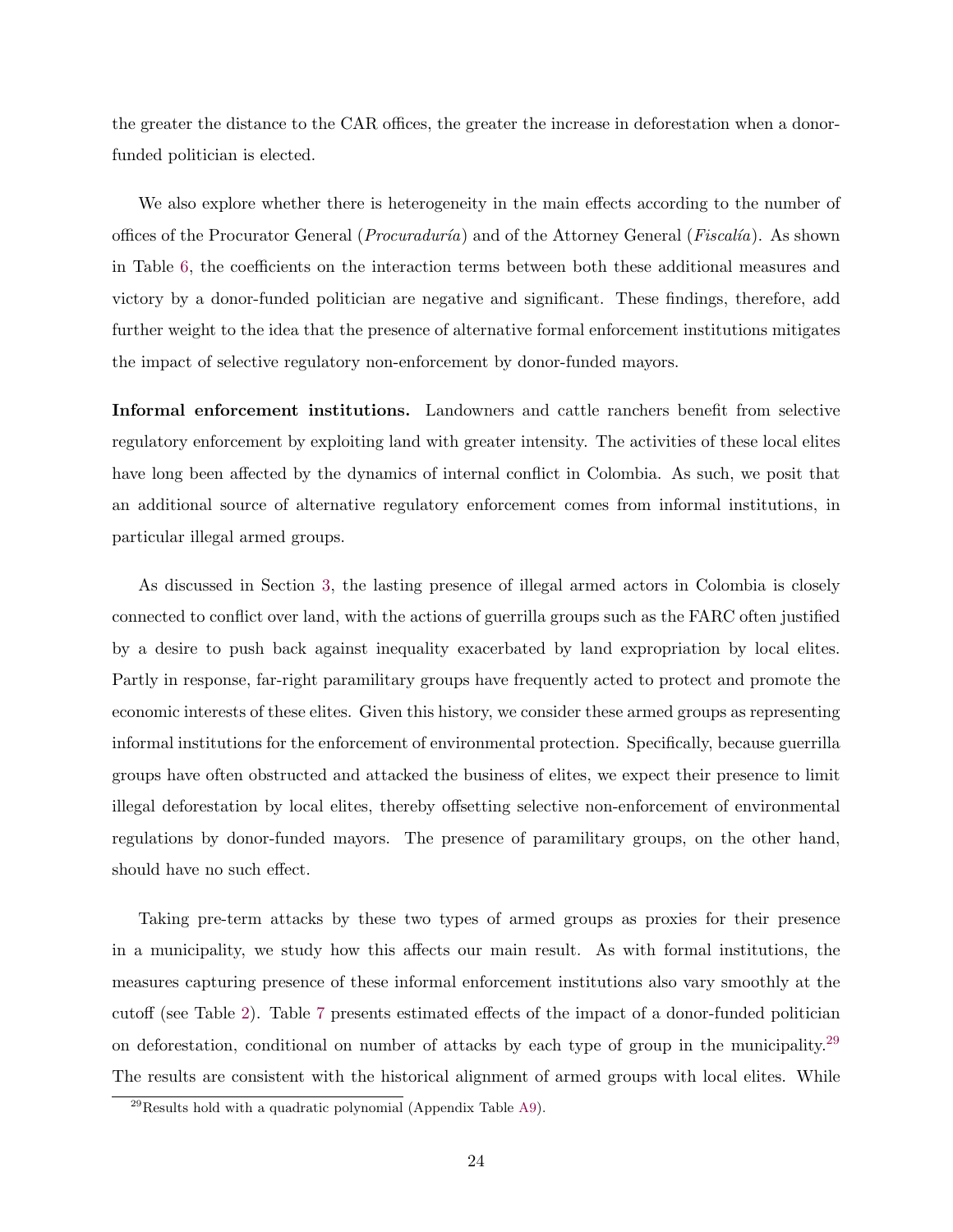the greater the distance to the CAR offices, the greater the increase in deforestation when a donorfunded politician is elected.

We also explore whether there is heterogeneity in the main effects according to the number of offices of the Procurator General (*Procuraduría*) and of the Attorney General (*Fiscalía*). As shown in Table [6,](#page-24-0) the coefficients on the interaction terms between both these additional measures and victory by a donor-funded politician are negative and significant. These findings, therefore, add further weight to the idea that the presence of alternative formal enforcement institutions mitigates the impact of selective regulatory non-enforcement by donor-funded mayors.

Informal enforcement institutions. Landowners and cattle ranchers benefit from selective regulatory enforcement by exploiting land with greater intensity. The activities of these local elites have long been affected by the dynamics of internal conflict in Colombia. As such, we posit that an additional source of alternative regulatory enforcement comes from informal institutions, in particular illegal armed groups.

As discussed in Section [3,](#page-8-0) the lasting presence of illegal armed actors in Colombia is closely connected to conflict over land, with the actions of guerrilla groups such as the FARC often justified by a desire to push back against inequality exacerbated by land expropriation by local elites. Partly in response, far-right paramilitary groups have frequently acted to protect and promote the economic interests of these elites. Given this history, we consider these armed groups as representing informal institutions for the enforcement of environmental protection. Specifically, because guerrilla groups have often obstructed and attacked the business of elites, we expect their presence to limit illegal deforestation by local elites, thereby offsetting selective non-enforcement of environmental regulations by donor-funded mayors. The presence of paramilitary groups, on the other hand, should have no such effect.

Taking pre-term attacks by these two types of armed groups as proxies for their presence in a municipality, we study how this affects our main result. As with formal institutions, the measures capturing presence of these informal enforcement institutions also vary smoothly at the cutoff (see Table [2\)](#page-16-0). Table [7](#page-26-0) presents estimated effects of the impact of a donor-funded politician on deforestation, conditional on number of attacks by each type of group in the municipality.<sup>[29](#page-1-0)</sup> The results are consistent with the historical alignment of armed groups with local elites. While

 $^{29}$ Results hold with a quadratic polynomial (Appendix Table [A9\)](#page-50-0).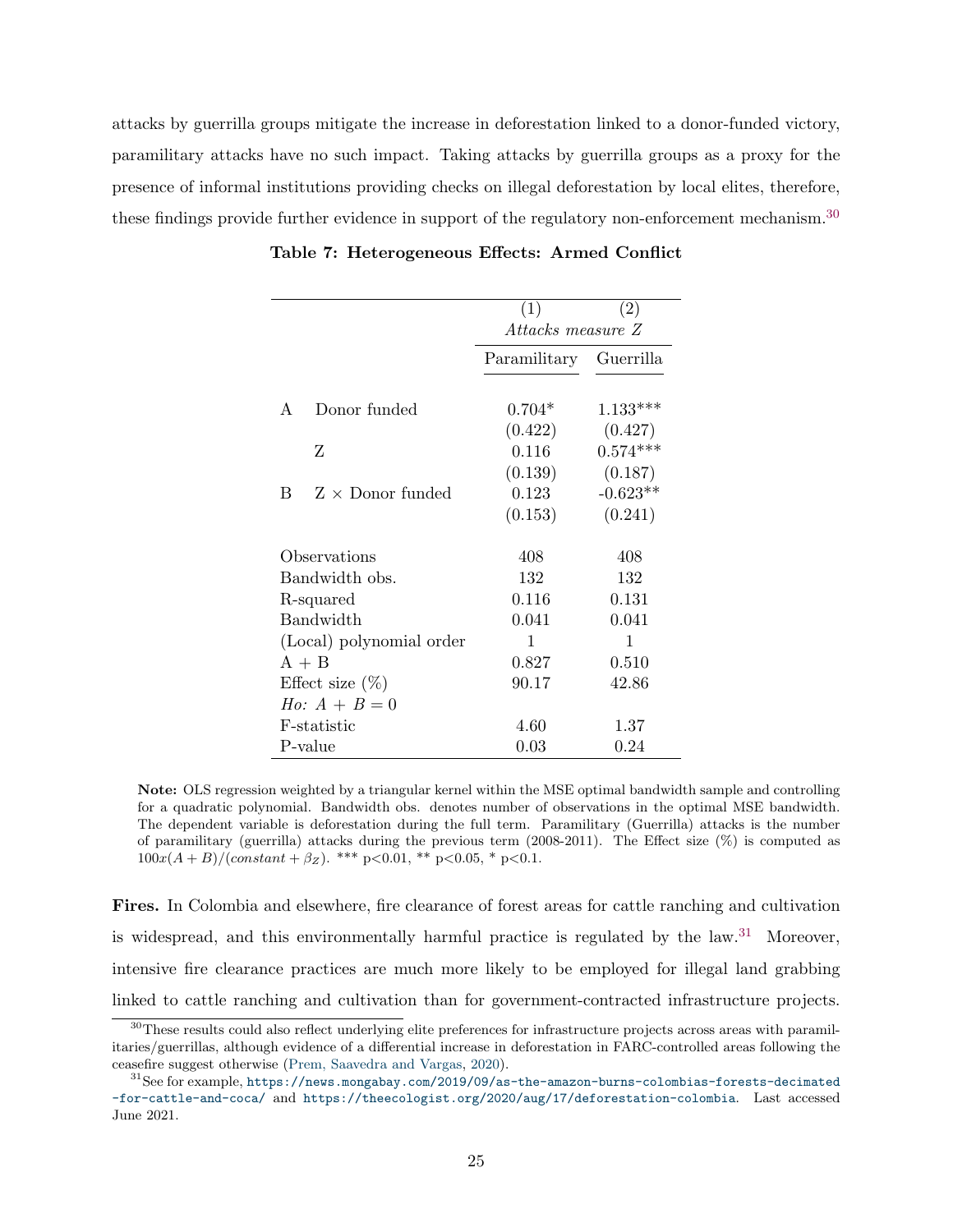<span id="page-26-0"></span>attacks by guerrilla groups mitigate the increase in deforestation linked to a donor-funded victory, paramilitary attacks have no such impact. Taking attacks by guerrilla groups as a proxy for the presence of informal institutions providing checks on illegal deforestation by local elites, therefore, these findings provide further evidence in support of the regulatory non-enforcement mechanism.<sup>[30](#page-1-0)</sup>

|                              | (1)               | (2)        |
|------------------------------|-------------------|------------|
|                              | Attacks measure Z |            |
|                              | Paramilitary      | Guerrilla  |
|                              |                   |            |
| Donor funded<br>A            | $0.704*$          | $1.133***$ |
|                              | (0.422)           | (0.427)    |
| Ζ                            | 0.116             | $0.574***$ |
|                              | (0.139)           | (0.187)    |
| $Z \times$ Donor funded<br>B | 0.123             | $-0.623**$ |
|                              | (0.153)           | (0.241)    |
| Observations                 | 408               | 408        |
| Bandwidth obs.               | 132               | 132        |
| R-squared                    | 0.116             | 0.131      |
| <b>Bandwidth</b>             | 0.041             | 0.041      |
| (Local) polynomial order     | 1                 | 1          |
| $A + B$                      | 0.827             | 0.510      |
| Effect size $(\%)$           | 90.17             | 42.86      |
| <i>Ho:</i> $A + B = 0$       |                   |            |
| F-statistic                  | 4.60              | 1.37       |
| P-value                      | 0.03              | 0.24       |

Table 7: Heterogeneous Effects: Armed Conflict

Note: OLS regression weighted by a triangular kernel within the MSE optimal bandwidth sample and controlling for a quadratic polynomial. Bandwidth obs. denotes number of observations in the optimal MSE bandwidth. The dependent variable is deforestation during the full term. Paramilitary (Guerrilla) attacks is the number of paramilitary (guerrilla) attacks during the previous term (2008-2011). The Effect size (%) is computed as  $100x(A + B)/(constant + \beta_Z)$ . \*\*\* p<0.01, \*\* p<0.05, \* p<0.1.

Fires. In Colombia and elsewhere, fire clearance of forest areas for cattle ranching and cultivation is widespread, and this environmentally harmful practice is regulated by the law. $31$  Moreover, intensive fire clearance practices are much more likely to be employed for illegal land grabbing linked to cattle ranching and cultivation than for government-contracted infrastructure projects.

<sup>&</sup>lt;sup>30</sup>These results could also reflect underlying elite preferences for infrastructure projects across areas with paramilitaries/guerrillas, although evidence of a differential increase in deforestation in FARC-controlled areas following the ceasefire suggest otherwise [\(Prem, Saavedra and Vargas,](#page-35-4) [2020\)](#page-35-4).

 $31$ See for example, [https://news.mongabay.com/2019/09/as-the-amazon-burns-colombias-forests-decimated](https://news.mongabay.com/2019/09/as-the-amazon-burns-colombias-forests-decimated-for-cattle-and-coca/) [-for-cattle-and-coca/](https://news.mongabay.com/2019/09/as-the-amazon-burns-colombias-forests-decimated-for-cattle-and-coca/) and <https://theecologist.org/2020/aug/17/deforestation-colombia>. Last accessed June 2021.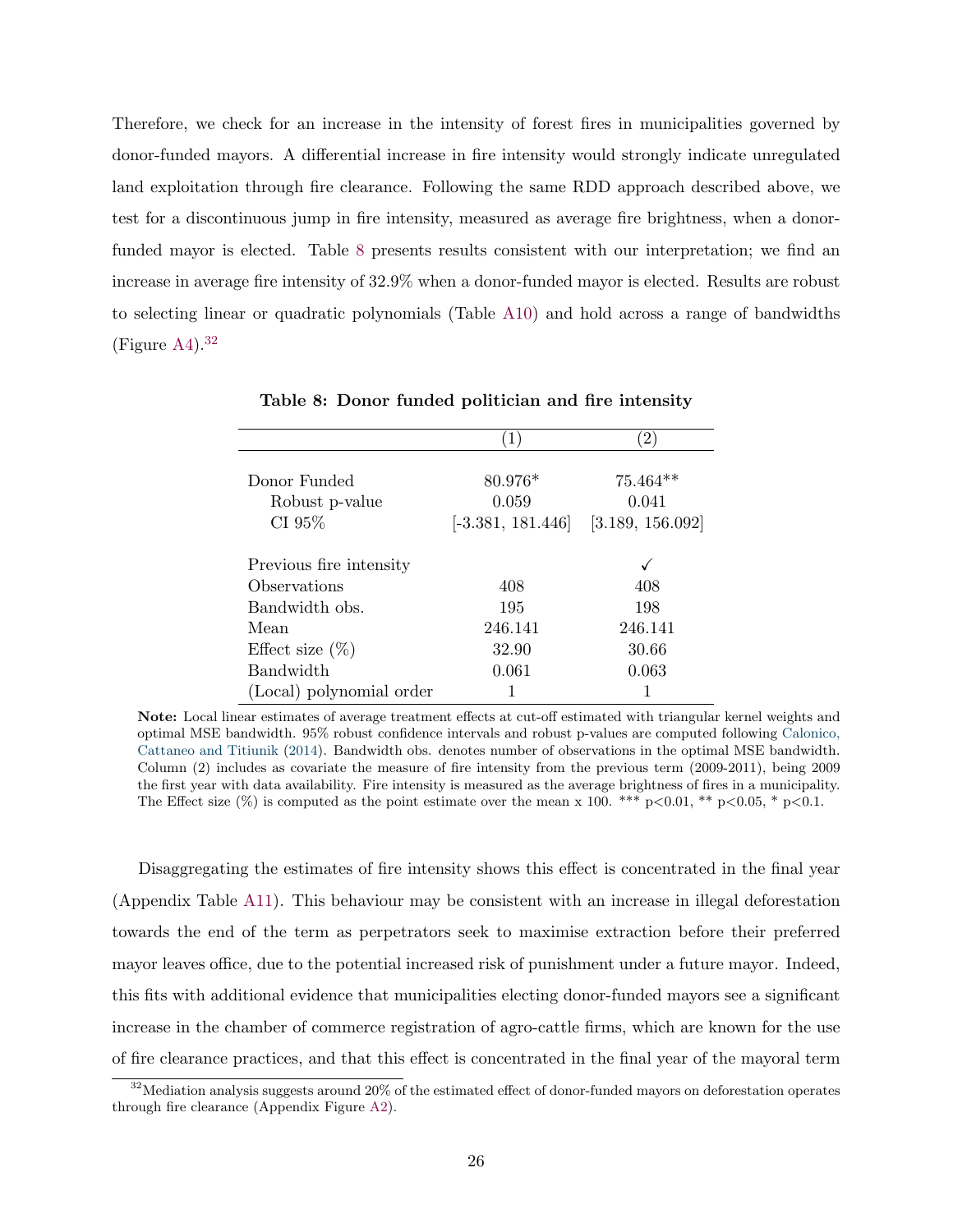Therefore, we check for an increase in the intensity of forest fires in municipalities governed by donor-funded mayors. A differential increase in fire intensity would strongly indicate unregulated land exploitation through fire clearance. Following the same RDD approach described above, we test for a discontinuous jump in fire intensity, measured as average fire brightness, when a donorfunded mayor is elected. Table [8](#page-27-0) presents results consistent with our interpretation; we find an increase in average fire intensity of 32.9% when a donor-funded mayor is elected. Results are robust to selecting linear or quadratic polynomials (Table [A10\)](#page-51-0) and hold across a range of bandwidths (Figure  $A4$ ).<sup>[32](#page-1-0)</sup>

<span id="page-27-0"></span>

| Donor Funded             | 80.976*             |                  |
|--------------------------|---------------------|------------------|
|                          |                     | $75.464**$       |
| Robust p-value           | 0.059               | 0.041            |
| CI 95%                   | $[-3.381, 181.446]$ | [3.189, 156.092] |
| Previous fire intensity  |                     |                  |
|                          |                     |                  |
| Observations             | 408                 | 408              |
| Bandwidth obs.           | 195                 | 198              |
| Mean                     | 246.141             | 246.141          |
| Effect size $(\%)$       | 32.90               | 30.66            |
| <b>Bandwidth</b>         | 0.061               | 0.063            |
| (Local) polynomial order |                     |                  |

Table 8: Donor funded politician and fire intensity

Note: Local linear estimates of average treatment effects at cut-off estimated with triangular kernel weights and optimal MSE bandwidth. 95% robust confidence intervals and robust p-values are computed following [Calonico,](#page-33-11) [Cattaneo and Titiunik](#page-33-11) [\(2014\)](#page-33-11). Bandwidth obs. denotes number of observations in the optimal MSE bandwidth. Column (2) includes as covariate the measure of fire intensity from the previous term (2009-2011), being 2009 the first year with data availability. Fire intensity is measured as the average brightness of fires in a municipality. The Effect size  $(\%)$  is computed as the point estimate over the mean x 100. \*\*\* p<0.01, \*\* p<0.05, \* p<0.1.

Disaggregating the estimates of fire intensity shows this effect is concentrated in the final year (Appendix Table [A11\)](#page-52-0). This behaviour may be consistent with an increase in illegal deforestation towards the end of the term as perpetrators seek to maximise extraction before their preferred mayor leaves office, due to the potential increased risk of punishment under a future mayor. Indeed, this fits with additional evidence that municipalities electing donor-funded mayors see a significant increase in the chamber of commerce registration of agro-cattle firms, which are known for the use of fire clearance practices, and that this effect is concentrated in the final year of the mayoral term

 $32$ Mediation analysis suggests around 20% of the estimated effect of donor-funded mayors on deforestation operates through fire clearance (Appendix Figure [A2\)](#page-39-0).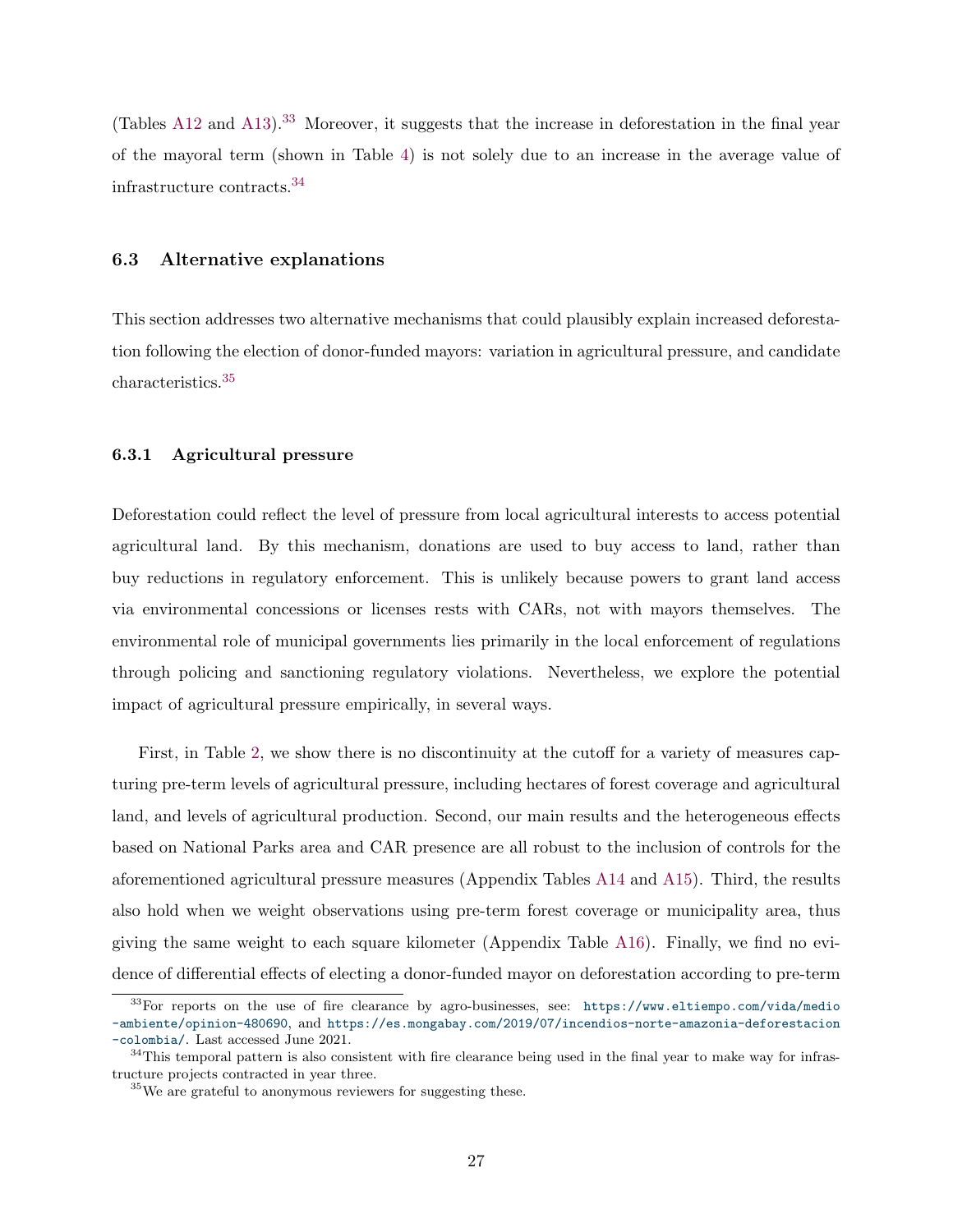(Tables [A12](#page-53-0) and [A13\)](#page-54-0).<sup>[33](#page-1-0)</sup> Moreover, it suggests that the increase in deforestation in the final year of the mayoral term (shown in Table [4\)](#page-21-0) is not solely due to an increase in the average value of infrastructure contracts.[34](#page-1-0)

#### 6.3 Alternative explanations

This section addresses two alternative mechanisms that could plausibly explain increased deforestation following the election of donor-funded mayors: variation in agricultural pressure, and candidate characteristics.[35](#page-1-0)

#### 6.3.1 Agricultural pressure

Deforestation could reflect the level of pressure from local agricultural interests to access potential agricultural land. By this mechanism, donations are used to buy access to land, rather than buy reductions in regulatory enforcement. This is unlikely because powers to grant land access via environmental concessions or licenses rests with CARs, not with mayors themselves. The environmental role of municipal governments lies primarily in the local enforcement of regulations through policing and sanctioning regulatory violations. Nevertheless, we explore the potential impact of agricultural pressure empirically, in several ways.

First, in Table [2,](#page-16-0) we show there is no discontinuity at the cutoff for a variety of measures capturing pre-term levels of agricultural pressure, including hectares of forest coverage and agricultural land, and levels of agricultural production. Second, our main results and the heterogeneous effects based on National Parks area and CAR presence are all robust to the inclusion of controls for the aforementioned agricultural pressure measures (Appendix Tables [A14](#page-55-0) and [A15\)](#page-56-0). Third, the results also hold when we weight observations using pre-term forest coverage or municipality area, thus giving the same weight to each square kilometer (Appendix Table [A16\)](#page-57-0). Finally, we find no evidence of differential effects of electing a donor-funded mayor on deforestation according to pre-term

<sup>33</sup>For reports on the use of fire clearance by agro-businesses, see: [https://www.eltiempo.com/vida/medio](https://www.eltiempo.com/vida/medio-ambiente/opinion-480690) [-ambiente/opinion-480690](https://www.eltiempo.com/vida/medio-ambiente/opinion-480690), and [https://es.mongabay.com/2019/07/incendios-norte-amazonia-deforestacion](https://es.mongabay.com/2019/07/incendios-norte-amazonia-deforestacion-colombia/) [-colombia/](https://es.mongabay.com/2019/07/incendios-norte-amazonia-deforestacion-colombia/). Last accessed June 2021.

<sup>&</sup>lt;sup>34</sup>This temporal pattern is also consistent with fire clearance being used in the final year to make way for infrastructure projects contracted in year three.

<sup>35</sup>We are grateful to anonymous reviewers for suggesting these.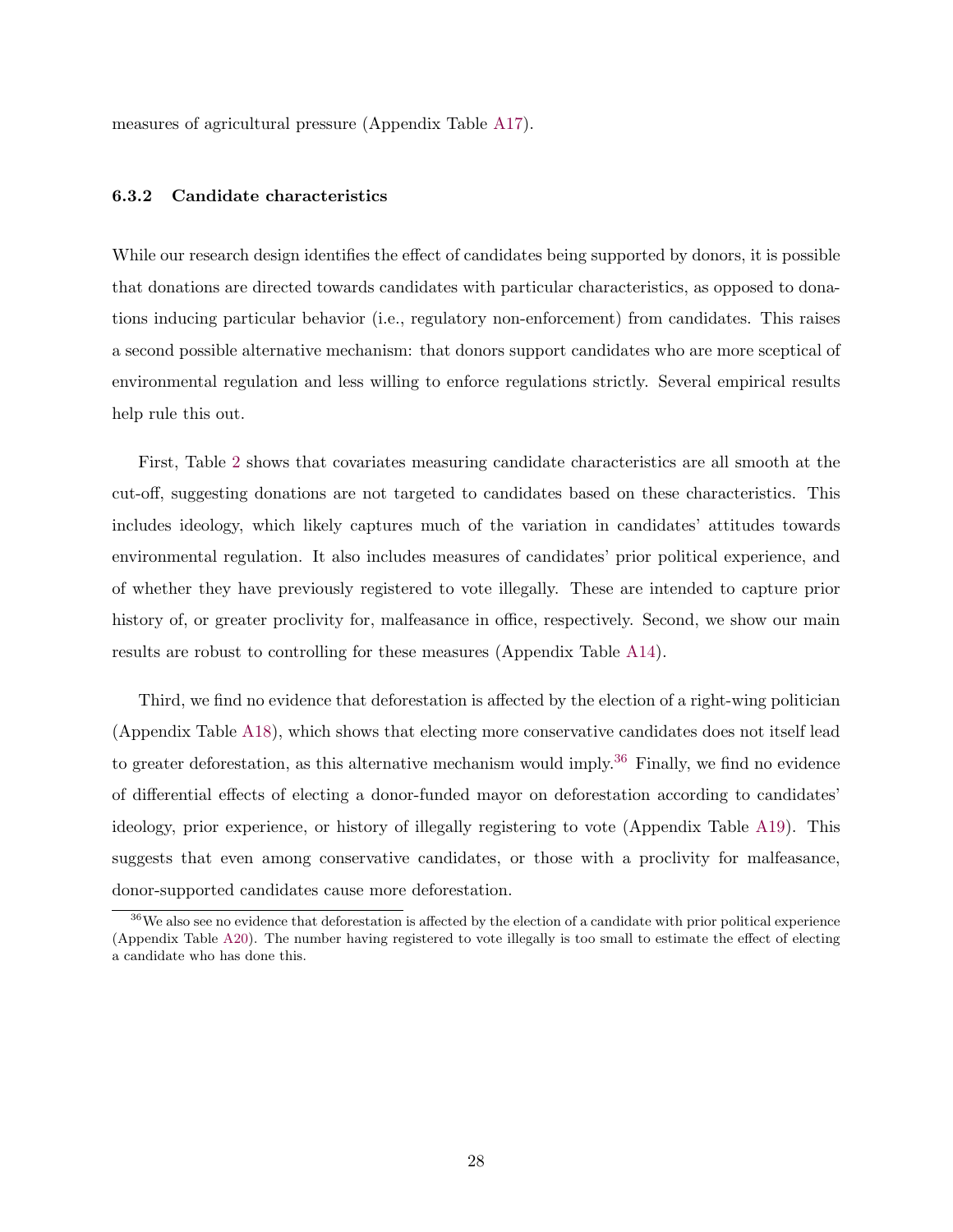measures of agricultural pressure (Appendix Table [A17\)](#page-58-0).

#### 6.3.2 Candidate characteristics

While our research design identifies the effect of candidates being supported by donors, it is possible that donations are directed towards candidates with particular characteristics, as opposed to donations inducing particular behavior (i.e., regulatory non-enforcement) from candidates. This raises a second possible alternative mechanism: that donors support candidates who are more sceptical of environmental regulation and less willing to enforce regulations strictly. Several empirical results help rule this out.

First, Table [2](#page-16-0) shows that covariates measuring candidate characteristics are all smooth at the cut-off, suggesting donations are not targeted to candidates based on these characteristics. This includes ideology, which likely captures much of the variation in candidates' attitudes towards environmental regulation. It also includes measures of candidates' prior political experience, and of whether they have previously registered to vote illegally. These are intended to capture prior history of, or greater proclivity for, malfeasance in office, respectively. Second, we show our main results are robust to controlling for these measures (Appendix Table [A14\)](#page-55-0).

Third, we find no evidence that deforestation is affected by the election of a right-wing politician (Appendix Table [A18\)](#page-59-0), which shows that electing more conservative candidates does not itself lead to greater deforestation, as this alternative mechanism would imply.<sup>[36](#page-1-0)</sup> Finally, we find no evidence of differential effects of electing a donor-funded mayor on deforestation according to candidates' ideology, prior experience, or history of illegally registering to vote (Appendix Table [A19\)](#page-60-0). This suggests that even among conservative candidates, or those with a proclivity for malfeasance, donor-supported candidates cause more deforestation.

<sup>&</sup>lt;sup>36</sup>We also see no evidence that deforestation is affected by the election of a candidate with prior political experience (Appendix Table [A20\)](#page-61-0). The number having registered to vote illegally is too small to estimate the effect of electing a candidate who has done this.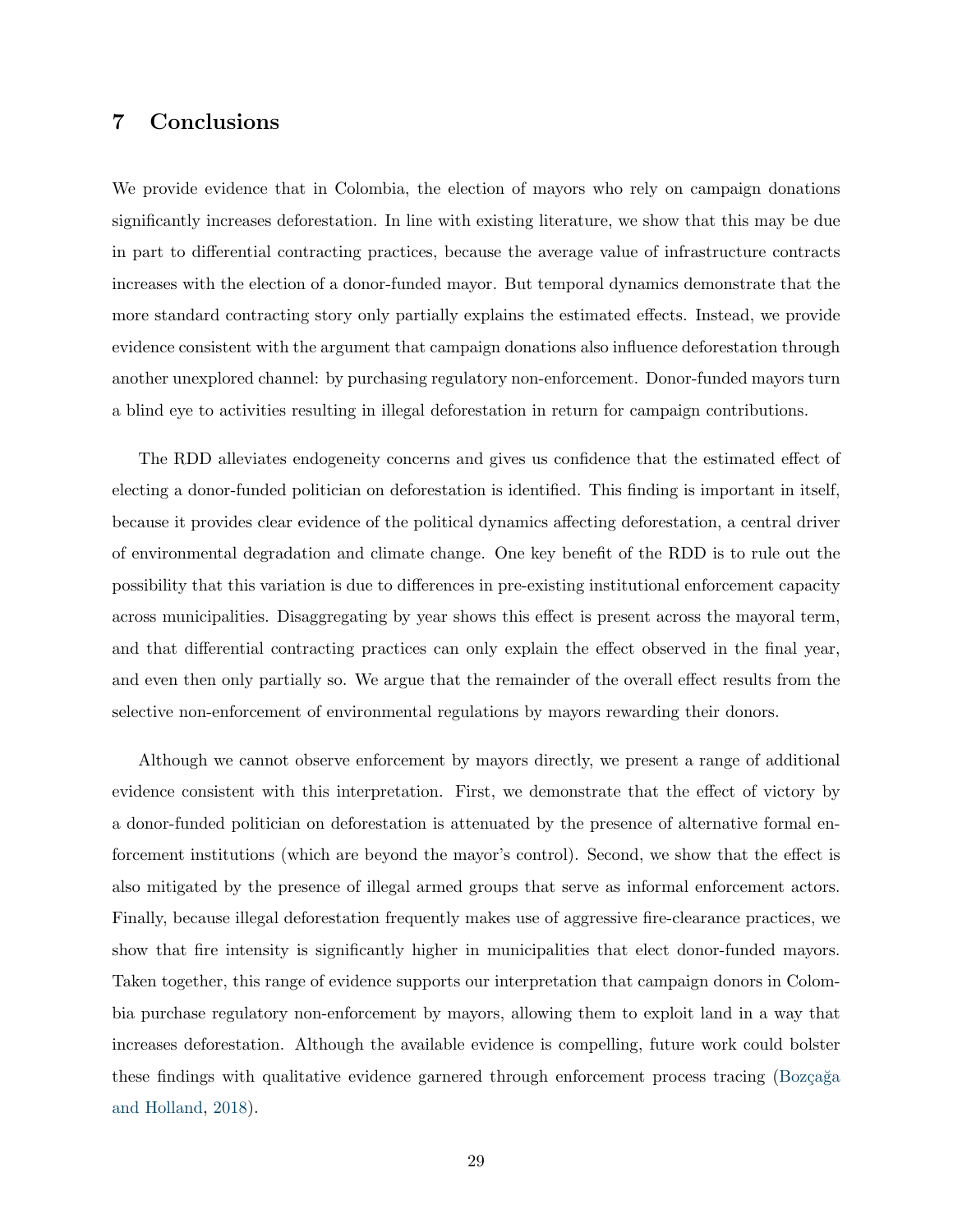### 7 Conclusions

We provide evidence that in Colombia, the election of mayors who rely on campaign donations significantly increases deforestation. In line with existing literature, we show that this may be due in part to differential contracting practices, because the average value of infrastructure contracts increases with the election of a donor-funded mayor. But temporal dynamics demonstrate that the more standard contracting story only partially explains the estimated effects. Instead, we provide evidence consistent with the argument that campaign donations also influence deforestation through another unexplored channel: by purchasing regulatory non-enforcement. Donor-funded mayors turn a blind eye to activities resulting in illegal deforestation in return for campaign contributions.

The RDD alleviates endogeneity concerns and gives us confidence that the estimated effect of electing a donor-funded politician on deforestation is identified. This finding is important in itself, because it provides clear evidence of the political dynamics affecting deforestation, a central driver of environmental degradation and climate change. One key benefit of the RDD is to rule out the possibility that this variation is due to differences in pre-existing institutional enforcement capacity across municipalities. Disaggregating by year shows this effect is present across the mayoral term, and that differential contracting practices can only explain the effect observed in the final year, and even then only partially so. We argue that the remainder of the overall effect results from the selective non-enforcement of environmental regulations by mayors rewarding their donors.

Although we cannot observe enforcement by mayors directly, we present a range of additional evidence consistent with this interpretation. First, we demonstrate that the effect of victory by a donor-funded politician on deforestation is attenuated by the presence of alternative formal enforcement institutions (which are beyond the mayor's control). Second, we show that the effect is also mitigated by the presence of illegal armed groups that serve as informal enforcement actors. Finally, because illegal deforestation frequently makes use of aggressive fire-clearance practices, we show that fire intensity is significantly higher in municipalities that elect donor-funded mayors. Taken together, this range of evidence supports our interpretation that campaign donors in Colombia purchase regulatory non-enforcement by mayors, allowing them to exploit land in a way that increases deforestation. Although the available evidence is compelling, future work could bolster these findings with qualitative evidence garnered through enforcement process tracing (Bozçağa [and Holland,](#page-32-10) [2018\)](#page-32-10).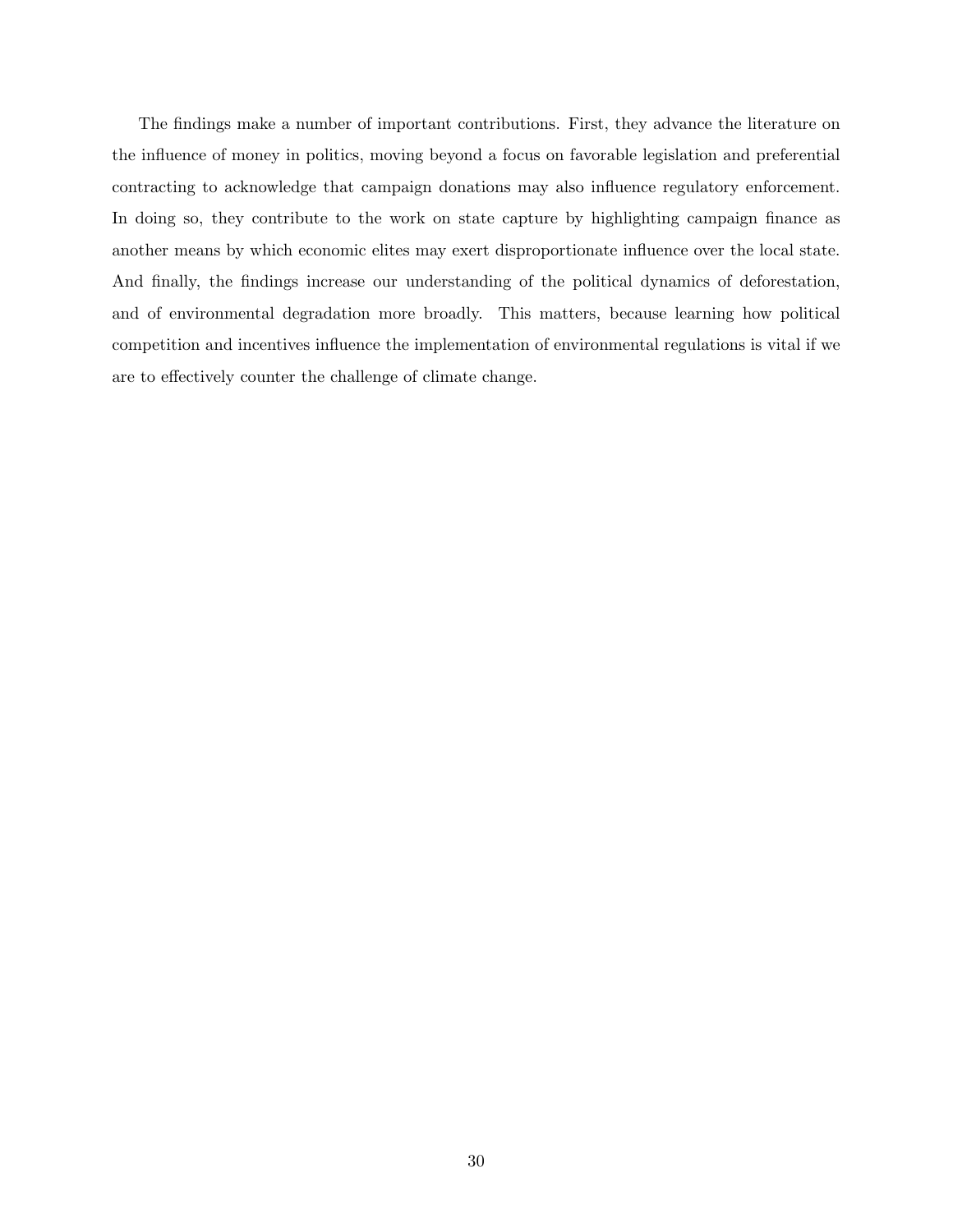The findings make a number of important contributions. First, they advance the literature on the influence of money in politics, moving beyond a focus on favorable legislation and preferential contracting to acknowledge that campaign donations may also influence regulatory enforcement. In doing so, they contribute to the work on state capture by highlighting campaign finance as another means by which economic elites may exert disproportionate influence over the local state. And finally, the findings increase our understanding of the political dynamics of deforestation, and of environmental degradation more broadly. This matters, because learning how political competition and incentives influence the implementation of environmental regulations is vital if we are to effectively counter the challenge of climate change.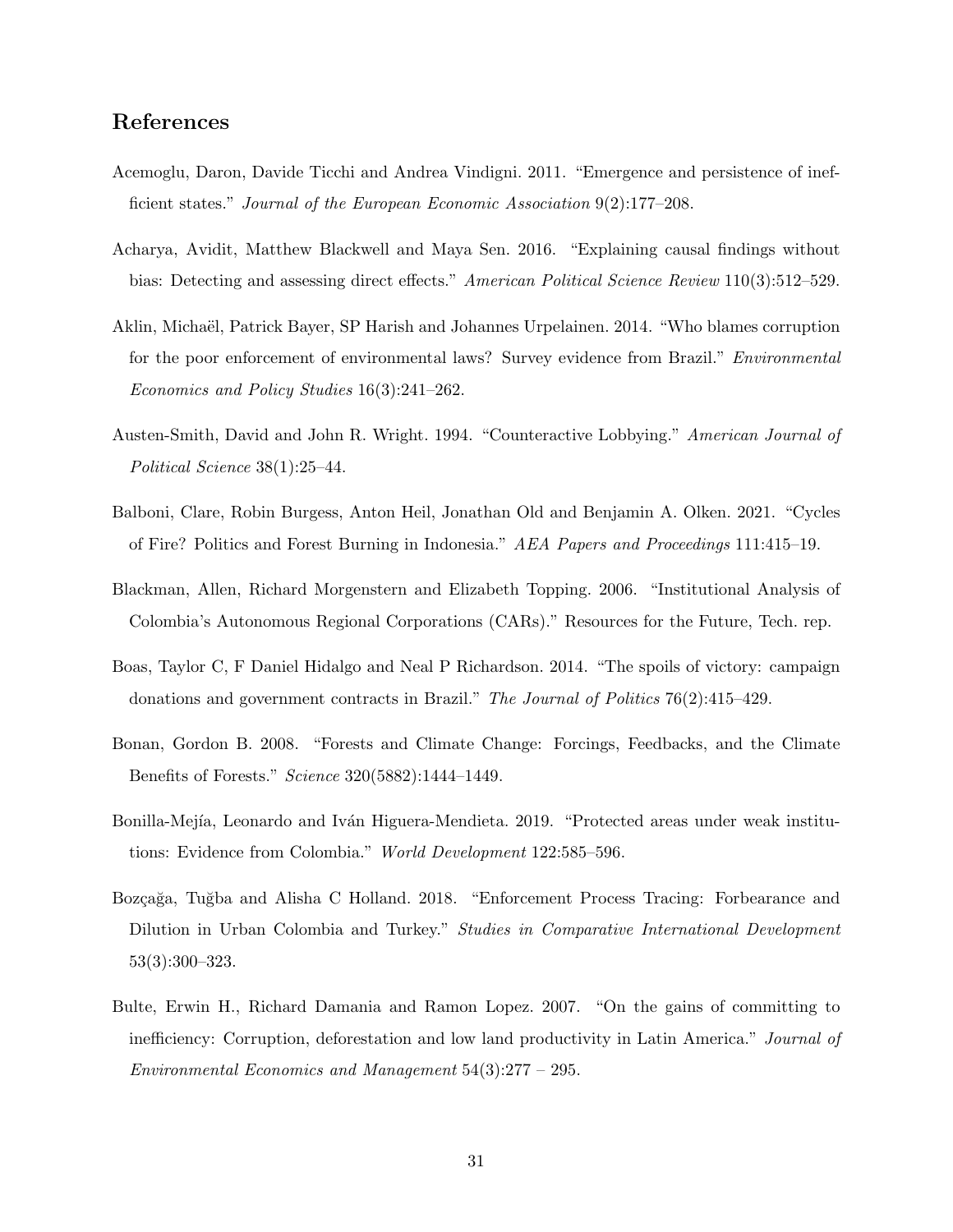### References

- <span id="page-32-1"></span>Acemoglu, Daron, Davide Ticchi and Andrea Vindigni. 2011. "Emergence and persistence of inefficient states." Journal of the European Economic Association 9(2):177–208.
- <span id="page-32-8"></span>Acharya, Avidit, Matthew Blackwell and Maya Sen. 2016. "Explaining causal findings without bias: Detecting and assessing direct effects." American Political Science Review 110(3):512–529.
- <span id="page-32-2"></span>Aklin, Micha¨el, Patrick Bayer, SP Harish and Johannes Urpelainen. 2014. "Who blames corruption for the poor enforcement of environmental laws? Survey evidence from Brazil." Environmental Economics and Policy Studies 16(3):241–262.
- <span id="page-32-6"></span>Austen-Smith, David and John R. Wright. 1994. "Counteractive Lobbying." American Journal of Political Science 38(1):25–44.
- <span id="page-32-4"></span>Balboni, Clare, Robin Burgess, Anton Heil, Jonathan Old and Benjamin A. Olken. 2021. "Cycles of Fire? Politics and Forest Burning in Indonesia." AEA Papers and Proceedings 111:415–19.
- <span id="page-32-7"></span>Blackman, Allen, Richard Morgenstern and Elizabeth Topping. 2006. "Institutional Analysis of Colombia's Autonomous Regional Corporations (CARs)." Resources for the Future, Tech. rep.
- <span id="page-32-0"></span>Boas, Taylor C, F Daniel Hidalgo and Neal P Richardson. 2014. "The spoils of victory: campaign donations and government contracts in Brazil." The Journal of Politics 76(2):415–429.
- <span id="page-32-3"></span>Bonan, Gordon B. 2008. "Forests and Climate Change: Forcings, Feedbacks, and the Climate Benefits of Forests." Science 320(5882):1444–1449.
- <span id="page-32-9"></span>Bonilla-Mejía, Leonardo and Iván Higuera-Mendieta. 2019. "Protected areas under weak institutions: Evidence from Colombia." World Development 122:585–596.
- <span id="page-32-10"></span>Bozçağa, Tuğba and Alisha C Holland. 2018. "Enforcement Process Tracing: Forbearance and Dilution in Urban Colombia and Turkey." Studies in Comparative International Development 53(3):300–323.
- <span id="page-32-5"></span>Bulte, Erwin H., Richard Damania and Ramon Lopez. 2007. "On the gains of committing to inefficiency: Corruption, deforestation and low land productivity in Latin America." Journal of Environmental Economics and Management 54(3):277 – 295.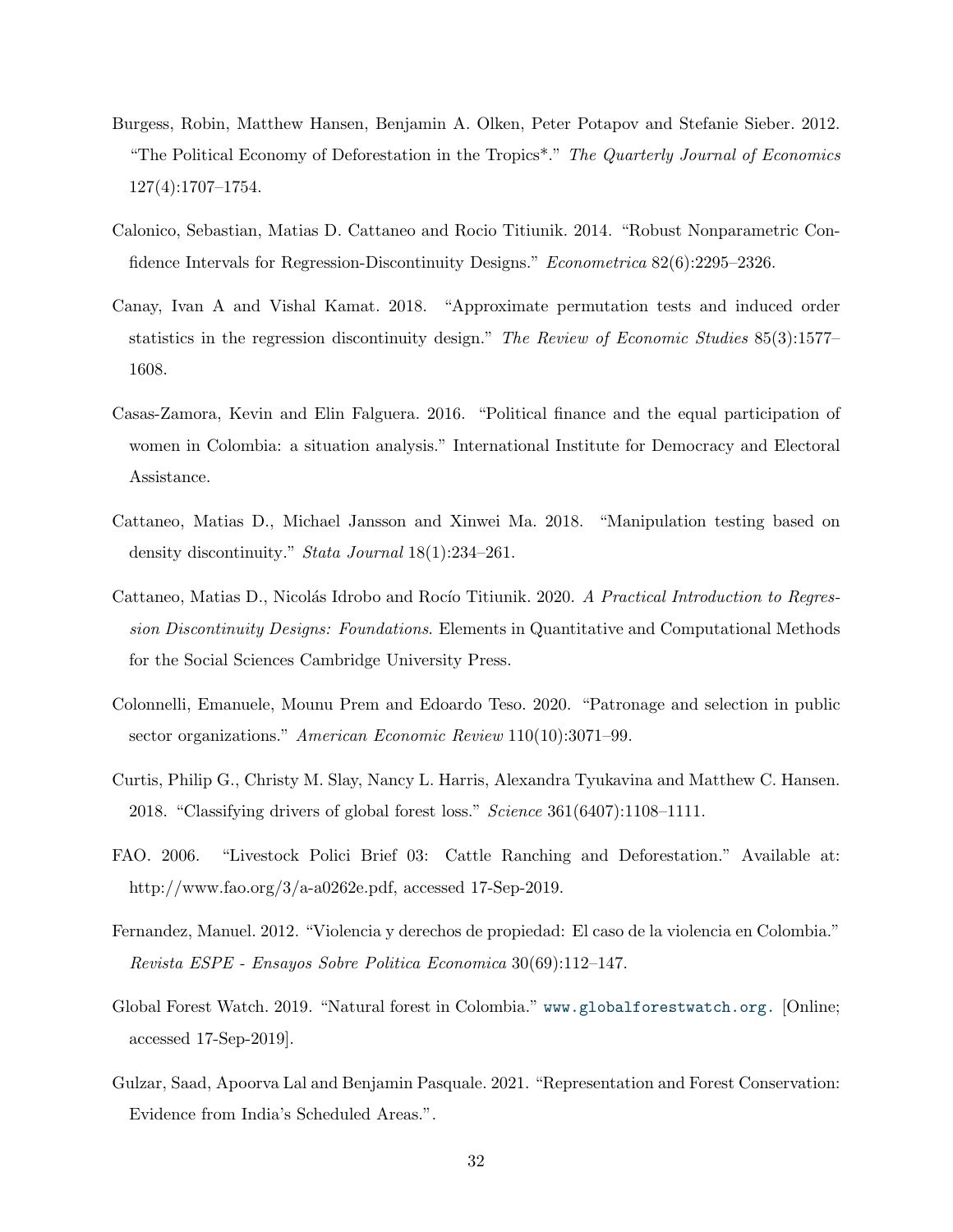- <span id="page-33-3"></span>Burgess, Robin, Matthew Hansen, Benjamin A. Olken, Peter Potapov and Stefanie Sieber. 2012. "The Political Economy of Deforestation in the Tropics\*." The Quarterly Journal of Economics 127(4):1707–1754.
- <span id="page-33-11"></span>Calonico, Sebastian, Matias D. Cattaneo and Rocio Titiunik. 2014. "Robust Nonparametric Confidence Intervals for Regression-Discontinuity Designs." Econometrica 82(6):2295–2326.
- <span id="page-33-9"></span>Canay, Ivan A and Vishal Kamat. 2018. "Approximate permutation tests and induced order statistics in the regression discontinuity design." The Review of Economic Studies 85(3):1577– 1608.
- <span id="page-33-7"></span>Casas-Zamora, Kevin and Elin Falguera. 2016. "Political finance and the equal participation of women in Colombia: a situation analysis." International Institute for Democracy and Electoral Assistance.
- <span id="page-33-8"></span>Cattaneo, Matias D., Michael Jansson and Xinwei Ma. 2018. "Manipulation testing based on density discontinuity." Stata Journal 18(1):234–261.
- <span id="page-33-10"></span>Cattaneo, Matias D., Nicolás Idrobo and Rocío Titiunik. 2020. A Practical Introduction to Regression Discontinuity Designs: Foundations. Elements in Quantitative and Computational Methods for the Social Sciences Cambridge University Press.
- <span id="page-33-0"></span>Colonnelli, Emanuele, Mounu Prem and Edoardo Teso. 2020. "Patronage and selection in public sector organizations." American Economic Review 110(10):3071-99.
- <span id="page-33-1"></span>Curtis, Philip G., Christy M. Slay, Nancy L. Harris, Alexandra Tyukavina and Matthew C. Hansen. 2018. "Classifying drivers of global forest loss." Science 361(6407):1108–1111.
- <span id="page-33-5"></span>FAO. 2006. "Livestock Polici Brief 03: Cattle Ranching and Deforestation." Available at: http://www.fao.org/3/a-a0262e.pdf, accessed 17-Sep-2019.
- <span id="page-33-6"></span>Fernandez, Manuel. 2012. "Violencia y derechos de propiedad: El caso de la violencia en Colombia." Revista ESPE - Ensayos Sobre Politica Economica 30(69):112–147.
- <span id="page-33-4"></span>Global Forest Watch. 2019. "Natural forest in Colombia." <www.globalforestwatch.org.> [Online; accessed 17-Sep-2019].
- <span id="page-33-2"></span>Gulzar, Saad, Apoorva Lal and Benjamin Pasquale. 2021. "Representation and Forest Conservation: Evidence from India's Scheduled Areas.".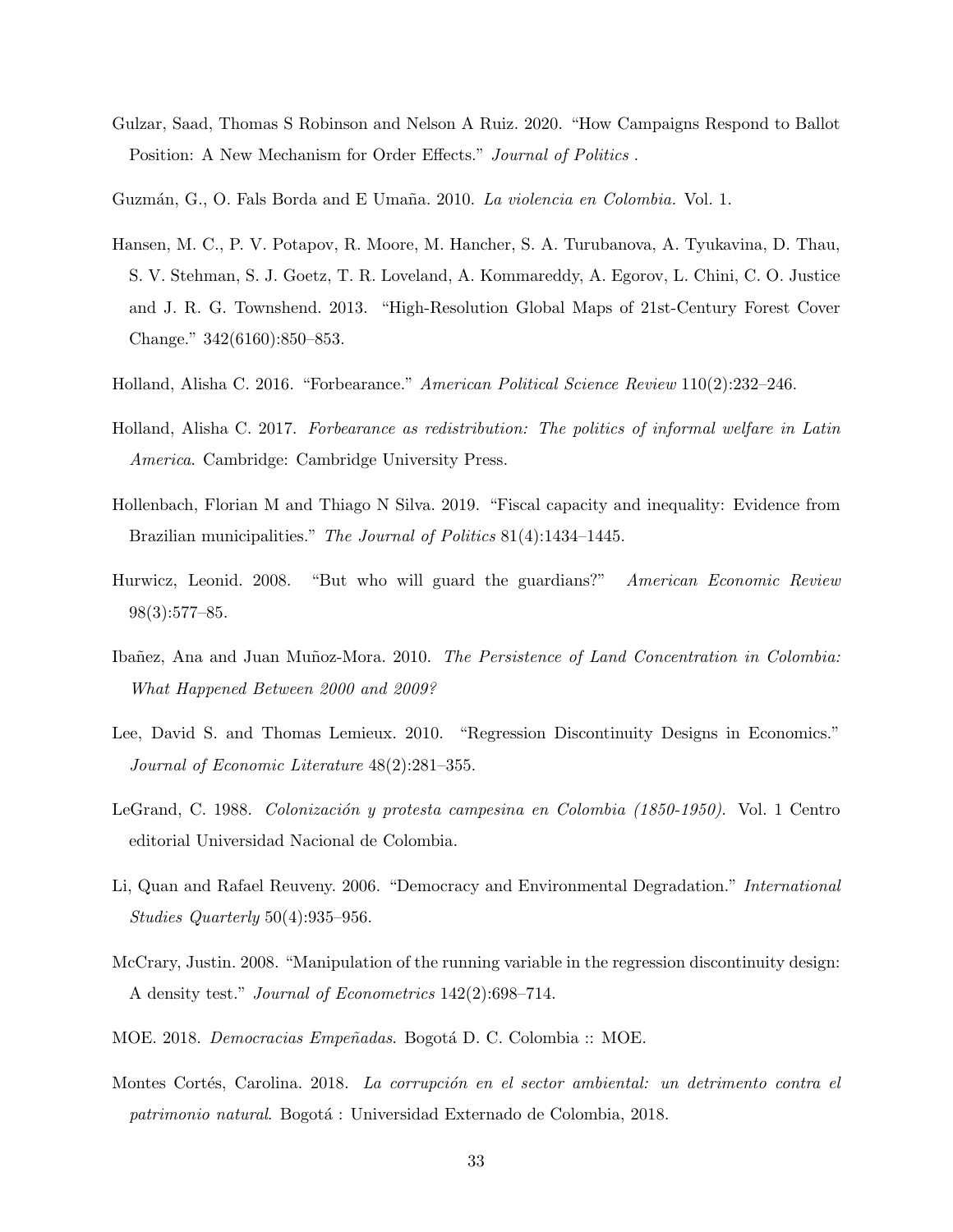- <span id="page-34-10"></span>Gulzar, Saad, Thomas S Robinson and Nelson A Ruiz. 2020. "How Campaigns Respond to Ballot Position: A New Mechanism for Order Effects." Journal of Politics.
- <span id="page-34-6"></span>Guzmán, G., O. Fals Borda and E Umaña. 2010. La violencia en Colombia. Vol. 1.
- <span id="page-34-11"></span>Hansen, M. C., P. V. Potapov, R. Moore, M. Hancher, S. A. Turubanova, A. Tyukavina, D. Thau, S. V. Stehman, S. J. Goetz, T. R. Loveland, A. Kommareddy, A. Egorov, L. Chini, C. O. Justice and J. R. G. Townshend. 2013. "High-Resolution Global Maps of 21st-Century Forest Cover Change." 342(6160):850–853.
- <span id="page-34-4"></span>Holland, Alisha C. 2016. "Forbearance." American Political Science Review 110(2):232–246.
- <span id="page-34-3"></span>Holland, Alisha C. 2017. Forbearance as redistribution: The politics of informal welfare in Latin America. Cambridge: Cambridge University Press.
- <span id="page-34-0"></span>Hollenbach, Florian M and Thiago N Silva. 2019. "Fiscal capacity and inequality: Evidence from Brazilian municipalities." The Journal of Politics 81(4):1434–1445.
- <span id="page-34-1"></span>Hurwicz, Leonid. 2008. "But who will guard the guardians?" American Economic Review 98(3):577–85.
- <span id="page-34-7"></span>Ibañez, Ana and Juan Muñoz-Mora. 2010. The Persistence of Land Concentration in Colombia: What Happened Between 2000 and 2009?
- <span id="page-34-13"></span>Lee, David S. and Thomas Lemieux. 2010. "Regression Discontinuity Designs in Economics." Journal of Economic Literature 48(2):281–355.
- <span id="page-34-5"></span>LeGrand, C. 1988. Colonización y protesta campesina en Colombia (1850-1950). Vol. 1 Centro editorial Universidad Nacional de Colombia.
- <span id="page-34-2"></span>Li, Quan and Rafael Reuveny. 2006. "Democracy and Environmental Degradation." International Studies Quarterly 50(4):935–956.
- <span id="page-34-12"></span>McCrary, Justin. 2008. "Manipulation of the running variable in the regression discontinuity design: A density test." Journal of Econometrics 142(2):698–714.
- <span id="page-34-9"></span>MOE. 2018. *Democracias Empeñadas*. Bogotá D. C. Colombia :: MOE.
- <span id="page-34-8"></span>Montes Cortés, Carolina. 2018. La corrupción en el sector ambiental: un detrimento contra el patrimonio natural. Bogotá : Universidad Externado de Colombia, 2018.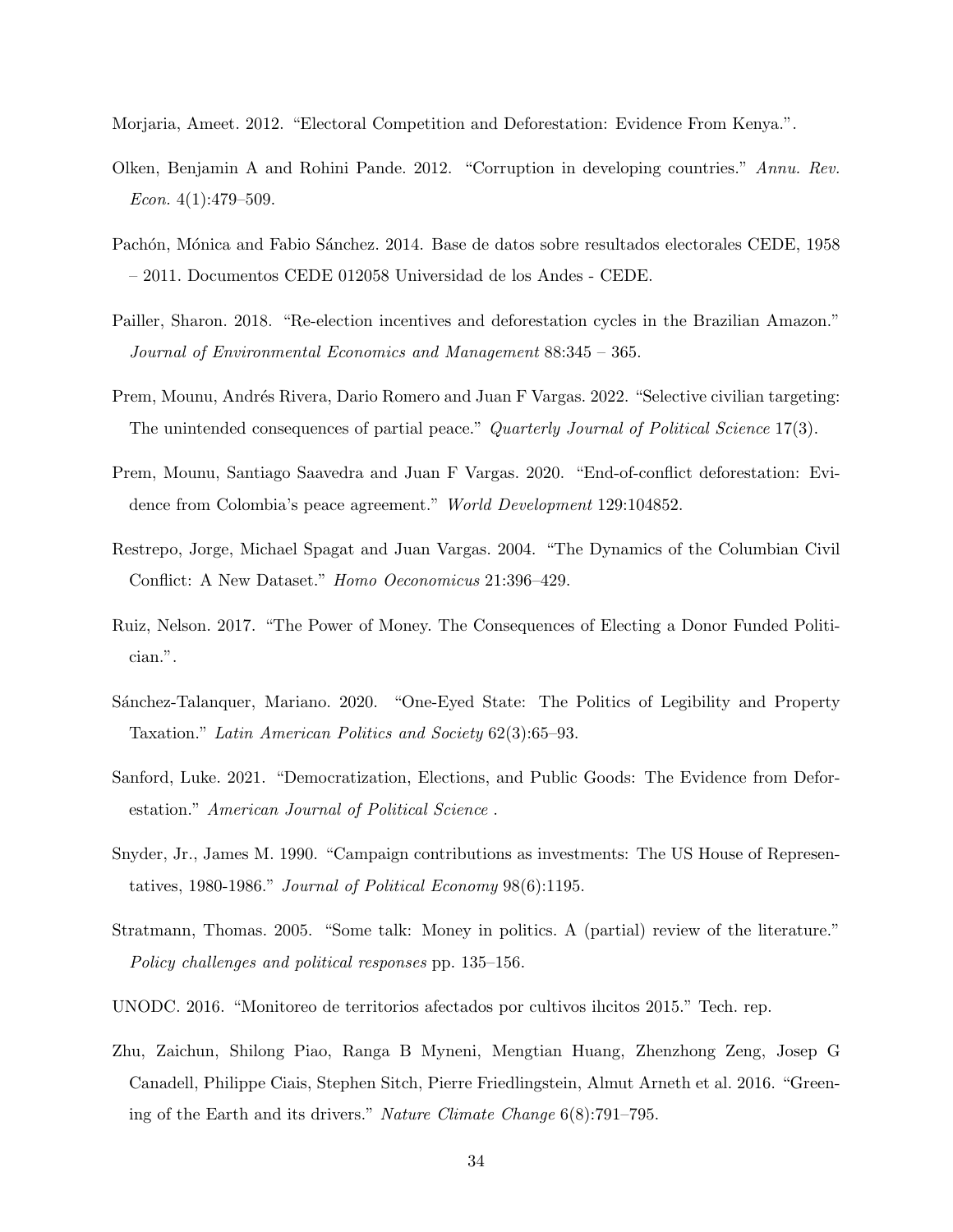<span id="page-35-5"></span>Morjaria, Ameet. 2012. "Electoral Competition and Deforestation: Evidence From Kenya.".

- <span id="page-35-3"></span>Olken, Benjamin A and Rohini Pande. 2012. "Corruption in developing countries." Annu. Rev. Econ.  $4(1):479-509$ .
- <span id="page-35-10"></span>Pachón, Mónica and Fabio Sánchez. 2014. Base de datos sobre resultados electorales CEDE, 1958 – 2011. Documentos CEDE 012058 Universidad de los Andes - CEDE.
- <span id="page-35-7"></span>Pailler, Sharon. 2018. "Re-election incentives and deforestation cycles in the Brazilian Amazon." Journal of Environmental Economics and Management 88:345 – 365.
- <span id="page-35-13"></span>Prem, Mounu, Andrés Rivera, Dario Romero and Juan F Vargas. 2022. "Selective civilian targeting: The unintended consequences of partial peace." Quarterly Journal of Political Science 17(3).
- <span id="page-35-4"></span>Prem, Mounu, Santiago Saavedra and Juan F Vargas. 2020. "End-of-conflict deforestation: Evidence from Colombia's peace agreement." World Development 129:104852.
- <span id="page-35-12"></span>Restrepo, Jorge, Michael Spagat and Juan Vargas. 2004. "The Dynamics of the Columbian Civil Conflict: A New Dataset." Homo Oeconomicus 21:396–429.
- <span id="page-35-1"></span>Ruiz, Nelson. 2017. "The Power of Money. The Consequences of Electing a Donor Funded Politician.".
- <span id="page-35-2"></span>Sánchez-Talanquer, Mariano. 2020. "One-Eyed State: The Politics of Legibility and Property Taxation." Latin American Politics and Society 62(3):65–93.
- <span id="page-35-6"></span>Sanford, Luke. 2021. "Democratization, Elections, and Public Goods: The Evidence from Deforestation." American Journal of Political Science .
- <span id="page-35-8"></span>Snyder, Jr., James M. 1990. "Campaign contributions as investments: The US House of Representatives, 1980-1986." Journal of Political Economy 98(6):1195.
- <span id="page-35-0"></span>Stratmann, Thomas. 2005. "Some talk: Money in politics. A (partial) review of the literature." Policy challenges and political responses pp. 135–156.
- <span id="page-35-9"></span>UNODC. 2016. "Monitoreo de territorios afectados por cultivos ilıcitos 2015." Tech. rep.
- <span id="page-35-11"></span>Zhu, Zaichun, Shilong Piao, Ranga B Myneni, Mengtian Huang, Zhenzhong Zeng, Josep G Canadell, Philippe Ciais, Stephen Sitch, Pierre Friedlingstein, Almut Arneth et al. 2016. "Greening of the Earth and its drivers." Nature Climate Change 6(8):791–795.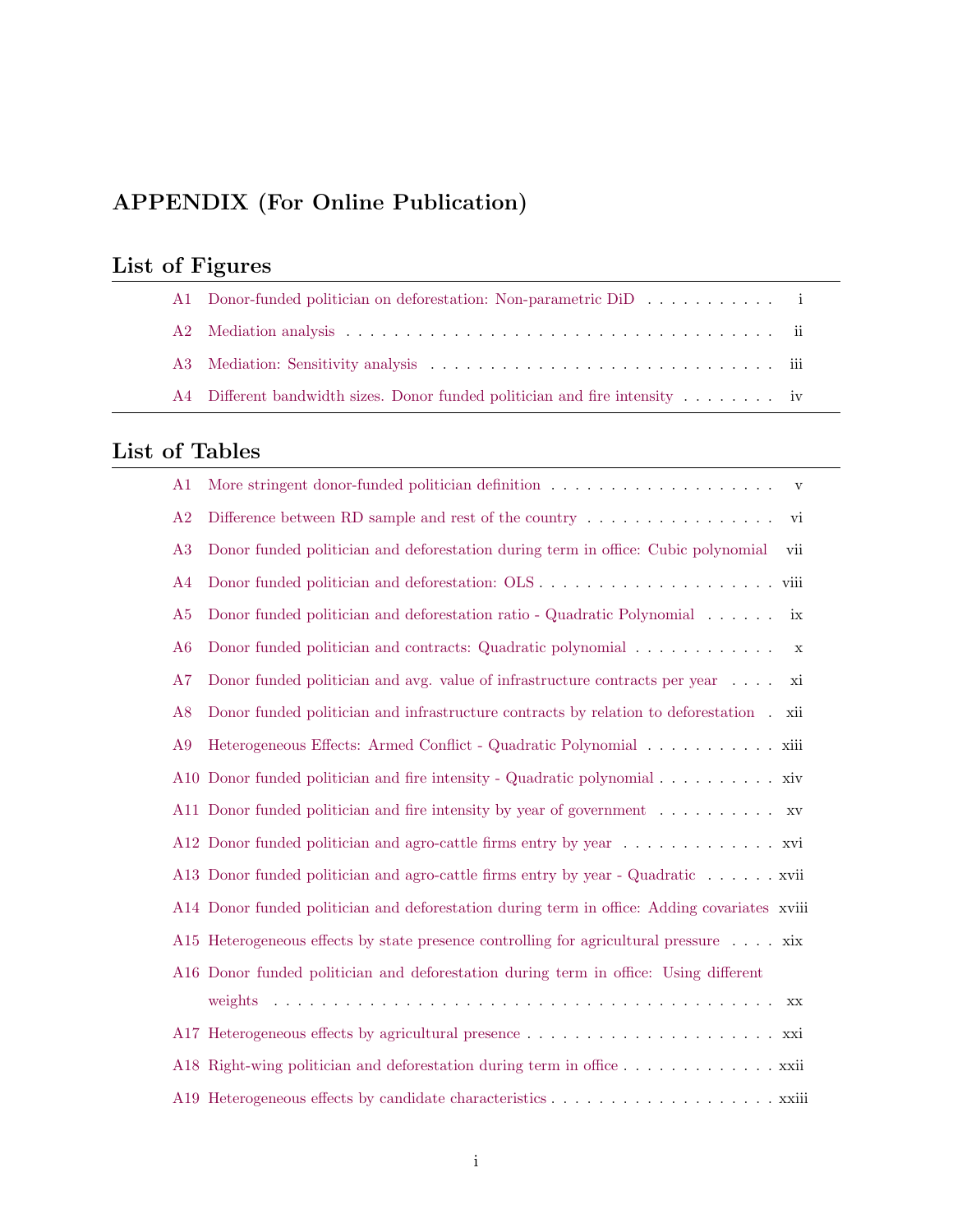## APPENDIX (For Online Publication)

|  |  | List of Figures |
|--|--|-----------------|
|--|--|-----------------|

| Al Donor-funded politician on deforestation: Non-parametric DiD                           |  |
|-------------------------------------------------------------------------------------------|--|
|                                                                                           |  |
|                                                                                           |  |
| A4 Different bandwidth sizes. Donor funded politician and fire intensity $\dots \dots$ iv |  |

## List of Tables

| A <sub>1</sub> | $\mathbf{V}$                                                                                 |  |
|----------------|----------------------------------------------------------------------------------------------|--|
| A2             | Difference between RD sample and rest of the country $\dots \dots \dots \dots \dots$<br>vi   |  |
| A3             | Donor funded politician and deforestation during term in office: Cubic polynomial<br>vii     |  |
| A <sub>4</sub> |                                                                                              |  |
| A5             | Donor funded politician and deforestation ratio - Quadratic Polynomial<br>ix                 |  |
| A <sub>6</sub> | Donor funded politician and contracts: Quadratic polynomial<br>$\mathbf X$                   |  |
| A7             | Donor funded politician and avg. value of infrastructure contracts per year $\dots$ .<br>xi  |  |
| A8             | Donor funded politician and infrastructure contracts by relation to deforestation.<br>xii    |  |
| A9             |                                                                                              |  |
|                | A10 Donor funded politician and fire intensity - Quadratic polynomial xiv                    |  |
|                | A11 Donor funded politician and fire intensity by year of government xv                      |  |
|                | A12 Donor funded politician and agro-cattle firms entry by year xvi                          |  |
|                | A13 Donor funded politician and agro-cattle firms entry by year - Quadratic xvii             |  |
|                | A14 Donor funded politician and deforestation during term in office: Adding covariates xviii |  |
|                | A15 Heterogeneous effects by state presence controlling for agricultural pressure xix        |  |
|                | A16 Donor funded politician and deforestation during term in office: Using different         |  |
|                | XX                                                                                           |  |
|                |                                                                                              |  |
|                | A18 Right-wing politician and deforestation during term in office xxii                       |  |
|                |                                                                                              |  |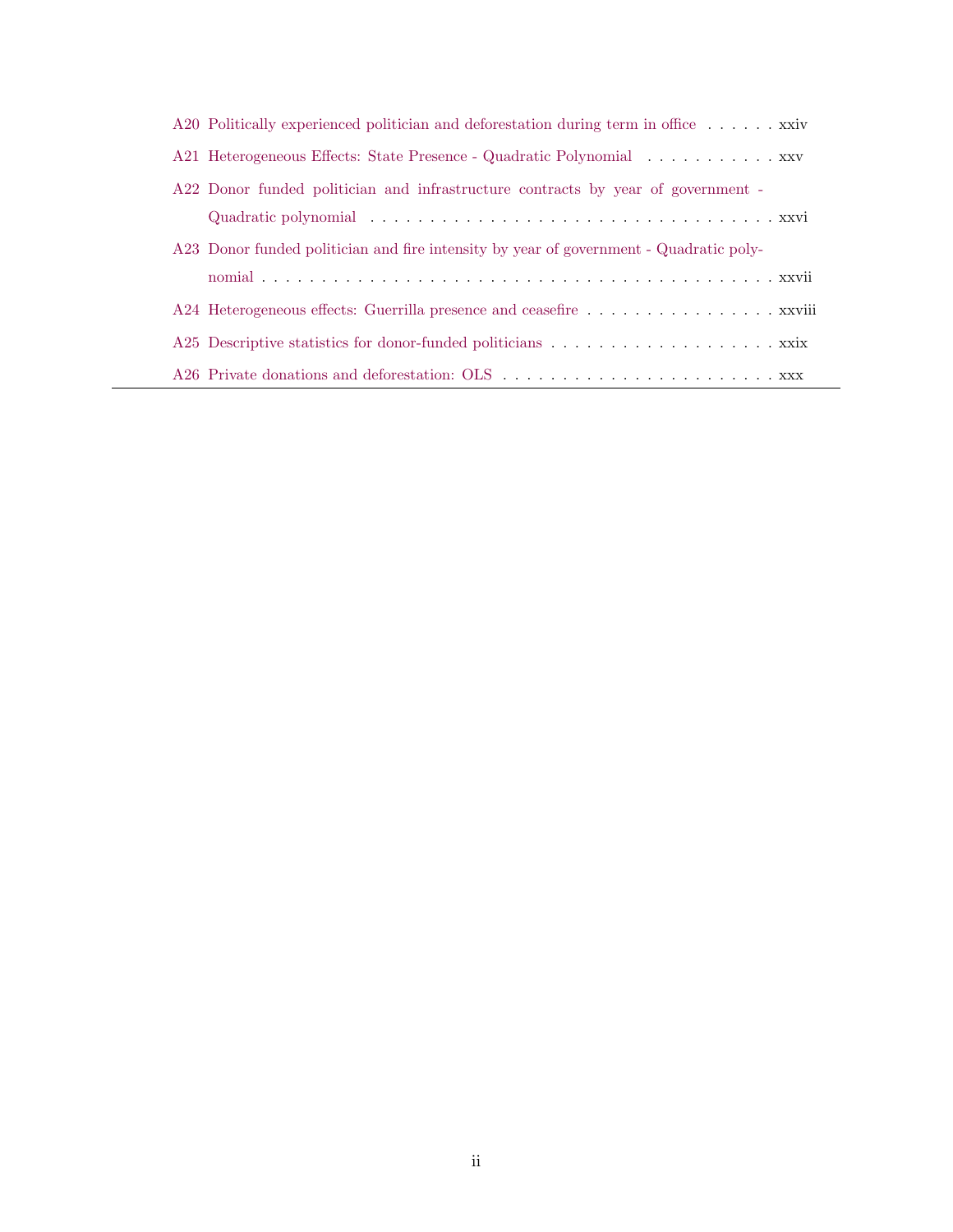| A20 Politically experienced politician and deforestation during term in office $\dots \dots$ xxiv |
|---------------------------------------------------------------------------------------------------|
| A21 Heterogeneous Effects: State Presence - Quadratic Polynomial xxv                              |
| A22 Donor funded politician and infrastructure contracts by year of government -                  |
|                                                                                                   |
| A23 Donor funded politician and fire intensity by year of government - Quadratic poly-            |
|                                                                                                   |
| A24 Heterogeneous effects: Guerrilla presence and ceasefire xxviii                                |
|                                                                                                   |
|                                                                                                   |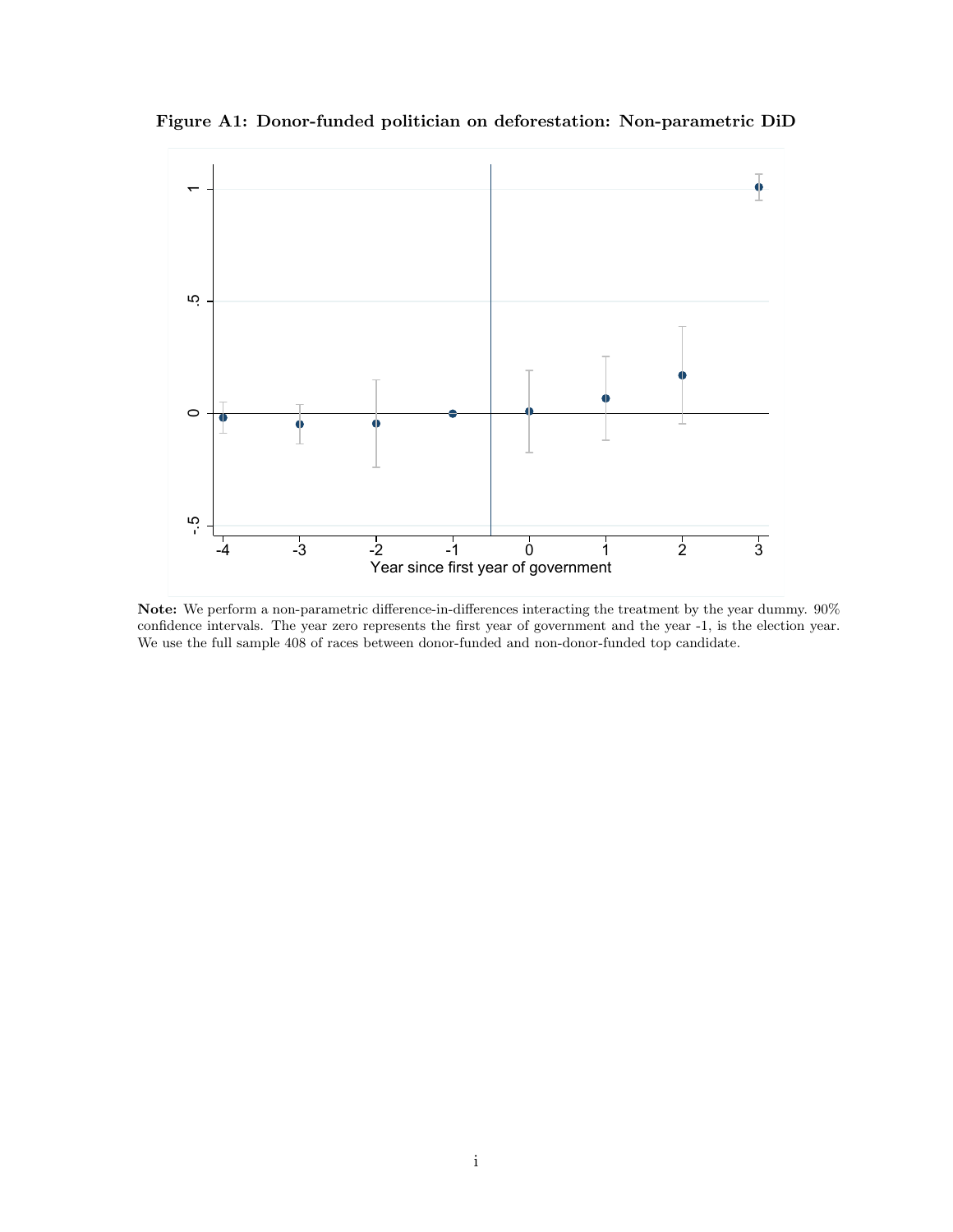<span id="page-38-0"></span>Figure A1: Donor-funded politician on deforestation: Non-parametric DiD



Note: We perform a non-parametric difference-in-differences interacting the treatment by the year dummy. 90% confidence intervals. The year zero represents the first year of government and the year -1, is the election year. We use the full sample 408 of races between donor-funded and non-donor-funded top candidate.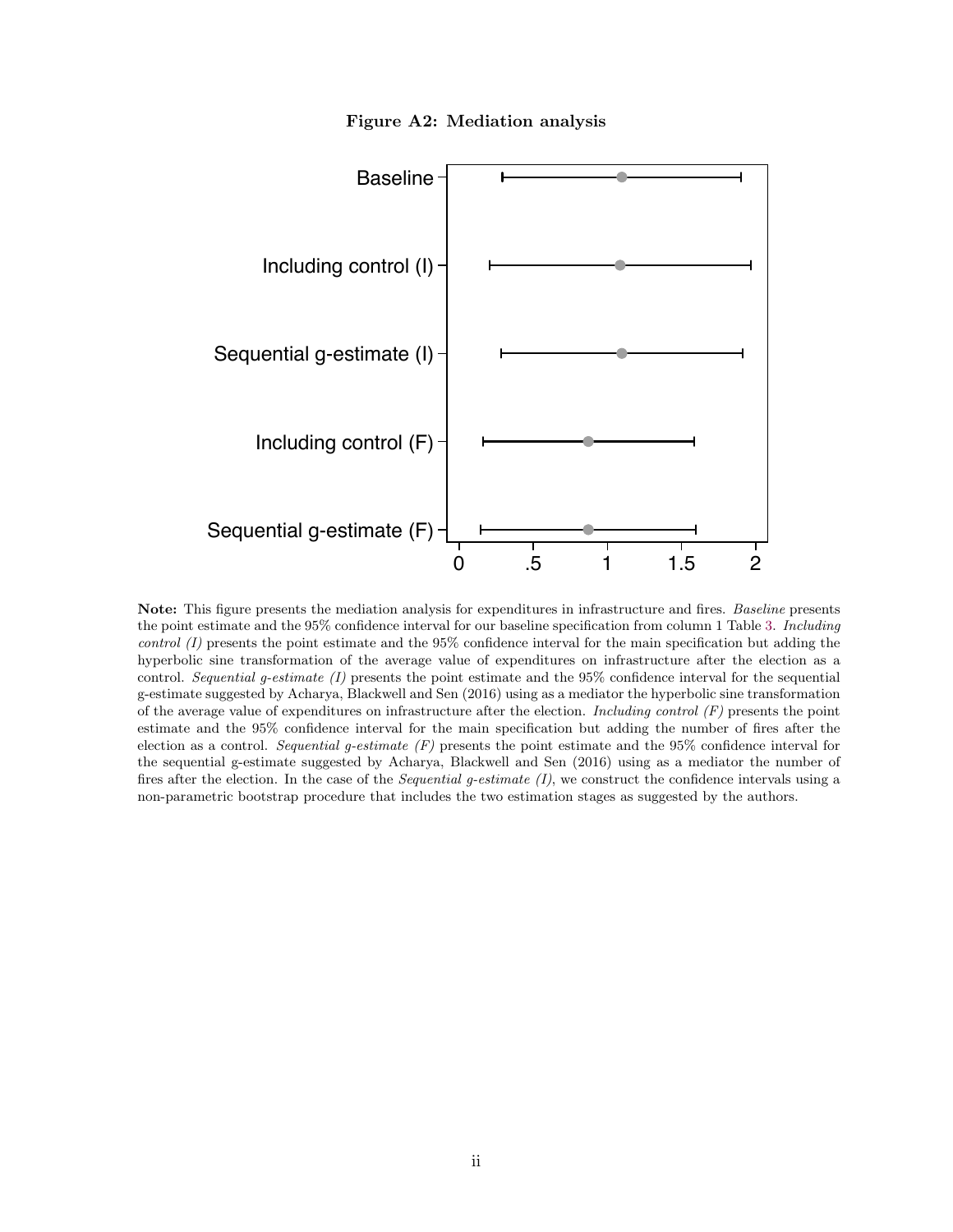Figure A2: Mediation analysis

<span id="page-39-0"></span>

Note: This figure presents the mediation analysis for expenditures in infrastructure and fires. Baseline presents the point estimate and the 95% confidence interval for our baseline specification from column 1 Table [3.](#page-19-0) Including control (I) presents the point estimate and the 95% confidence interval for the main specification but adding the hyperbolic sine transformation of the average value of expenditures on infrastructure after the election as a control. Sequential g-estimate  $(I)$  presents the point estimate and the 95% confidence interval for the sequential g-estimate suggested by Acharya, Blackwell and Sen (2016) using as a mediator the hyperbolic sine transformation of the average value of expenditures on infrastructure after the election. Including control  $(F)$  presents the point estimate and the 95% confidence interval for the main specification but adding the number of fires after the election as a control. Sequential g-estimate  $(F)$  presents the point estimate and the 95% confidence interval for the sequential g-estimate suggested by Acharya, Blackwell and Sen (2016) using as a mediator the number of fires after the election. In the case of the *Sequential g-estimate*  $(I)$ , we construct the confidence intervals using a non-parametric bootstrap procedure that includes the two estimation stages as suggested by the authors.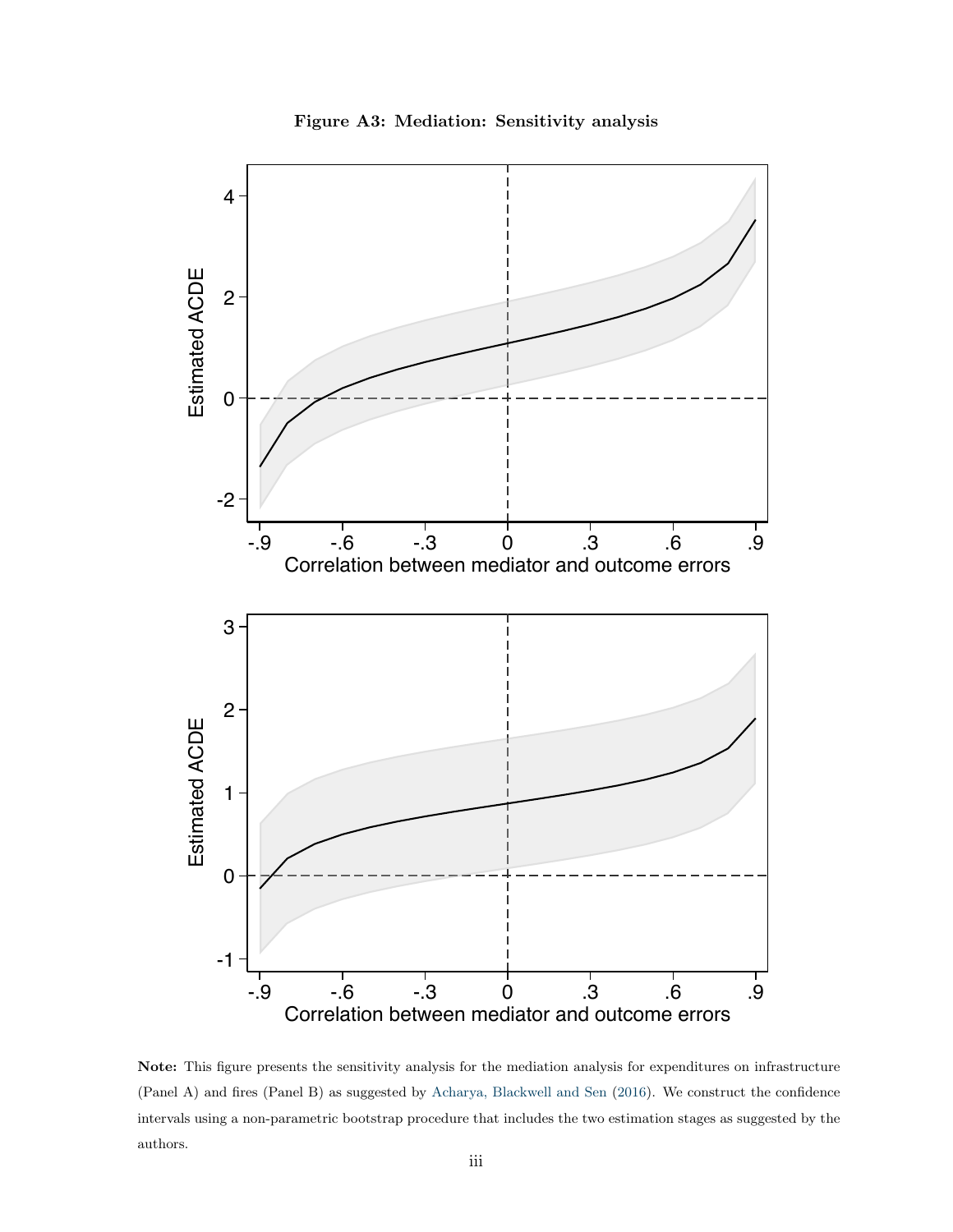

<span id="page-40-0"></span>

Note: This figure presents the sensitivity analysis for the mediation analysis for expenditures on infrastructure (Panel A) and fires (Panel B) as suggested by [Acharya, Blackwell and Sen](#page-32-8) [\(2016\)](#page-32-8). We construct the confidence intervals using a non-parametric bootstrap procedure that includes the two estimation stages as suggested by the authors.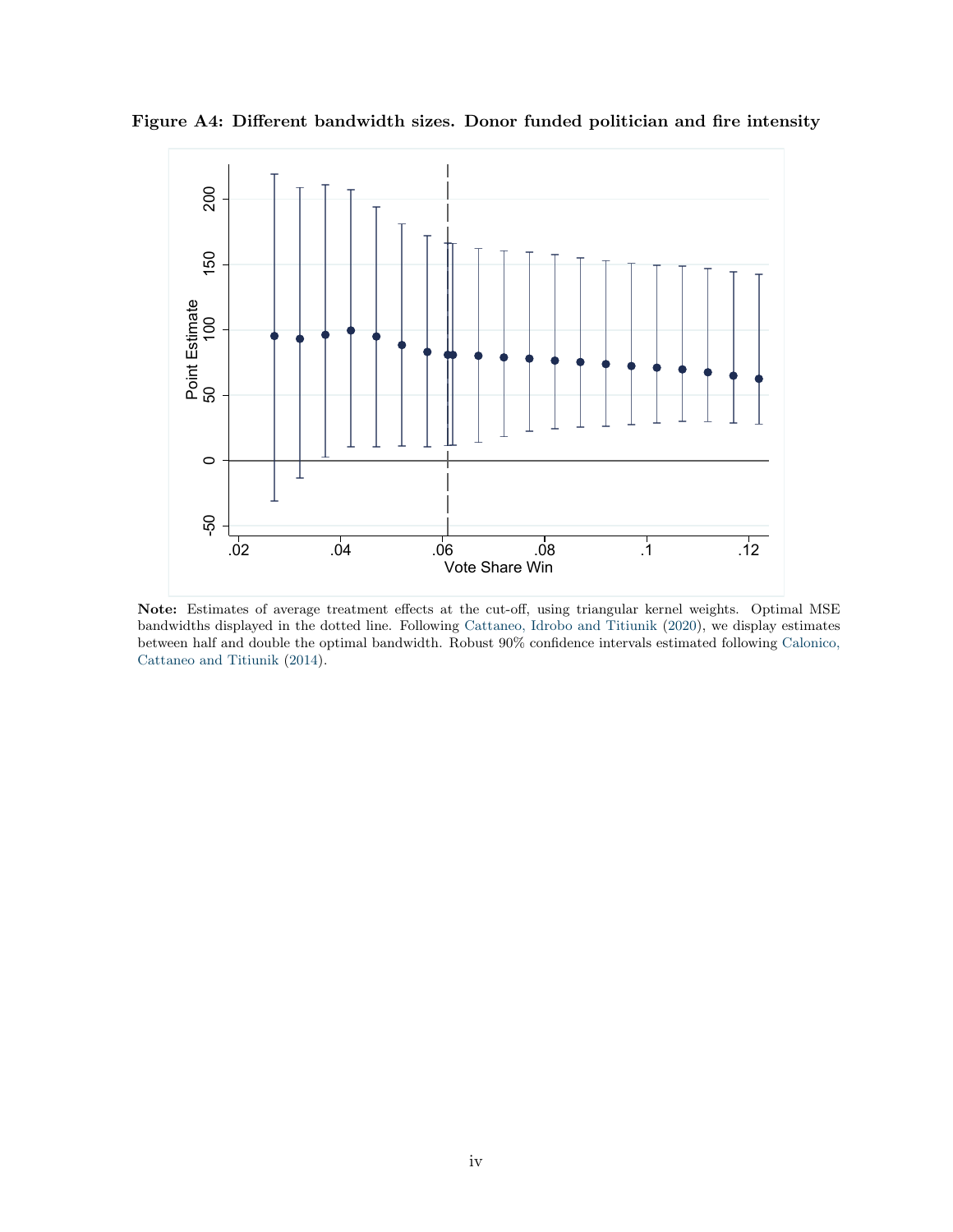<span id="page-41-0"></span>



Note: Estimates of average treatment effects at the cut-off, using triangular kernel weights. Optimal MSE bandwidths displayed in the dotted line. Following [Cattaneo, Idrobo and Titiunik](#page-33-10) [\(2020\)](#page-33-10), we display estimates between half and double the optimal bandwidth. Robust 90% confidence intervals estimated following [Calonico,](#page-33-11) [Cattaneo and Titiunik](#page-33-11) [\(2014\)](#page-33-11).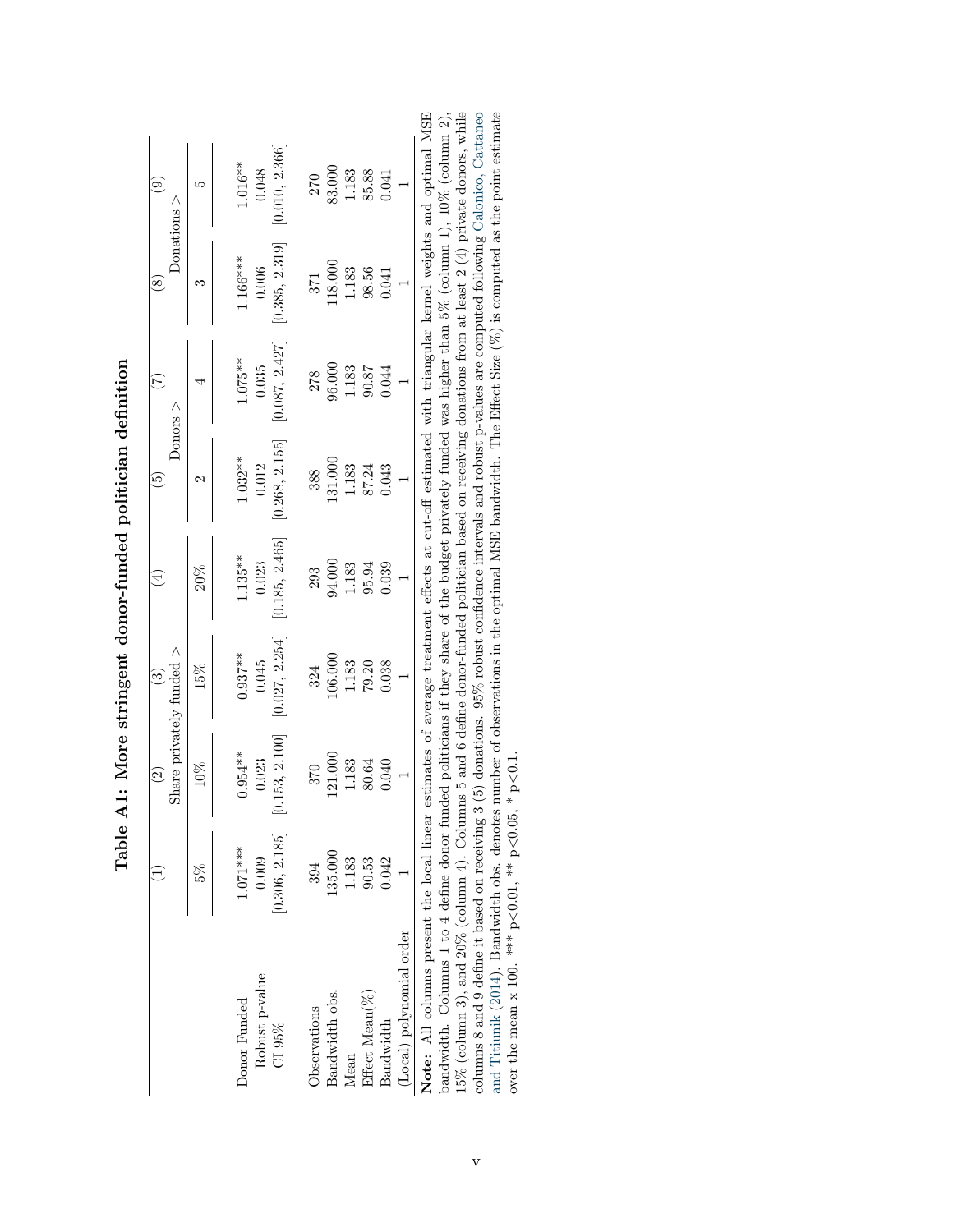|                          |                         | Share privately funded $>$<br>$\widetilde{\Omega}$ | $\widetilde{\mathbb{C}}$ | 4                     | ج                     | E<br>Donors $>$       | Donations<br>$\otimes$ | $\rm \odot$               |
|--------------------------|-------------------------|----------------------------------------------------|--------------------------|-----------------------|-----------------------|-----------------------|------------------------|---------------------------|
|                          | 5%                      | 10%                                                | 15%                      | $20\%$                |                       |                       |                        | r.                        |
| Donor Funded             | $1.071***$              | $0.954***$                                         | $0.937**$                | $1.135***$            | $1.032**$             | $1.075**$             | $1.166***$             | $1.016**$                 |
| Robust p-value<br>CI 95% | [0.306, 2.185]<br>0.009 | 0.153, 2.100<br>0.023                              | 0.027, 2.254<br>0.045    | 0.185, 2.465<br>0.023 | 0.268, 2.155<br>0.012 | 0.087, 2.427<br>0.035 | 0.385, 2.319<br>0.006  | 0.010, 2.366<br>$0.048\,$ |
| Observations             | 394                     | 370                                                | 324                      | 293                   | 388                   | 278                   | 371                    | 270                       |
| Bandwidth obs.           | 135.000                 | 121.000                                            | 106.000                  | 94.000                | 131.000               | 96.000                | 118.000                | 83.000                    |
| Mean                     | 1.183                   |                                                    | $1.183$                  | $1.183$<br>95.94      | $1.183\,$             | $1.183\,$             | $1.183\,$              | 1.183<br>85.88            |
| Effect Mean(%)           | 90.53                   | $1.183$<br>80.64                                   | $79.20\,$                |                       | 87.24                 | 90.87<br>78.04        | 98.56                  |                           |
| Bandwidth                | 0.042                   | 0.040                                              | 0.038                    | 0.039                 | 0.043                 |                       | 0.041                  | 1.041                     |
| (Local) polynomial order |                         |                                                    |                          |                       |                       |                       |                        |                           |

<span id="page-42-0"></span>

| <b>C</b><br>2<br>2<br>2<br>3<br>3<br>3<br>3<br>3<br>3<br>3<br>3<br>3<br>3<br>3<br>3<br>3<br>3<br><br>Ĺ |
|--------------------------------------------------------------------------------------------------------|
| ドラクアミニキ こうらうて サミクラミミキ<br>Į<br>)<br> <br>                                                               |
|                                                                                                        |
| i<br>Croc<br>ī                                                                                         |
| ١                                                                                                      |

bandwidth. Columns 1 to 4 define donor funded politicians if they share of the budget privately funded was higher than 5% (column 1), 10% (column 2), 15% (column 3), and 20% (column 4). Columns 5 and 6 define donor-funded  $\mathbb{H}$ Note: All columns present the local linear estimates of average treatment effects at cut-off estimated with triangular kernel weights and optimal MSE bandwidth. Columns 1 to 4 define donor funded politicians if they share of the budget privately funded was higher than 5% (column 1), 10% (column 2), 15% (column 3), and 20% (column 4). Columns 5 and 6 define donor-funded politician based on receiving donations from at least 2 (4) private donors, while columns 8 and 9 define it based on receiving 3 (5) donations. 95% robust confidence intervals and robust p-values are computed following [Calonico,](#page-33-11) Cattaneo and [Titiunik](#page-33-11) ([2014\)](#page-33-11). Bandwidth obs. denotes number of observations in the optimal MSE bandwidth. The Effect Size  $(\%)$  is computed as the point estimate over the mean x 100. \*\*\*  $p<0.01$ , \*\*  $p<0.05$ , \*  $p<0.1$ .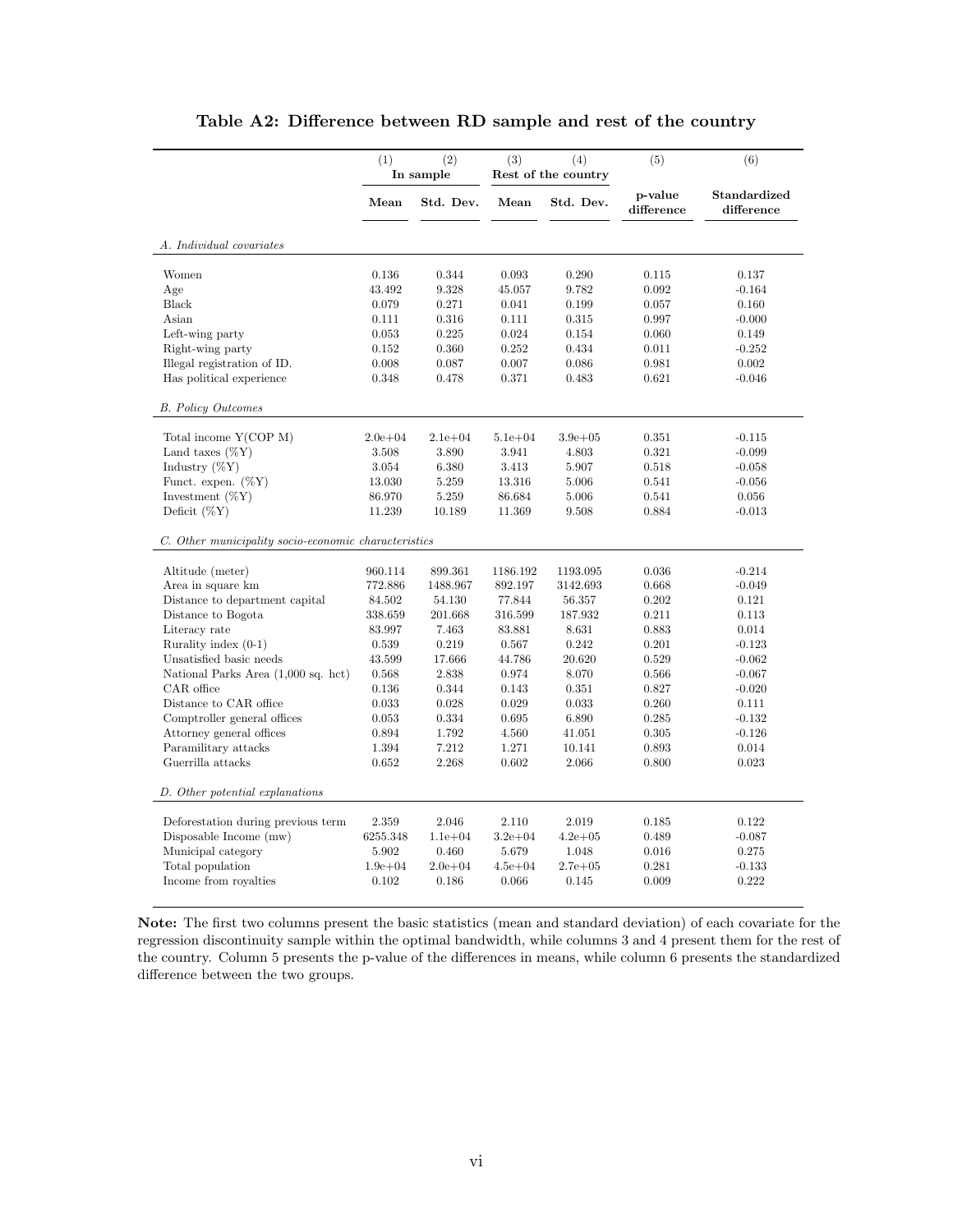<span id="page-43-0"></span>

|                                                      | (1)         | (2)<br>In sample | (3)         | (4)<br>Rest of the country | (5)                   | (6)                        |
|------------------------------------------------------|-------------|------------------|-------------|----------------------------|-----------------------|----------------------------|
|                                                      | Mean        | Std. Dev.        | Mean        | Std. Dev.                  | p-value<br>difference | Standardized<br>difference |
| A. Individual covariates                             |             |                  |             |                            |                       |                            |
| Women                                                | 0.136       | 0.344            | 0.093       | 0.290                      | 0.115                 | 0.137                      |
| Age                                                  | 43.492      | 9.328            | 45.057      | 9.782                      | 0.092                 | $-0.164$                   |
| Black                                                | 0.079       | 0.271            | 0.041       | 0.199                      | 0.057                 | 0.160                      |
| Asian                                                | 0.111       | 0.316            | 0.111       | 0.315                      | 0.997                 | $-0.000$                   |
| Left-wing party                                      | 0.053       | 0.225            | 0.024       | 0.154                      | 0.060                 | 0.149                      |
| Right-wing party                                     | 0.152       | 0.360            | 0.252       | 0.434                      | 0.011                 | $-0.252$                   |
| Illegal registration of ID.                          | 0.008       | 0.087            | 0.007       | 0.086                      | 0.981                 | 0.002                      |
| Has political experience                             | 0.348       | 0.478            | 0.371       | 0.483                      | 0.621                 | $-0.046$                   |
| <b>B.</b> Policy Outcomes                            |             |                  |             |                            |                       |                            |
| Total income Y(COP M)                                | $2.0e + 04$ | $2.1e + 04$      | $5.1e + 04$ | $3.9e + 0.5$               | 0.351                 | $-0.115$                   |
| Land taxes $(\%Y)$                                   | 3.508       | 3.890            | 3.941       | 4.803                      | 0.321                 | $-0.099$                   |
| Industry $(\%Y)$                                     | 3.054       | 6.380            | 3.413       | 5.907                      | 0.518                 | $-0.058$                   |
| Funct. expen. $(\%Y)$                                | 13.030      | 5.259            | 13.316      | 5.006                      | 0.541                 | $-0.056$                   |
| Investment $(\%Y)$                                   | 86.970      | 5.259            | 86.684      | 5.006                      | 0.541                 | 0.056                      |
| Deficit $(\%Y)$                                      | 11.239      | 10.189           | 11.369      | 9.508                      | 0.884                 | $-0.013$                   |
| C. Other municipality socio-economic characteristics |             |                  |             |                            |                       |                            |
| Altitude (meter)                                     | 960.114     | 899.361          | 1186.192    | 1193.095                   | 0.036                 | $-0.214$                   |
| Area in square km                                    | 772.886     | 1488.967         | 892.197     | 3142.693                   | 0.668                 | $-0.049$                   |
| Distance to department capital                       | 84.502      | 54.130           | 77.844      | 56.357                     | 0.202                 | 0.121                      |
| Distance to Bogota                                   | 338.659     | 201.668          | 316.599     | 187.932                    | 0.211                 | 0.113                      |
| Literacy rate                                        | 83.997      | 7.463            | 83.881      | 8.631                      | 0.883                 | 0.014                      |
| Rurality index $(0-1)$                               | 0.539       | 0.219            | 0.567       | 0.242                      | 0.201                 | $-0.123$                   |
| Unsatisfied basic needs                              | 43.599      | 17.666           | 44.786      | 20.620                     | $\,0.529\,$           | $-0.062$                   |
| National Parks Area (1,000 sq. hct)                  | 0.568       | 2.838            | 0.974       | 8.070                      | 0.566                 | $-0.067$                   |
| CAR office                                           | 0.136       | 0.344            | 0.143       | 0.351                      | 0.827                 | $-0.020$                   |
| Distance to CAR office                               | 0.033       | 0.028            | 0.029       | 0.033                      | 0.260                 | 0.111                      |
| Comptroller general offices                          | 0.053       | 0.334            | 0.695       | 6.890                      | 0.285                 | $-0.132$                   |
| Attorney general offices                             | 0.894       | 1.792            | 4.560       | 41.051                     | 0.305                 | $-0.126$                   |
| Paramilitary attacks                                 | 1.394       | 7.212            | 1.271       | 10.141                     | 0.893                 | 0.014                      |
| Guerrilla attacks                                    | 0.652       | 2.268            | 0.602       | 2.066                      | 0.800                 | 0.023                      |
| D. Other potential explanations                      |             |                  |             |                            |                       |                            |
| Deforestation during previous term                   | 2.359       | 2.046            | 2.110       | 2.019                      | 0.185                 | 0.122                      |
| Disposable Income $(mw)$                             | 6255.348    | $1.1e + 04$      | $3.2e + 04$ | $4.2e + 0.5$               | 0.489                 | $-0.087$                   |
| Municipal category                                   | 5.902       | 0.460            | 5.679       | 1.048                      | 0.016                 | 0.275                      |
| Total population                                     | $1.9e + 04$ | $2.0e + 04$      | $4.5e + 04$ | $2.7e + 0.5$               | 0.281                 | $-0.133$                   |
| Income from royalties                                | 0.102       | 0.186            | 0.066       | 0.145                      | 0.009                 | 0.222                      |
|                                                      |             |                  |             |                            |                       |                            |

### Table A2: Difference between RD sample and rest of the country

Note: The first two columns present the basic statistics (mean and standard deviation) of each covariate for the regression discontinuity sample within the optimal bandwidth, while columns 3 and 4 present them for the rest of the country. Column 5 presents the p-value of the differences in means, while column 6 presents the standardized difference between the two groups.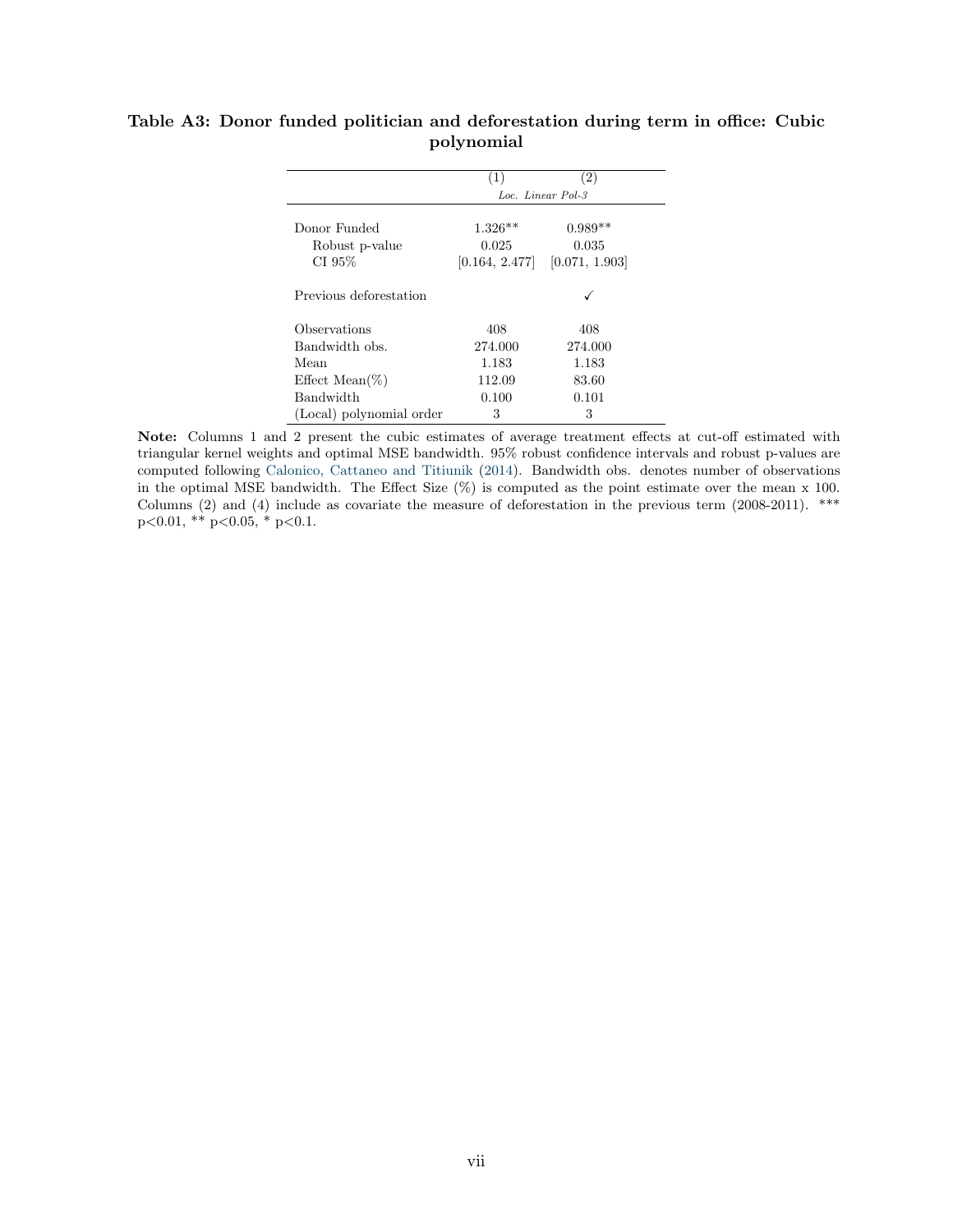|                                        | (1)            | (2)               |
|----------------------------------------|----------------|-------------------|
|                                        |                | Loc. Linear Pol-3 |
| Donor Funded                           | $1.326**$      | $0.989**$         |
| Robust p-value                         | 0.025          | 0.035             |
| CI 95%                                 | [0.164, 2.477] | [0.071, 1.903]    |
| Previous deforestation<br>Observations | 408            | 408               |
| Bandwidth obs.                         | 274.000        | 274.000           |
| Mean                                   | 1.183          | 1.183             |
| Effect Mean(\%)                        | 112.09         | 83.60             |
| Bandwidth                              | 0.100          | 0.101             |
| (Local) polynomial order               | 3              | 3                 |

### <span id="page-44-0"></span>Table A3: Donor funded politician and deforestation during term in office: Cubic polynomial

Note: Columns 1 and 2 present the cubic estimates of average treatment effects at cut-off estimated with triangular kernel weights and optimal MSE bandwidth. 95% robust confidence intervals and robust p-values are computed following [Calonico, Cattaneo and Titiunik](#page-33-11) [\(2014\)](#page-33-11). Bandwidth obs. denotes number of observations in the optimal MSE bandwidth. The Effect Size (%) is computed as the point estimate over the mean x 100. Columns (2) and (4) include as covariate the measure of deforestation in the previous term (2008-2011). \*\*\*  $p<0.01$ , \*\*  $p<0.05$ , \*  $p<0.1$ .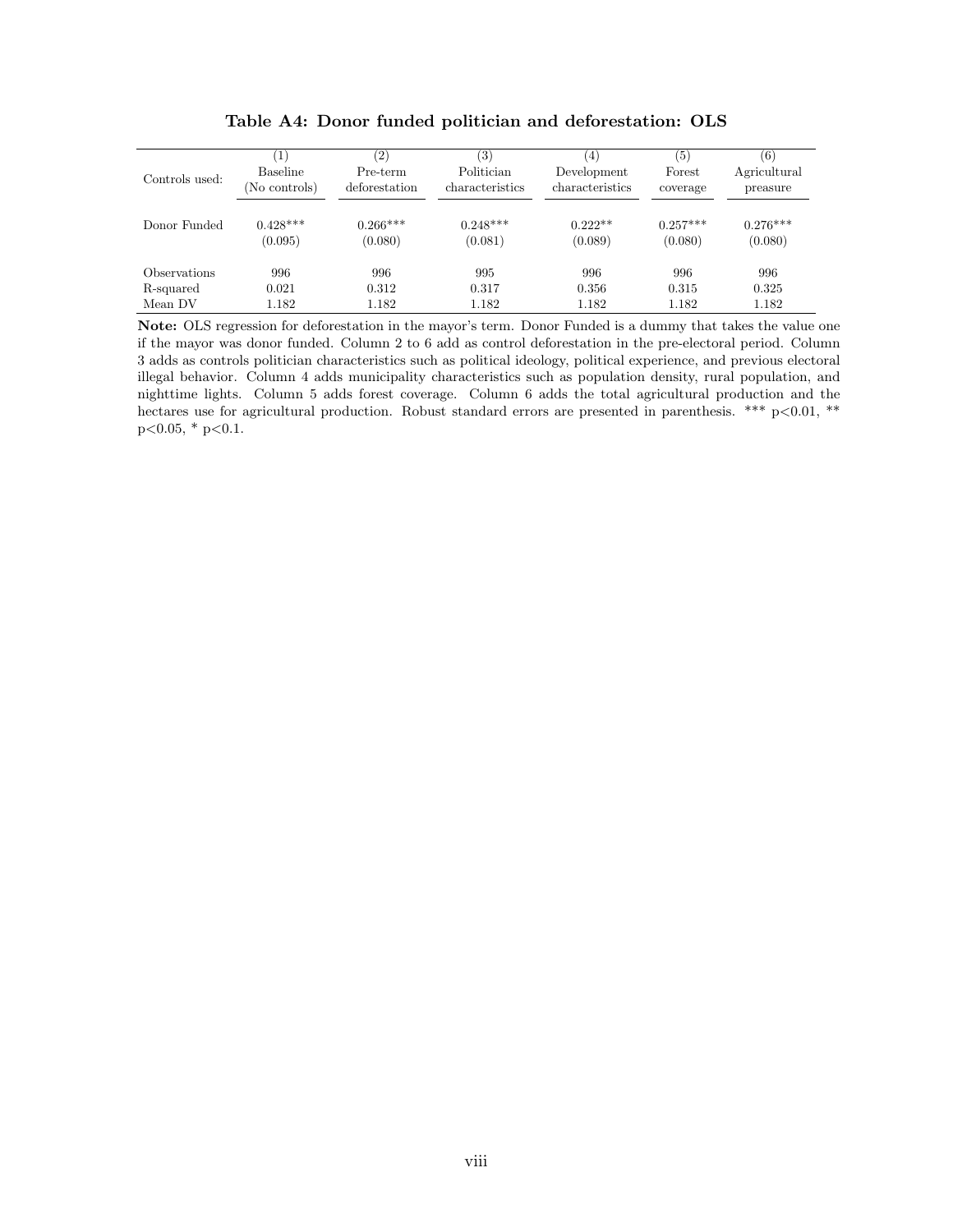<span id="page-45-0"></span>

| Controls used:             | $\left( 1\right)$<br><b>Baseline</b><br>(No controls) | (2)<br>Pre-term<br>deforestation | $\left( 3\right)$<br>Politician<br>characteristics | $\left(4\right)$<br>Development<br>characteristics | (5)<br>Forest<br>coverage | (6)<br>Agricultural<br>preasure |
|----------------------------|-------------------------------------------------------|----------------------------------|----------------------------------------------------|----------------------------------------------------|---------------------------|---------------------------------|
| Donor Funded               | $0.428***$<br>(0.095)                                 | $0.266***$<br>(0.080)            | $0.248***$<br>(0.081)                              | $0.222**$<br>(0.089)                               | $0.257***$<br>(0.080)     | $0.276***$<br>(0.080)           |
| <i><b>Observations</b></i> | 996                                                   | 996                              | 995                                                | 996                                                | 996                       | 996                             |
| R-squared                  | 0.021                                                 | 0.312                            | 0.317                                              | 0.356                                              | 0.315                     | 0.325                           |
| Mean DV                    | 1.182                                                 | 1.182                            | 1.182                                              | 1.182                                              | 1.182                     | 1.182                           |

Table A4: Donor funded politician and deforestation: OLS

Note: OLS regression for deforestation in the mayor's term. Donor Funded is a dummy that takes the value one if the mayor was donor funded. Column 2 to 6 add as control deforestation in the pre-electoral period. Column 3 adds as controls politician characteristics such as political ideology, political experience, and previous electoral illegal behavior. Column 4 adds municipality characteristics such as population density, rural population, and nighttime lights. Column 5 adds forest coverage. Column 6 adds the total agricultural production and the hectares use for agricultural production. Robust standard errors are presented in parenthesis. \*\*\* p<0.01, \*\*  $p<0.05$ , \*  $p<0.1$ .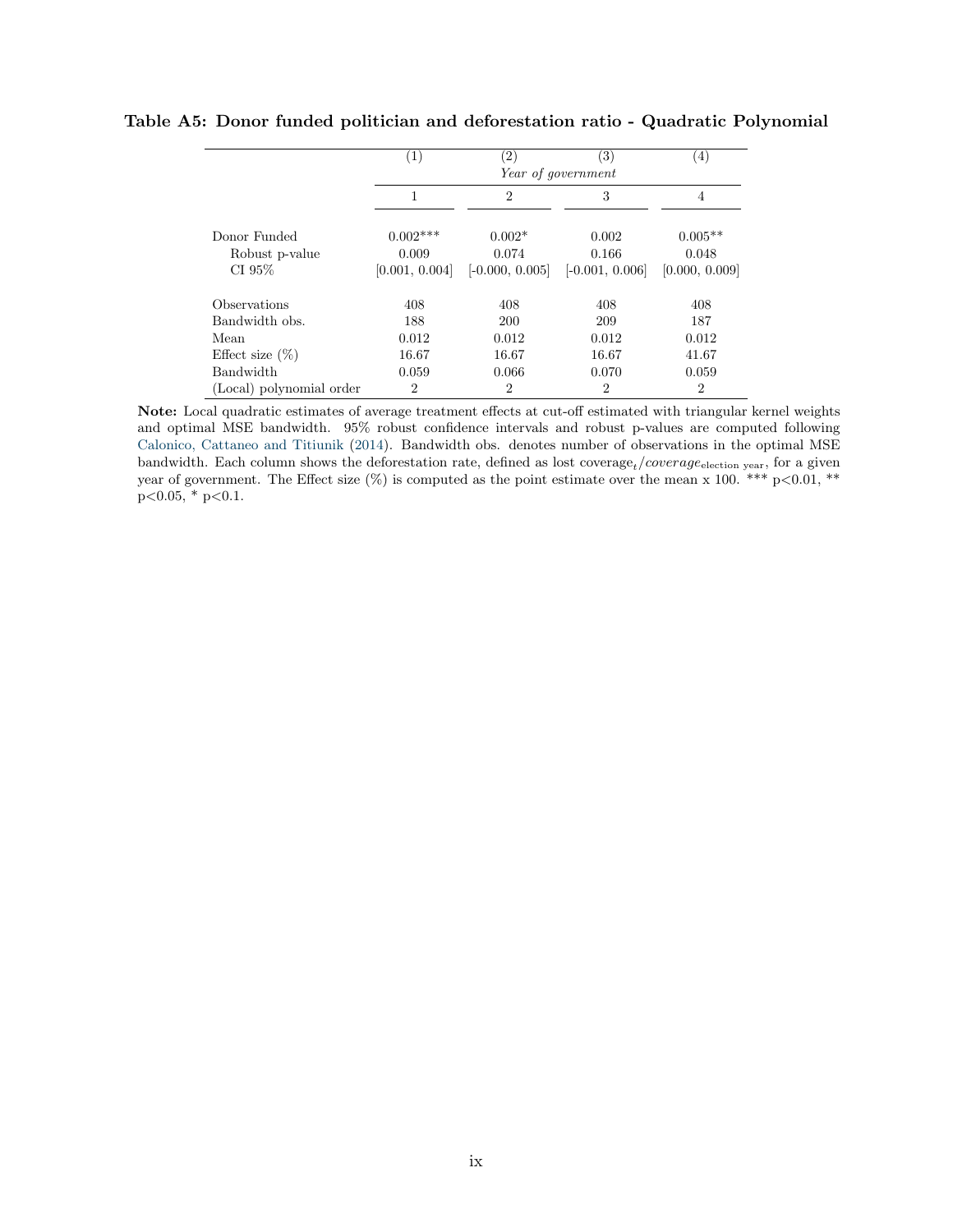|                                          | $\left( 1\right)$                     | $\left( 2\right)$                      | 3)<br>Year of government            | (4)                                  |
|------------------------------------------|---------------------------------------|----------------------------------------|-------------------------------------|--------------------------------------|
|                                          | 1                                     | $\overline{2}$                         | 3                                   | $\overline{4}$                       |
| Donor Funded<br>Robust p-value<br>CI 95% | $0.002***$<br>0.009<br>[0.001, 0.004] | $0.002*$<br>0.074<br>$[-0.000, 0.005]$ | 0.002<br>0.166<br>$[-0.001, 0.006]$ | $0.005**$<br>0.048<br>[0.000, 0.009] |
| Observations                             | 408                                   | 408                                    | 408                                 | 408                                  |
| Bandwidth obs.                           | 188                                   | <b>200</b>                             | 209                                 | 187                                  |
| Mean                                     | 0.012                                 | 0.012                                  | 0.012                               | 0.012                                |
| Effect size $(\%)$                       | 16.67                                 | 16.67                                  | 16.67                               | 41.67                                |
| <b>Bandwidth</b>                         | 0.059                                 | 0.066                                  | 0.070                               | 0.059                                |
| (Local) polynomial order                 | $\overline{2}$                        | $\overline{2}$                         | $\mathfrak{D}$                      | $\overline{2}$                       |

#### <span id="page-46-0"></span>Table A5: Donor funded politician and deforestation ratio - Quadratic Polynomial

Note: Local quadratic estimates of average treatment effects at cut-off estimated with triangular kernel weights and optimal MSE bandwidth. 95% robust confidence intervals and robust p-values are computed following [Calonico, Cattaneo and Titiunik](#page-33-11) [\(2014\)](#page-33-11). Bandwidth obs. denotes number of observations in the optimal MSE bandwidth. Each column shows the deforestation rate, defined as lost coverage<sub>t</sub>/coverage<sub>election year</sub>, for a given year of government. The Effect size  $(\%)$  is computed as the point estimate over the mean x 100. \*\*\* p<0.01, \*\*  $p<0.05$ , \*  $p<0.1$ .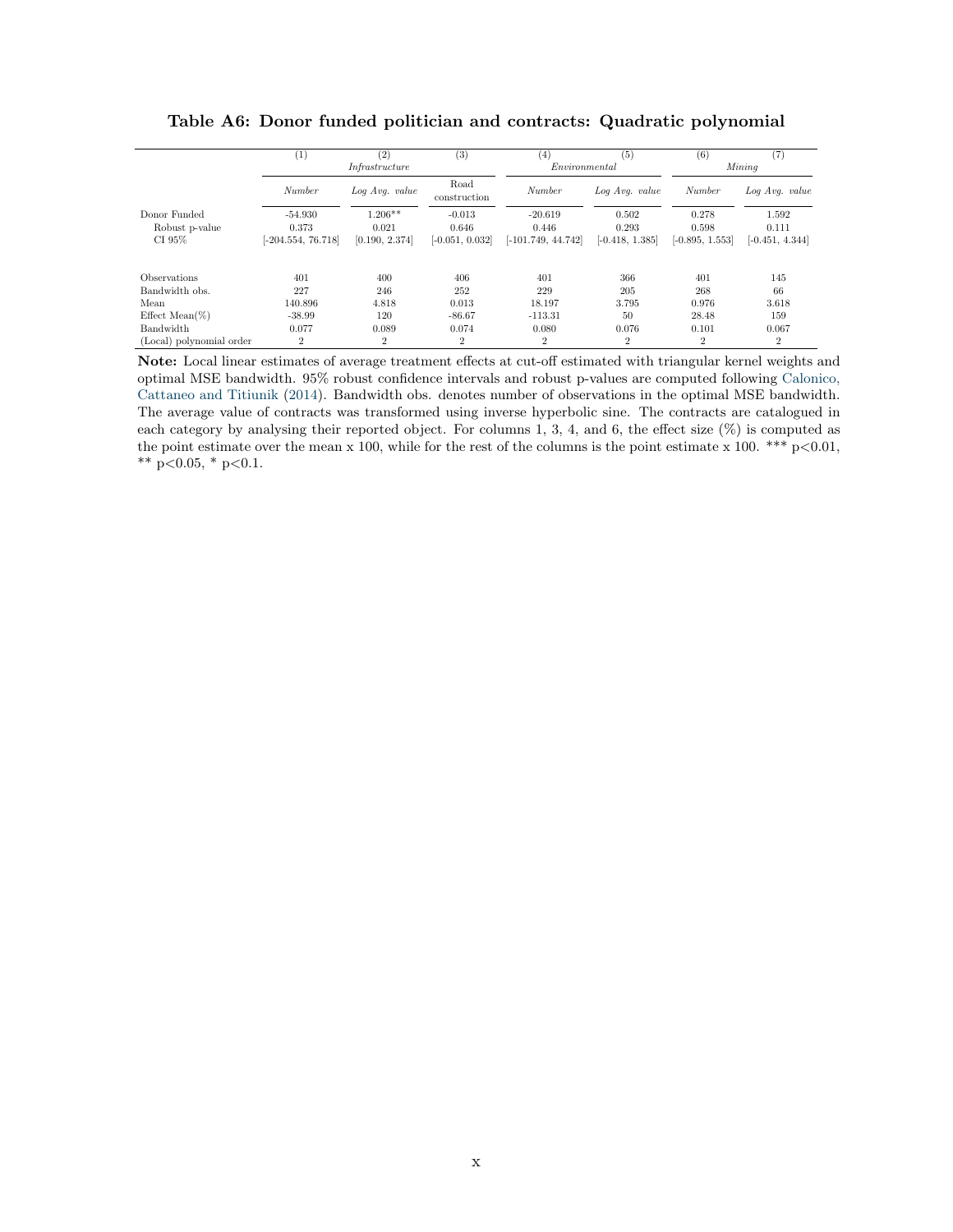<span id="page-47-0"></span>

|                          | $\left(1\right)$   | (2)            | (3)                  | 4                    | (5)               | (6)               | (7                |
|--------------------------|--------------------|----------------|----------------------|----------------------|-------------------|-------------------|-------------------|
|                          |                    | Infrastructure |                      | Environmental        |                   |                   | Mining            |
|                          | Number             | Log Avg. value | Road<br>construction | Number               | Log Avg. value    | Number            | Log Avg. value    |
| Donor Funded             | $-54.930$          | $1.206**$      | $-0.013$             | $-20.619$            | 0.502             | 0.278             | 1.592             |
| Robust p-value           | 0.373              | 0.021          | 0.646                | 0.446                | 0.293             | 0.598             | 0.111             |
| CI 95%                   | $-204.554, 76.718$ | [0.190, 2.374] | $[-0.051, 0.032]$    | $[-101.749, 44.742]$ | $[-0.418, 1.385]$ | $[-0.895, 1.553]$ | $[-0.451, 4.344]$ |
| Observations             | 401                | 400            | 406                  | 401                  | 366               | 401               | 145               |
| Bandwidth obs.           | 227                | 246            | 252                  | 229                  | 205               | 268               | 66                |
| Mean                     | 140.896            | 4.818          | 0.013                | 18.197               | 3.795             | 0.976             | 3.618             |
| Effect Mean $(\%)$       | $-38.99$           | 120            | $-86.67$             | $-113.31$            | 50                | 28.48             | 159               |
| Bandwidth                | 0.077              | 0.089          | 0.074                | 0.080                | 0.076             | 0.101             | 0.067             |
| (Local) polynomial order | $\overline{2}$     | $\overline{2}$ | $\overline{2}$       | $\overline{2}$       | $\overline{2}$    | $\overline{2}$    | $\overline{2}$    |

Table A6: Donor funded politician and contracts: Quadratic polynomial

Note: Local linear estimates of average treatment effects at cut-off estimated with triangular kernel weights and optimal MSE bandwidth. 95% robust confidence intervals and robust p-values are computed following [Calonico,](#page-33-11) [Cattaneo and Titiunik](#page-33-11) [\(2014\)](#page-33-11). Bandwidth obs. denotes number of observations in the optimal MSE bandwidth. The average value of contracts was transformed using inverse hyperbolic sine. The contracts are catalogued in each category by analysing their reported object. For columns 1, 3, 4, and 6, the effect size  $(\%)$  is computed as the point estimate over the mean x 100, while for the rest of the columns is the point estimate x 100. \*\*\*  $p < 0.01$ , \*\* p<0.05, \* p<0.1.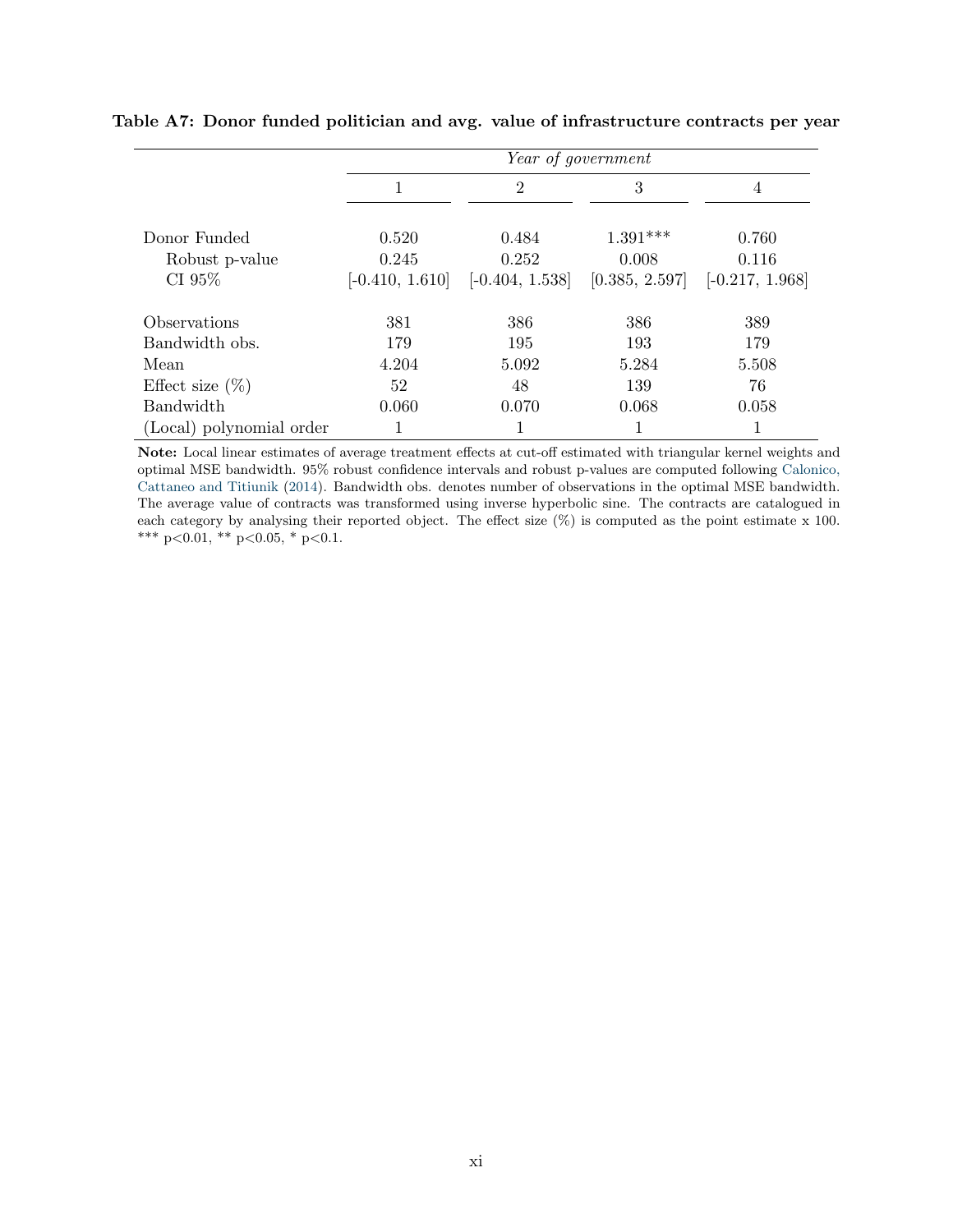|                            |                   | Year of government |                |                   |  |  |
|----------------------------|-------------------|--------------------|----------------|-------------------|--|--|
|                            | 1                 | $\overline{2}$     | 3              | 4                 |  |  |
| Donor Funded               | 0.520             | 0.484              | $1.391***$     | 0.760             |  |  |
| Robust p-value             | 0.245             | 0.252              | 0.008          | 0.116             |  |  |
| CI 95%                     | $[-0.410, 1.610]$ | $[-0.404, 1.538]$  | [0.385, 2.597] | $[-0.217, 1.968]$ |  |  |
| <i><b>Observations</b></i> | 381               | 386                | 386            | 389               |  |  |
| Bandwidth obs.             | 179               | 195                | 193            | 179               |  |  |
| Mean                       | 4.204             | 5.092              | 5.284          | 5.508             |  |  |
| Effect size $(\%)$         | 52                | 48                 | 139            | 76                |  |  |
| Bandwidth                  | 0.060             | 0.070              | 0.068          | 0.058             |  |  |
| (Local) polynomial order   |                   | 1                  |                |                   |  |  |

#### <span id="page-48-0"></span>Table A7: Donor funded politician and avg. value of infrastructure contracts per year

Note: Local linear estimates of average treatment effects at cut-off estimated with triangular kernel weights and optimal MSE bandwidth. 95% robust confidence intervals and robust p-values are computed following [Calonico,](#page-33-11) [Cattaneo and Titiunik](#page-33-11) [\(2014\)](#page-33-11). Bandwidth obs. denotes number of observations in the optimal MSE bandwidth. The average value of contracts was transformed using inverse hyperbolic sine. The contracts are catalogued in each category by analysing their reported object. The effect size (%) is computed as the point estimate x 100. \*\*\* p<0.01, \*\* p<0.05, \* p<0.1.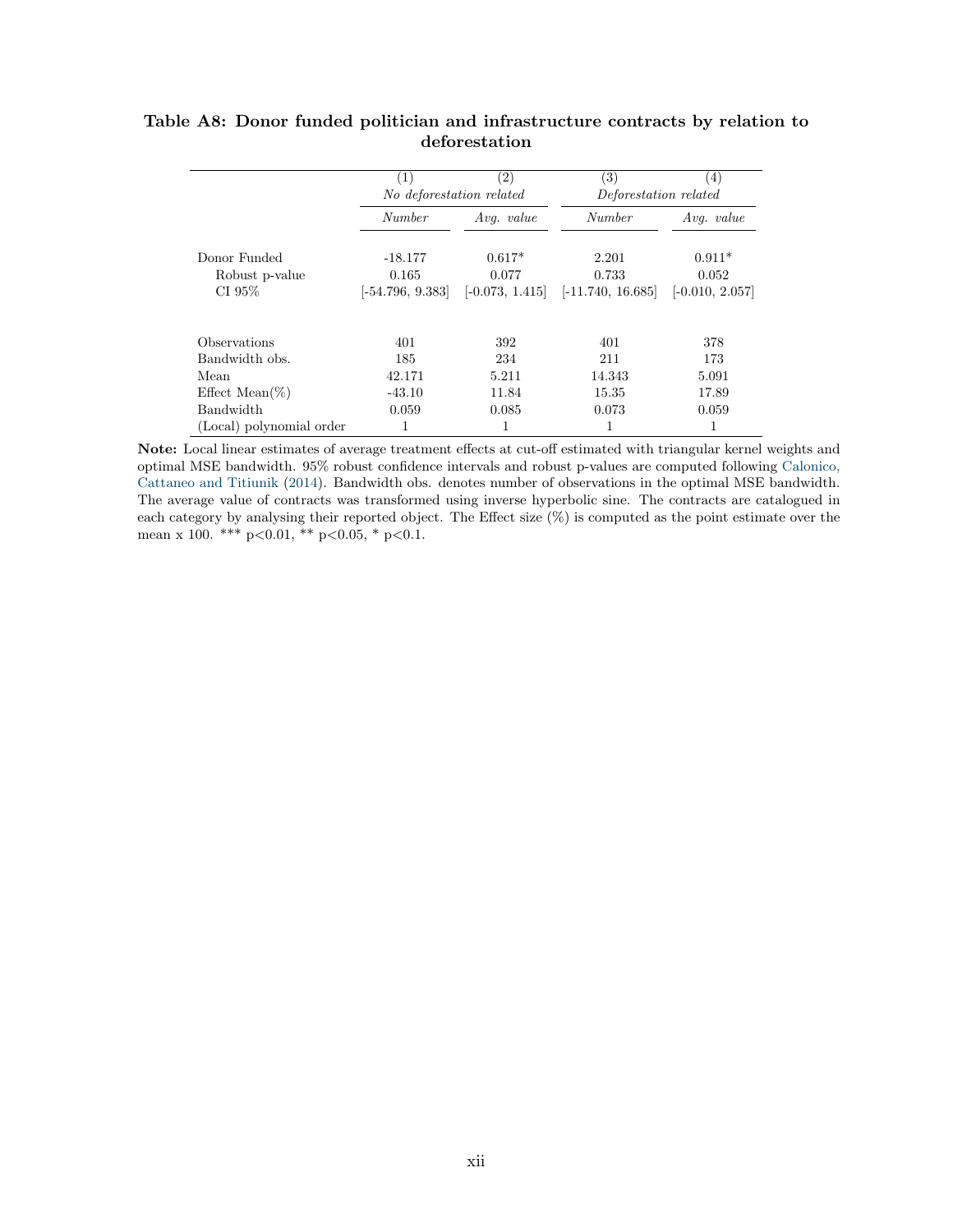|                          | (1)                      | $\left( 2\right)$ | $\left( 3\right)$     | (4)               |
|--------------------------|--------------------------|-------------------|-----------------------|-------------------|
|                          | No deforestation related |                   | Deforestation related |                   |
|                          | Number                   | Avq. $value$      | Number                | $Avg.$ value      |
| Donor Funded             | $-18.177$                | $0.617*$          | 2.201                 | $0.911*$          |
| Robust p-value           | 0.165                    | 0.077             | 0.733                 | 0.052             |
| CI $95\%$                | $[-54.796, 9.383]$       | $[-0.073, 1.415]$ | $[-11.740, 16.685]$   | $[-0.010, 2.057]$ |
|                          |                          |                   |                       |                   |
| Observations             | 401                      | 392               | 401                   | 378               |
| Bandwidth obs.           | 185                      | 234               | 211                   | 173               |
| Mean                     | 42.171                   | 5.211             | 14.343                | 5.091             |
| Effect Mean $(\%)$       | $-43.10$                 | 11.84             | 15.35                 | 17.89             |
| <b>Bandwidth</b>         | 0.059                    | 0.085             | 0.073                 | 0.059             |
| (Local) polynomial order |                          |                   |                       | 1                 |

### <span id="page-49-0"></span>Table A8: Donor funded politician and infrastructure contracts by relation to deforestation

Note: Local linear estimates of average treatment effects at cut-off estimated with triangular kernel weights and optimal MSE bandwidth. 95% robust confidence intervals and robust p-values are computed following [Calonico,](#page-33-11) [Cattaneo and Titiunik](#page-33-11) [\(2014\)](#page-33-11). Bandwidth obs. denotes number of observations in the optimal MSE bandwidth. The average value of contracts was transformed using inverse hyperbolic sine. The contracts are catalogued in each category by analysing their reported object. The Effect size (%) is computed as the point estimate over the mean x 100. \*\*\* p<0.01, \*\* p<0.05, \* p<0.1.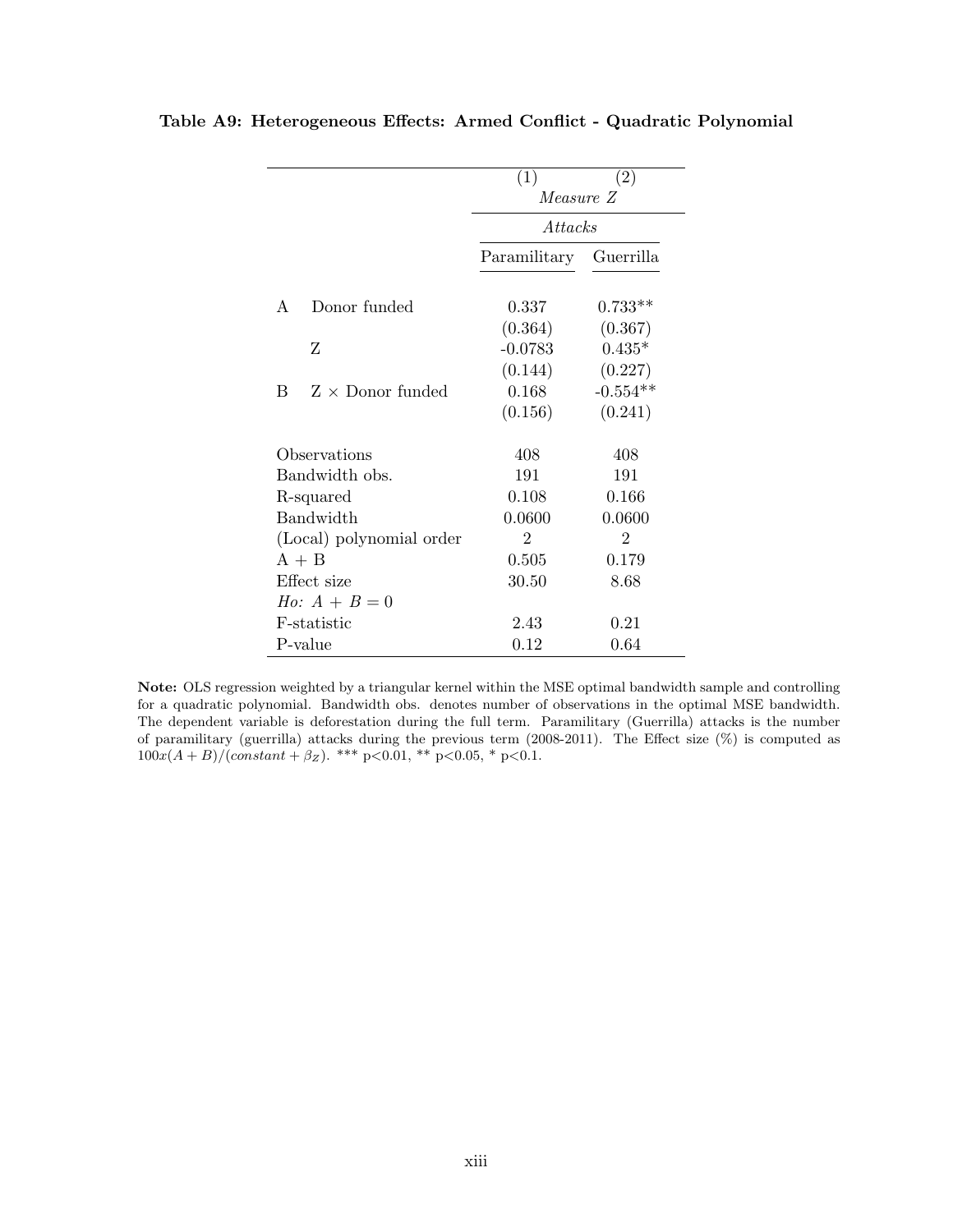|                              | (1)            | (2)            |
|------------------------------|----------------|----------------|
|                              | Measure Z      |                |
|                              | <i>Attacks</i> |                |
|                              | Paramilitary   | Guerrilla      |
| Donor funded<br>A            | 0.337          | $0.733**$      |
|                              | (0.364)        | (0.367)        |
| Ζ                            | $-0.0783$      | $0.435*$       |
|                              | (0.144)        | (0.227)        |
| B<br>$Z \times$ Donor funded | 0.168          | $-0.554**$     |
|                              | (0.156)        | (0.241)        |
| Observations                 | 408            | 408            |
| Bandwidth obs.               | 191            | 191            |
| R-squared                    | 0.108          | 0.166          |
| Bandwidth                    | 0.0600         | 0.0600         |
| (Local) polynomial order     | $\overline{2}$ | $\overline{2}$ |
| $A + B$                      | 0.505          | 0.179          |
| Effect size                  | 30.50          | 8.68           |
| <i>Ho:</i> $A + B = 0$       |                |                |
| F-statistic                  | 2.43           | 0.21           |
| P-value                      | 0.12           | 0.64           |

<span id="page-50-0"></span>Table A9: Heterogeneous Effects: Armed Conflict - Quadratic Polynomial

Note: OLS regression weighted by a triangular kernel within the MSE optimal bandwidth sample and controlling for a quadratic polynomial. Bandwidth obs. denotes number of observations in the optimal MSE bandwidth. The dependent variable is deforestation during the full term. Paramilitary (Guerrilla) attacks is the number of paramilitary (guerrilla) attacks during the previous term (2008-2011). The Effect size (%) is computed as  $100x(A + B)/(constant + \beta z)$ . \*\*\* p<0.01, \*\* p<0.05, \* p<0.1.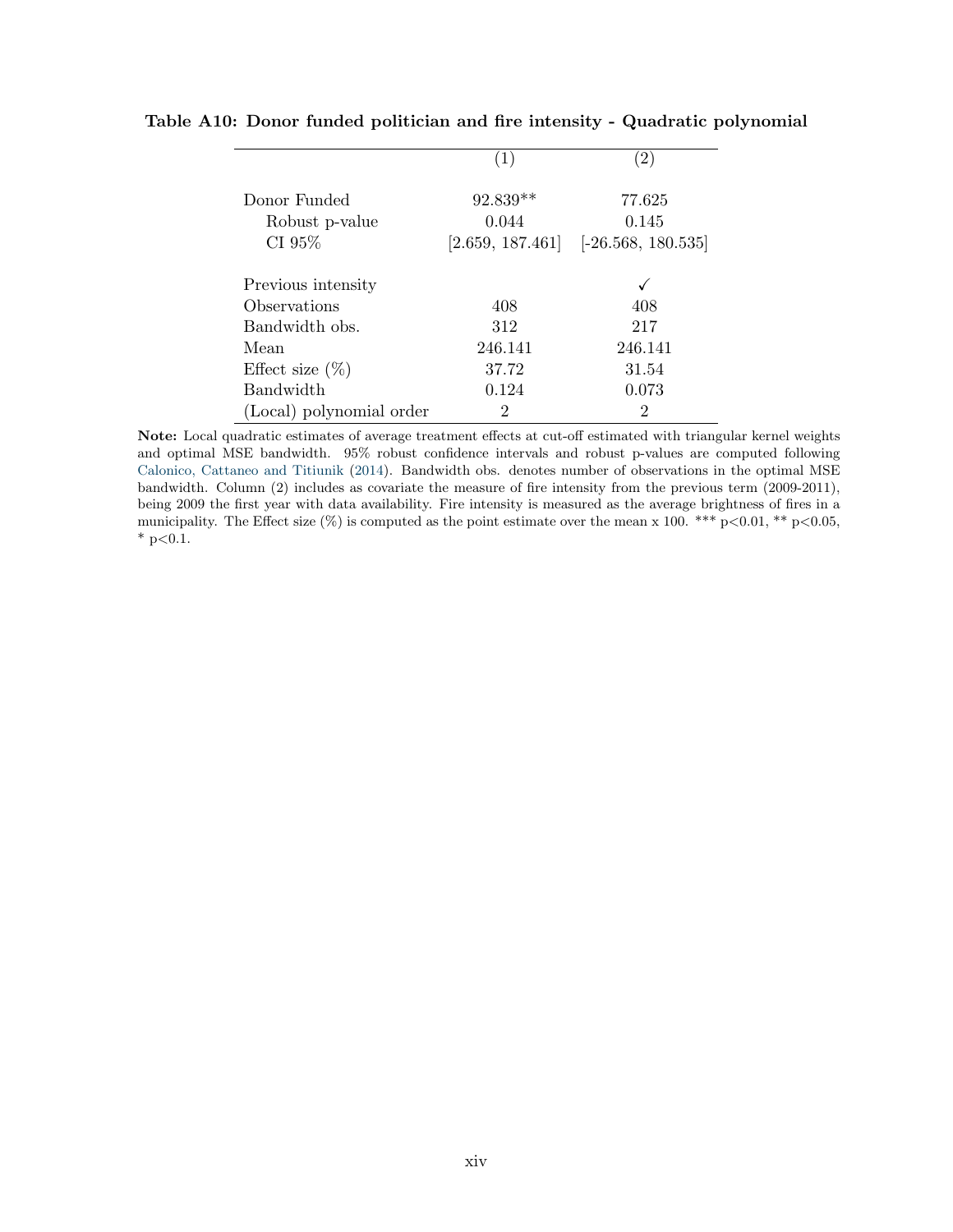|                          | (1)        | (2)                                     |
|--------------------------|------------|-----------------------------------------|
| Donor Funded             | $92.839**$ | 77.625                                  |
| Robust p-value           | 0.044      | 0.145                                   |
| CI 95%                   |            | $[2.659, 187.461]$ $[-26.568, 180.535]$ |
| Previous intensity       |            |                                         |
| Observations             | 408        | 408                                     |
| Bandwidth obs.           | 312        | 217                                     |
| Mean                     | 246.141    | 246.141                                 |
| Effect size $(\%)$       | 37.72      | 31.54                                   |
| <b>Bandwidth</b>         | 0.124      | 0.073                                   |
| (Local) polynomial order | 2          | 2                                       |

### <span id="page-51-0"></span>Table A10: Donor funded politician and fire intensity - Quadratic polynomial

Note: Local quadratic estimates of average treatment effects at cut-off estimated with triangular kernel weights and optimal MSE bandwidth. 95% robust confidence intervals and robust p-values are computed following [Calonico, Cattaneo and Titiunik](#page-33-11) [\(2014\)](#page-33-11). Bandwidth obs. denotes number of observations in the optimal MSE bandwidth. Column (2) includes as covariate the measure of fire intensity from the previous term (2009-2011), being 2009 the first year with data availability. Fire intensity is measured as the average brightness of fires in a municipality. The Effect size  $(\%)$  is computed as the point estimate over the mean x 100. \*\*\* p<0.01, \*\* p<0.05,  $*$  p<0.1.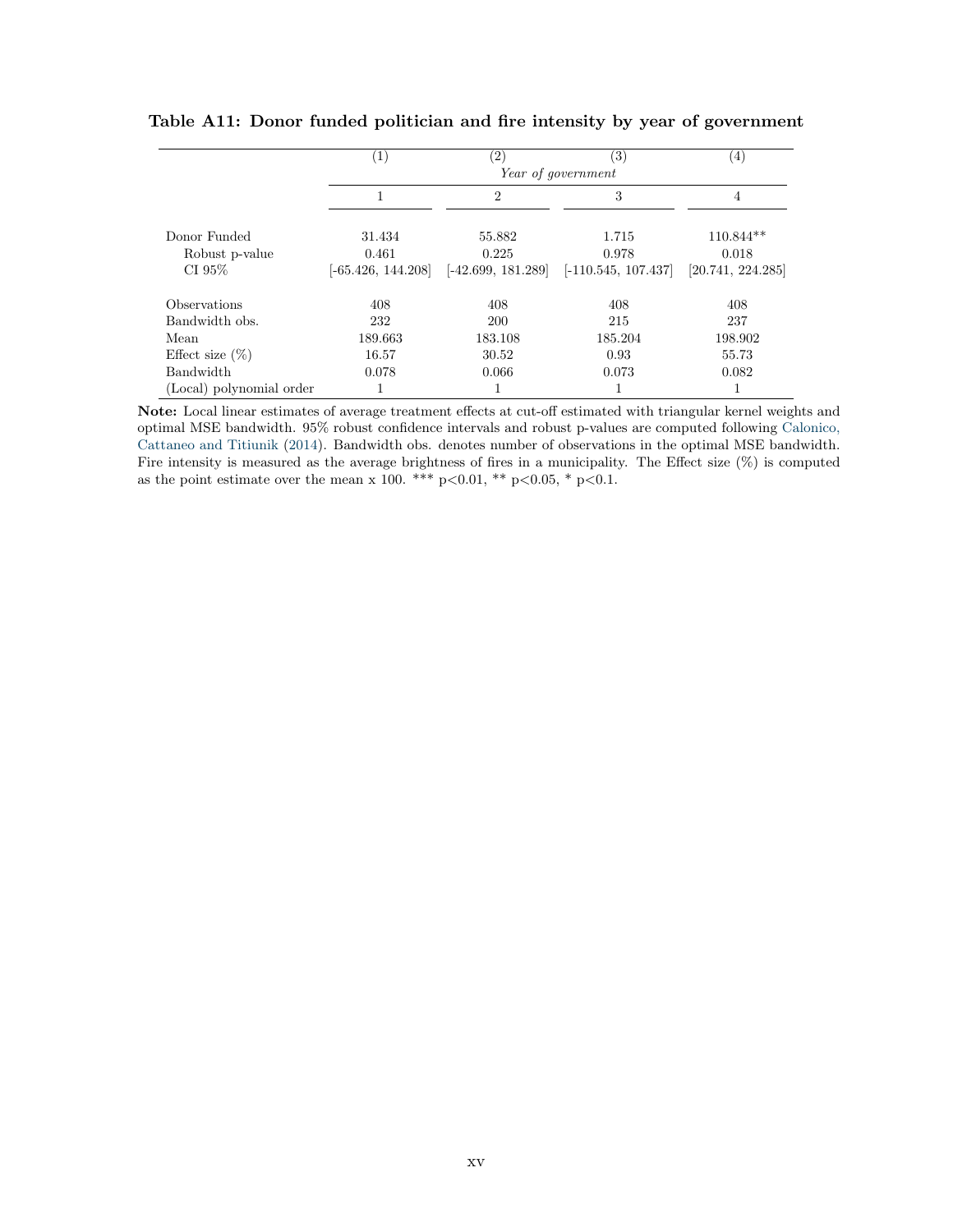|                                             | $\left(1\right)$                        | $\left( 2\right)$                       | $\left( 3\right)$<br>Year of government | (4)                                       |
|---------------------------------------------|-----------------------------------------|-----------------------------------------|-----------------------------------------|-------------------------------------------|
|                                             | 1                                       | $\overline{2}$                          | 3                                       | 4                                         |
| Donor Funded<br>Robust p-value<br>CI $95\%$ | 31.434<br>0.461<br>$[-65.426, 144.208]$ | 55.882<br>0.225<br>$[-42.699, 181.289]$ | 1.715<br>0.978<br>$[-110.545, 107.437]$ | $110.844**$<br>0.018<br>[20.741, 224.285] |
| Observations                                | 408                                     | 408                                     | 408                                     | 408                                       |
| Bandwidth obs.                              | 232                                     | <b>200</b>                              | 215                                     | 237                                       |
| Mean                                        | 189.663                                 | 183.108                                 | 185.204                                 | 198.902                                   |
| Effect size $(\%)$                          | 16.57                                   | 30.52                                   | 0.93                                    | 55.73                                     |
| <b>Bandwidth</b>                            | 0.078                                   | 0.066                                   | 0.073                                   | 0.082                                     |
| (Local) polynomial order                    |                                         |                                         |                                         | л.                                        |

<span id="page-52-0"></span>Table A11: Donor funded politician and fire intensity by year of government

Note: Local linear estimates of average treatment effects at cut-off estimated with triangular kernel weights and optimal MSE bandwidth. 95% robust confidence intervals and robust p-values are computed following [Calonico,](#page-33-11) [Cattaneo and Titiunik](#page-33-11) [\(2014\)](#page-33-11). Bandwidth obs. denotes number of observations in the optimal MSE bandwidth. Fire intensity is measured as the average brightness of fires in a municipality. The Effect size  $(\%)$  is computed as the point estimate over the mean x 100. \*\*\* p<0.01, \*\* p<0.05, \* p<0.1.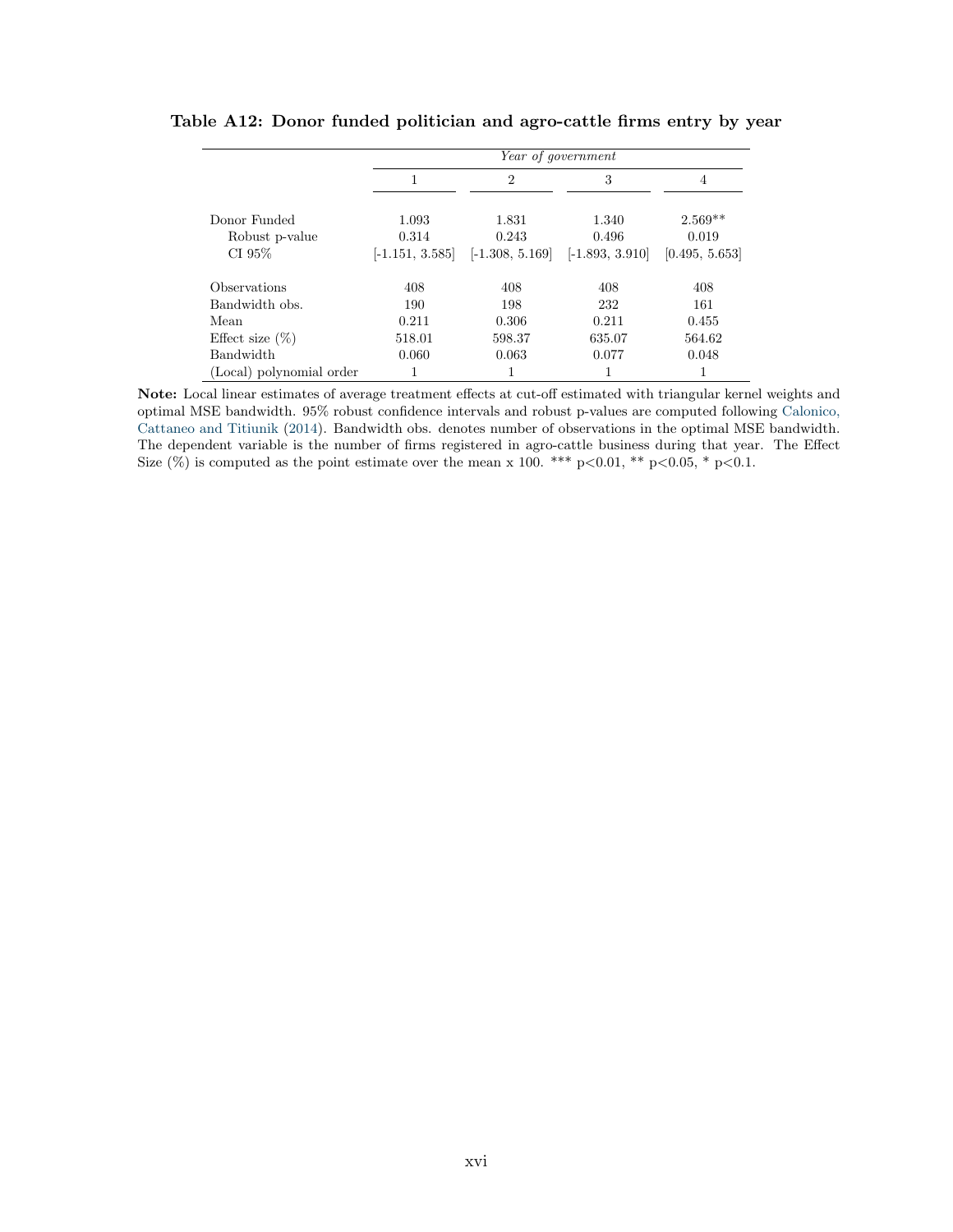|                          |        | Year of government                  |                   |                |
|--------------------------|--------|-------------------------------------|-------------------|----------------|
|                          |        | $\overline{2}$                      | 3                 | 4              |
| Donor Funded             | 1.093  | 1.831                               | 1.340             | $2.569**$      |
| Robust p-value           | 0.314  | 0.243                               | 0.496             | 0.019          |
| CI $95\%$                |        | $[-1.151, 3.585]$ $[-1.308, 5.169]$ | $[-1.893, 3.910]$ | [0.495, 5.653] |
| Observations             | 408    | 408                                 | 408               | 408            |
| Bandwidth obs.           | 190    | 198                                 | 232               | 161            |
| Mean                     | 0.211  | 0.306                               | 0.211             | 0.455          |
| Effect size $(\%)$       | 518.01 | 598.37                              | 635.07            | 564.62         |
| Bandwidth                | 0.060  | 0.063                               | 0.077             | 0.048          |
| (Local) polynomial order |        |                                     |                   |                |

#### <span id="page-53-0"></span>Table A12: Donor funded politician and agro-cattle firms entry by year

Note: Local linear estimates of average treatment effects at cut-off estimated with triangular kernel weights and optimal MSE bandwidth. 95% robust confidence intervals and robust p-values are computed following [Calonico,](#page-33-11) [Cattaneo and Titiunik](#page-33-11) [\(2014\)](#page-33-11). Bandwidth obs. denotes number of observations in the optimal MSE bandwidth. The dependent variable is the number of firms registered in agro-cattle business during that year. The Effect Size  $(\%)$  is computed as the point estimate over the mean x 100. \*\*\* p<0.01, \*\* p<0.05, \* p<0.1.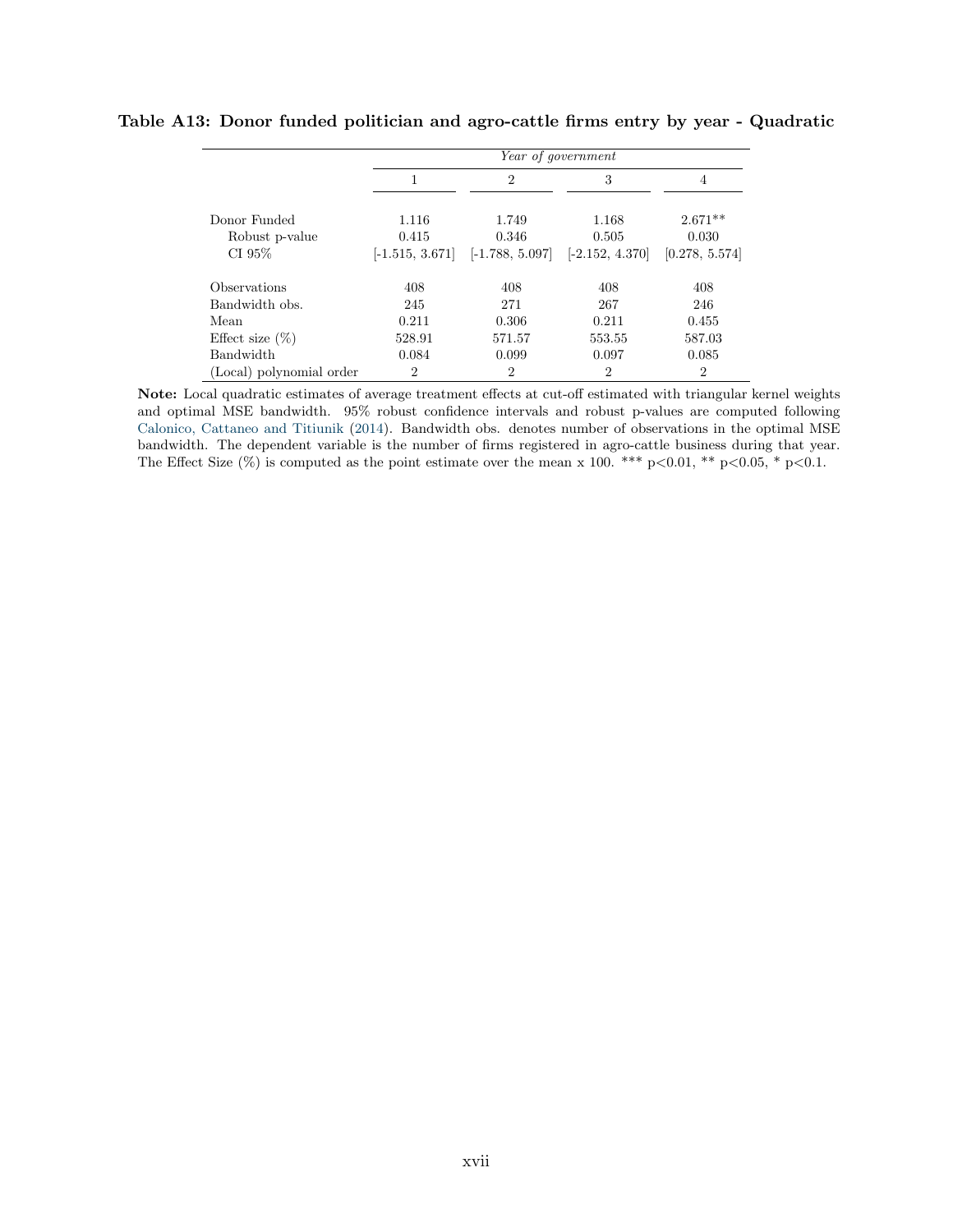|                          |                | Year of government                  |                   |                |
|--------------------------|----------------|-------------------------------------|-------------------|----------------|
|                          | 1              | $\overline{2}$                      | 3                 | 4              |
| Donor Funded             | 1.116          | 1.749                               | 1.168             | $2.671**$      |
| Robust p-value           | 0.415          | 0.346                               | 0.505             | 0.030          |
| CI 95%                   |                | $[-1.515, 3.671]$ $[-1.788, 5.097]$ | $[-2.152, 4.370]$ | [0.278, 5.574] |
| Observations             | 408            | 408                                 | 408               | 408            |
| Bandwidth obs.           | 245            | 271                                 | 267               | 246            |
| Mean                     | 0.211          | 0.306                               | 0.211             | 0.455          |
| Effect size $(\%)$       | 528.91         | 571.57                              | 553.55            | 587.03         |
| Bandwidth                | 0.084          | 0.099                               | 0.097             | 0.085          |
| (Local) polynomial order | $\overline{2}$ | $\overline{2}$                      | 2                 | $\overline{2}$ |

#### <span id="page-54-0"></span>Table A13: Donor funded politician and agro-cattle firms entry by year - Quadratic

Note: Local quadratic estimates of average treatment effects at cut-off estimated with triangular kernel weights and optimal MSE bandwidth. 95% robust confidence intervals and robust p-values are computed following [Calonico, Cattaneo and Titiunik](#page-33-11) [\(2014\)](#page-33-11). Bandwidth obs. denotes number of observations in the optimal MSE bandwidth. The dependent variable is the number of firms registered in agro-cattle business during that year. The Effect Size  $(\%)$  is computed as the point estimate over the mean x 100. \*\*\* p<0.01, \*\* p<0.05, \* p<0.1.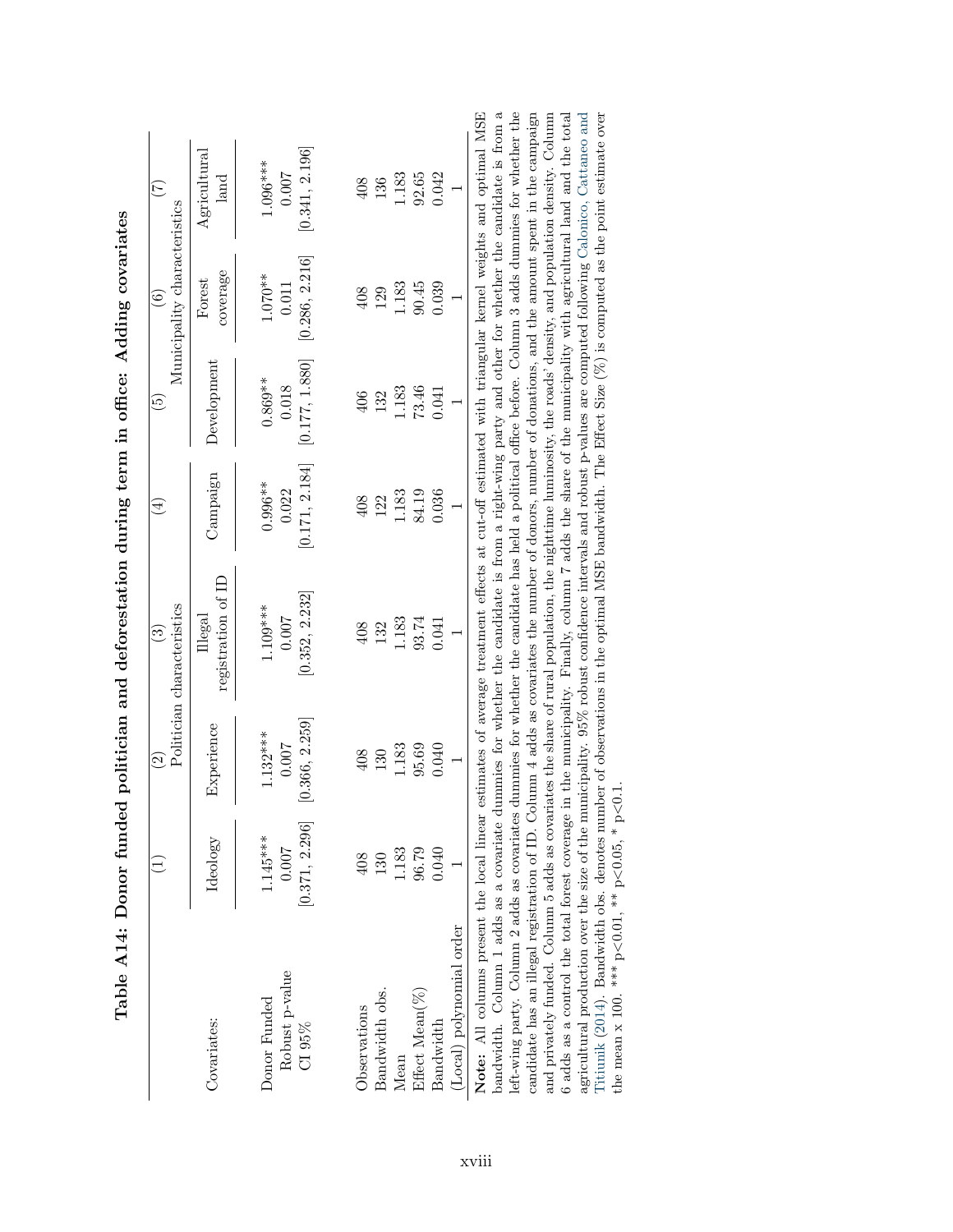|                                          |                                       | $\widehat{\mathfrak{O}}$              | Politician characteristics<br>ତି      | $\widehat{\mathbb{E}}$             | $\widetilde{\mathbb{G}}$             | Municipality characteristics<br>$\widehat{6}$ |                                       |
|------------------------------------------|---------------------------------------|---------------------------------------|---------------------------------------|------------------------------------|--------------------------------------|-----------------------------------------------|---------------------------------------|
| Covariates:                              | Ideology                              | Experience                            | registration of ID<br>Illegal         | Campaign                           | Development                          | coverage<br>Forest                            | $\rm{Agricultural}$<br>$_{\rm land}$  |
| Robust p-value<br>Donor Funded<br>CI 95% | [0.371, 2.296]<br>$1.145***$<br>700.0 | [0.366, 2.259]<br>$1.132***$<br>0.007 | [0.352, 2.232]<br>$1.109***$<br>0.007 | 0.171, 2.184<br>$0.996**$<br>0.022 | [0.177, 1.880]<br>$0.869**$<br>0.018 | [0.286, 2.216]<br>$1.070**$<br>0.011          | [0.341, 2.196]<br>$1.096***$<br>0.007 |
| Observations                             | 408                                   | 408                                   | 408                                   | 408                                | 406                                  | 408                                           | 408                                   |
| Bandwidth obs.                           | 130                                   | 130                                   | 132                                   | 122                                | 132                                  | 129                                           | 136                                   |
| Mean                                     | 1.183                                 | 1.183                                 | 1.183                                 | 1.183                              | 1.183                                | 1.183                                         | 1.183                                 |
| Effect Mean(%)                           | 96.79                                 | 95.69                                 | 93.74                                 | 84.19                              | 73.46                                | 90.45                                         | 92.65                                 |
| Bandwidth                                | 0.040                                 | 0.040                                 | 0.041                                 | 0.036                              | 0.041                                | 0.039                                         | 0.042                                 |
| (Local) polynomial order                 |                                       |                                       |                                       |                                    |                                      |                                               |                                       |

<span id="page-55-0"></span>

| ١<br>֚֚֬    |
|-------------|
|             |
| l           |
|             |
|             |
|             |
| )<br>I<br>I |
| $\vdots$    |
| ׇ֕          |

 $\mathbf{E}$  $\mathfrak{a}$ bandwidth. Column 1 adds as a covariate dummies for whether the candidate is from a right-wing party and other for whether the candidate is from a left-wing party. Column 2 adds as covariates dummies for whether the candidate has held a political office before. Column 3 adds dummies for whether the candidate has an illegal registration of ID. Column 4 adds as covariates the number of donors, number of donations, and the amount spent in the campaign and privately funded. Column 5 adds as covariates the share of rural population, the nighttime luminosity, the roads' density, and population density. Column agricultural production over the size of the municipality. 95% robust confidence intervals and robust p-values are computed following Calonico, Cattaneo and Titiunik (2014). Bandwidth obs. denotes number of observations i 6 adds as a control the total forest coverage in the municipality. Finally, column 7 adds the share of the municipality with agricultural land and the total Note: All columns present the local linear estimates of average treatment effects at cut-off estimated with triangular kernel weights and optimal MSE left-wing party. Column 2 adds as covariates dummies for whether the candidate has held a political office before. Column 3 adds dummies for whether the candidate has an illegal registration of ID. Column 4 adds as covariates the number of donors, number of donations, and the amount spent in the campaign and privately funded. Column 5 adds as covariates the share of rural population, the nighttime luminosity, the roads' density, and population density. Column 6 adds as a control the total forest coverage in the municipality. Finally, column 7 adds the share of the municipality with agricultural land and the total agricultural production over the size of the municipality. 95% robust confidence intervals and robust p-values are computed following [Calonico,](#page-33-11) Cattaneo and [Titiunik](#page-33-11) [\(2014\)](#page-33-11). Bandwidth obs. denotes number of observations in the optimal MSE bandwidth. The Effect Size (%) is computed as the point estimate over  $\lesssim$  $< 0.05, * p$  $<$  0.01,  $*$  p $\cdot$ the mean  $x$  100. \*\*\*  $p$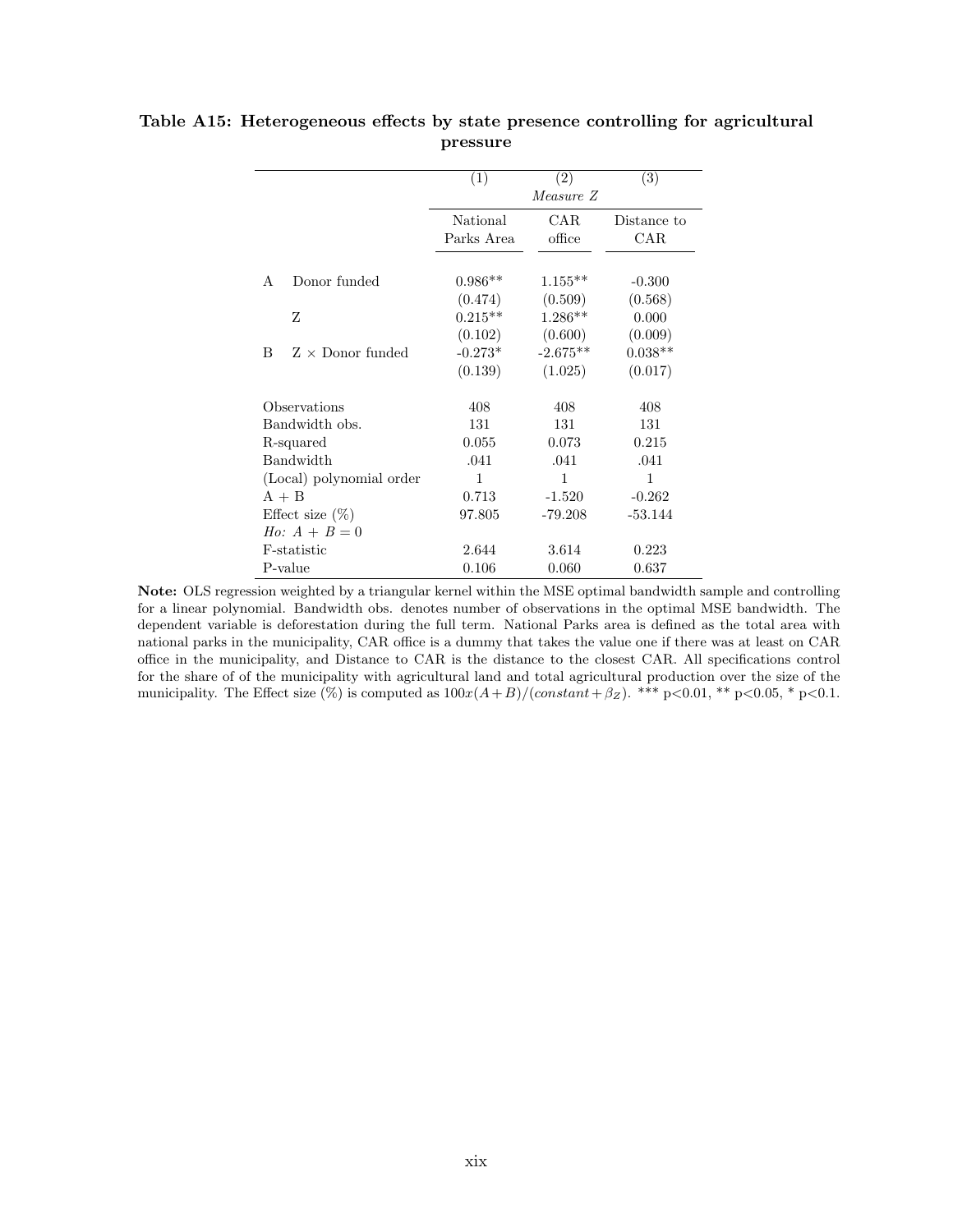|                              | (1)                    | (2)            | (3)                |
|------------------------------|------------------------|----------------|--------------------|
|                              |                        | Measure Z      |                    |
|                              | National<br>Parks Area | CAR.<br>office | Distance to<br>CAR |
| Donor funded<br>A            | $0.986**$              | $1.155**$      | $-0.300$           |
|                              | (0.474)                | (0.509)        | (0.568)            |
| Ζ                            | $0.215**$              | $1.286**$      | 0.000              |
|                              | (0.102)                | (0.600)        | (0.009)            |
| $Z \times$ Donor funded<br>B | $-0.273*$              | $-2.675**$     | $0.038**$          |
|                              | (0.139)                | (1.025)        | (0.017)            |
| Observations                 | 408                    | 408            | 408                |
| Bandwidth obs.               | 131                    | 131            | 131                |
| R-squared                    | 0.055                  | 0.073          | 0.215              |
| Bandwidth                    | .041                   | .041           | .041               |
| (Local) polynomial order     | 1                      | 1              | 1                  |
| $A + B$                      | 0.713                  | $-1.520$       | $-0.262$           |
| Effect size $(\%)$           | 97.805                 | $-79.208$      | $-53.144$          |
| <i>Ho:</i> $A + B = 0$       |                        |                |                    |
| F-statistic                  | 2.644                  | 3.614          | 0.223              |
| P-value                      | 0.106                  | 0.060          | 0.637              |

### <span id="page-56-0"></span>Table A15: Heterogeneous effects by state presence controlling for agricultural pressure

Note: OLS regression weighted by a triangular kernel within the MSE optimal bandwidth sample and controlling for a linear polynomial. Bandwidth obs. denotes number of observations in the optimal MSE bandwidth. The dependent variable is deforestation during the full term. National Parks area is defined as the total area with national parks in the municipality, CAR office is a dummy that takes the value one if there was at least on CAR office in the municipality, and Distance to CAR is the distance to the closest CAR. All specifications control for the share of of the municipality with agricultural land and total agricultural production over the size of the municipality. The Effect size  $(\%)$  is computed as  $100x(A+B)/(constant+\beta_{Z})$ . \*\*\* p<0.01, \*\* p<0.05, \* p<0.1.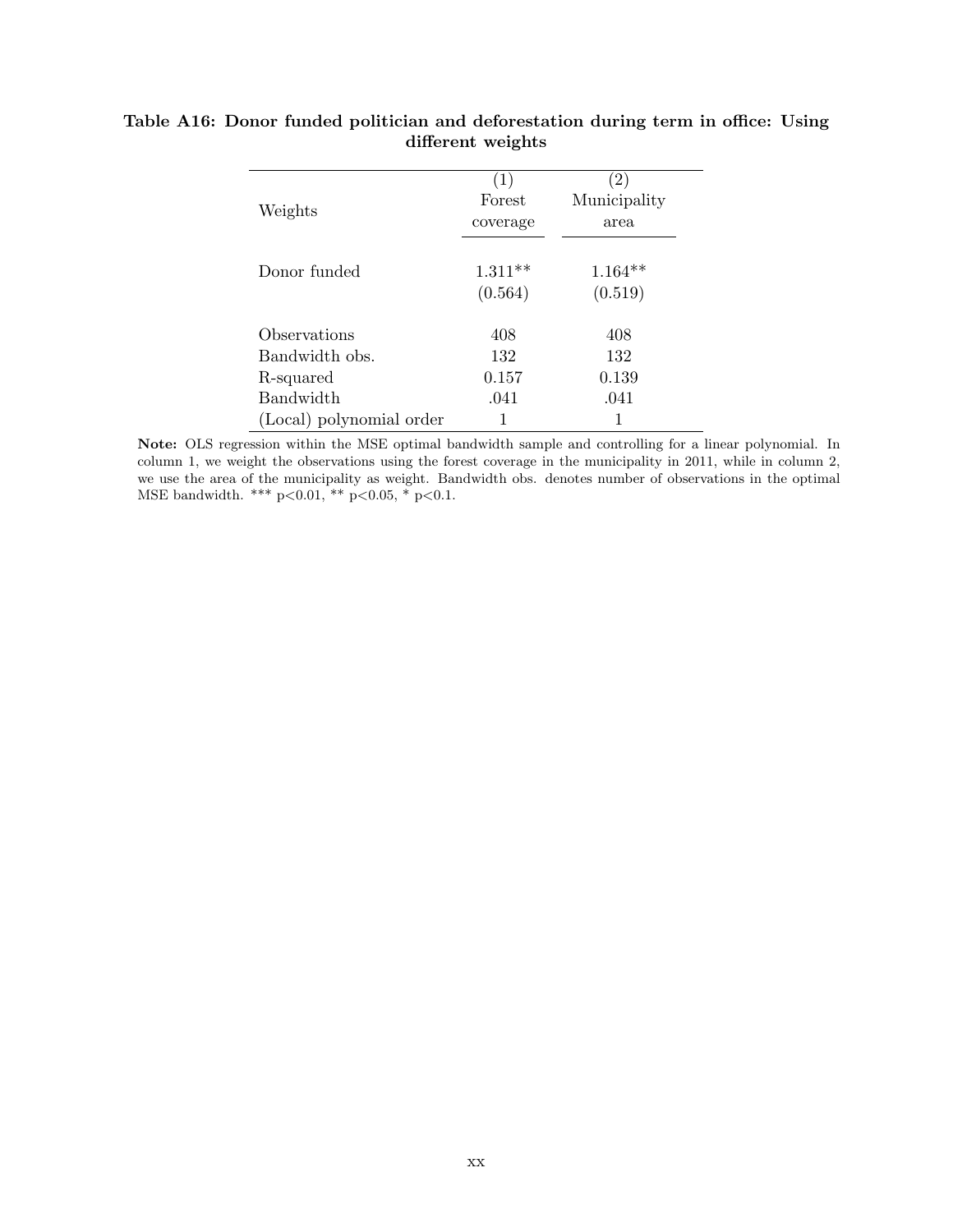|                          | (1)       | $\left( 2\right)$ |
|--------------------------|-----------|-------------------|
| Weights                  | Forest    | Municipality      |
|                          | coverage  | area              |
|                          |           |                   |
| Donor funded             | $1.311**$ | $1.164**$         |
|                          | (0.564)   | (0.519)           |
|                          |           |                   |
| Observations             | 408       | 408               |
| Bandwidth obs.           | 132       | 132               |
| R-squared                | 0.157     | 0.139             |
| <b>Bandwidth</b>         | .041      | .041              |
| (Local) polynomial order |           |                   |

### <span id="page-57-0"></span>Table A16: Donor funded politician and deforestation during term in office: Using different weights

Note: OLS regression within the MSE optimal bandwidth sample and controlling for a linear polynomial. In column 1, we weight the observations using the forest coverage in the municipality in 2011, while in column 2, we use the area of the municipality as weight. Bandwidth obs. denotes number of observations in the optimal MSE bandwidth. \*\*\* p<0.01, \*\* p<0.05, \* p<0.1.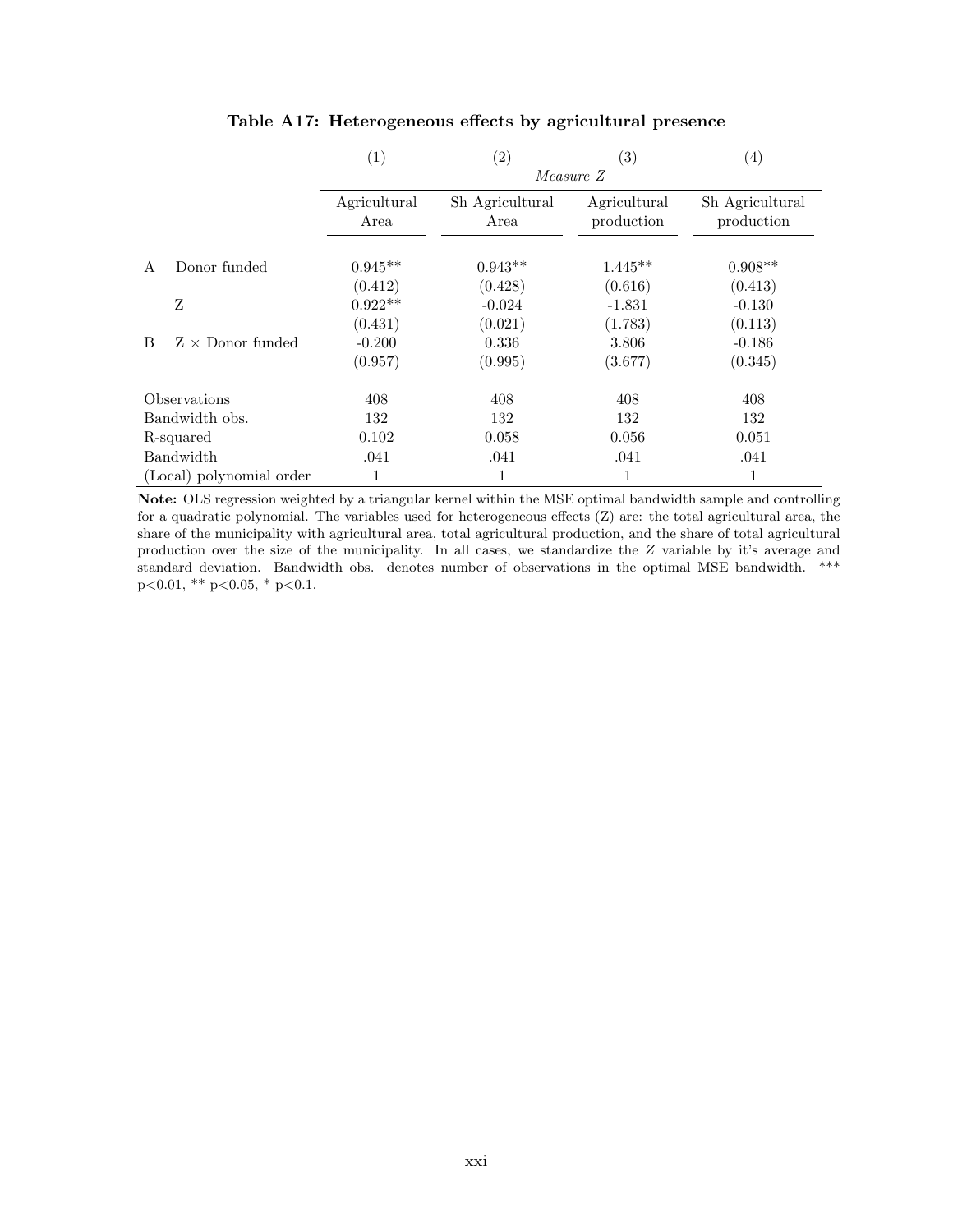<span id="page-58-0"></span>

|   |                          | $\left( 1\right)$    | $\left( 2\right)$       | $\left( 3\right)$          | $\left(4\right)$              |
|---|--------------------------|----------------------|-------------------------|----------------------------|-------------------------------|
|   |                          |                      |                         | Measure Z                  |                               |
|   |                          | Agricultural<br>Area | Sh Agricultural<br>Area | Agricultural<br>production | Sh Agricultural<br>production |
| A | Donor funded             | $0.945**$            | $0.943**$               | $1.445**$                  | $0.908**$                     |
|   |                          | (0.412)              | (0.428)                 | (0.616)                    | (0.413)                       |
|   | Z                        | $0.922**$            | $-0.024$                | $-1.831$                   | $-0.130$                      |
|   |                          | (0.431)              | (0.021)                 | (1.783)                    | (0.113)                       |
| B | $Z \times$ Donor funded  | $-0.200$             | 0.336                   | 3.806                      | $-0.186$                      |
|   |                          | (0.957)              | (0.995)                 | (3.677)                    | (0.345)                       |
|   | Observations             | 408                  | 408                     | 408                        | 408                           |
|   | Bandwidth obs.           | 132                  | 132                     | 132                        | 132                           |
|   | R-squared                | 0.102                | 0.058                   | 0.056                      | 0.051                         |
|   | Bandwidth                | .041                 | .041                    | .041                       | .041                          |
|   | (Local) polynomial order | 1                    |                         | 1                          | 1                             |

Table A17: Heterogeneous effects by agricultural presence

Note: OLS regression weighted by a triangular kernel within the MSE optimal bandwidth sample and controlling for a quadratic polynomial. The variables used for heterogeneous effects (Z) are: the total agricultural area, the share of the municipality with agricultural area, total agricultural production, and the share of total agricultural production over the size of the municipality. In all cases, we standardize the Z variable by it's average and standard deviation. Bandwidth obs. denotes number of observations in the optimal MSE bandwidth. \*\*\*  $p<0.01$ , \*\*  $p<0.05$ , \*  $p<0.1$ .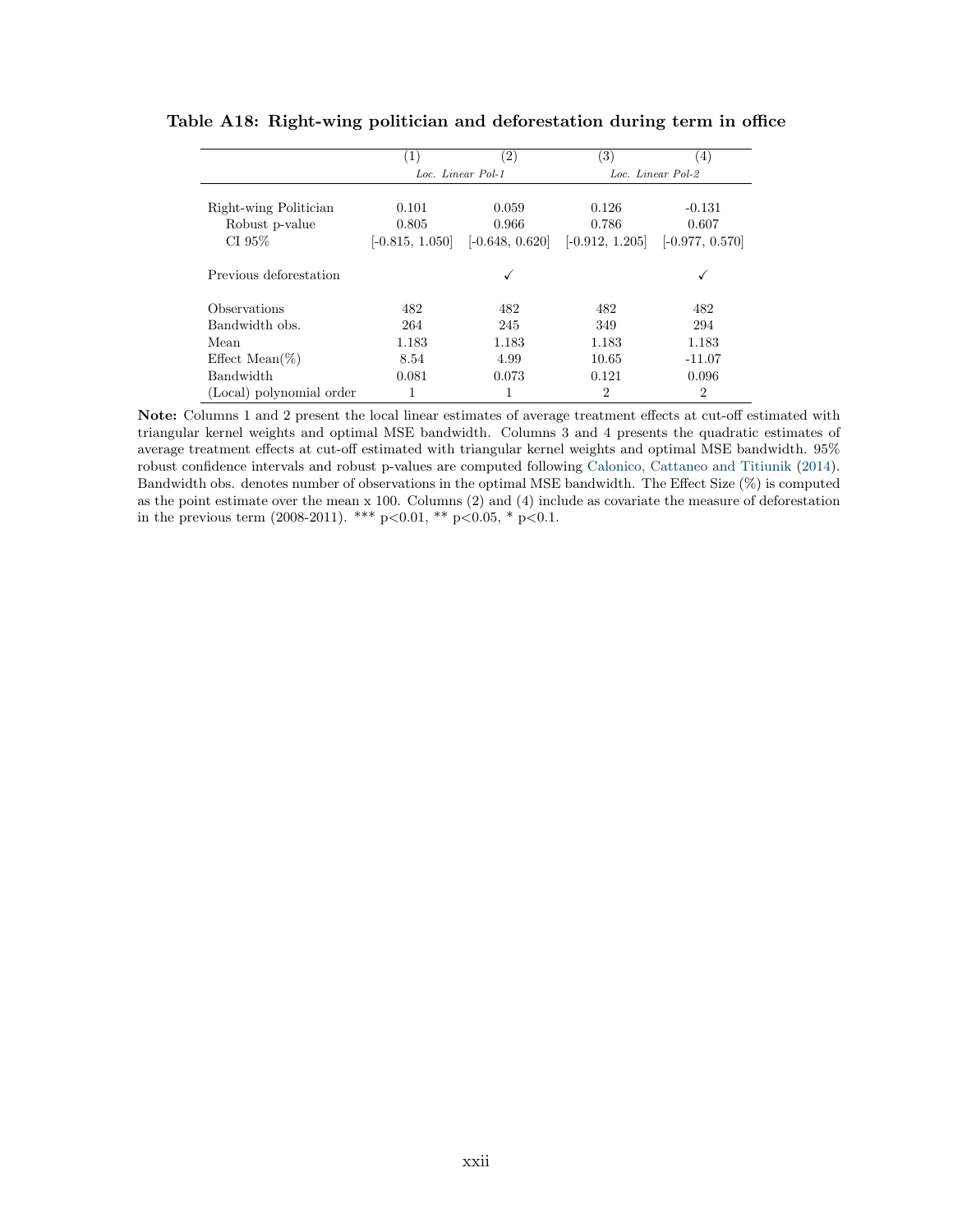|                                                   | $\left(1\right)$                    | $\left( 2\right)$                   | (3)                                 | (4)                                    |
|---------------------------------------------------|-------------------------------------|-------------------------------------|-------------------------------------|----------------------------------------|
|                                                   |                                     | Loc. Linear Pol-1                   |                                     | Loc. Linear Pol-2                      |
| Right-wing Politician<br>Robust p-value<br>CI 95% | 0.101<br>0.805<br>$[-0.815, 1.050]$ | 0.059<br>0.966<br>$[-0.648, 0.620]$ | 0.126<br>0.786<br>$[-0.912, 1.205]$ | $-0.131$<br>0.607<br>$[-0.977, 0.570]$ |
| Previous deforestation                            |                                     | ✓                                   |                                     |                                        |
| Observations                                      | 482                                 | 482                                 | 482                                 | 482                                    |
| Bandwidth obs.                                    | 264                                 | 245                                 | 349                                 | 294                                    |
| Mean                                              | 1.183                               | 1.183                               | 1.183                               | 1.183                                  |
| Effect Mean $(\%)$                                | 8.54                                | 4.99                                | 10.65                               | $-11.07$                               |
| <b>Bandwidth</b>                                  | 0.081                               | 0.073                               | 0.121                               | 0.096                                  |
| (Local) polynomial order                          |                                     |                                     | 2                                   | $\overline{2}$                         |

<span id="page-59-0"></span>

Note: Columns 1 and 2 present the local linear estimates of average treatment effects at cut-off estimated with triangular kernel weights and optimal MSE bandwidth. Columns 3 and 4 presents the quadratic estimates of average treatment effects at cut-off estimated with triangular kernel weights and optimal MSE bandwidth. 95% robust confidence intervals and robust p-values are computed following [Calonico, Cattaneo and Titiunik](#page-33-11) [\(2014\)](#page-33-11). Bandwidth obs. denotes number of observations in the optimal MSE bandwidth. The Effect Size (%) is computed as the point estimate over the mean x 100. Columns (2) and (4) include as covariate the measure of deforestation in the previous term (2008-2011). \*\*\*  $p<0.01$ , \*\*  $p<0.05$ , \*  $p<0.1$ .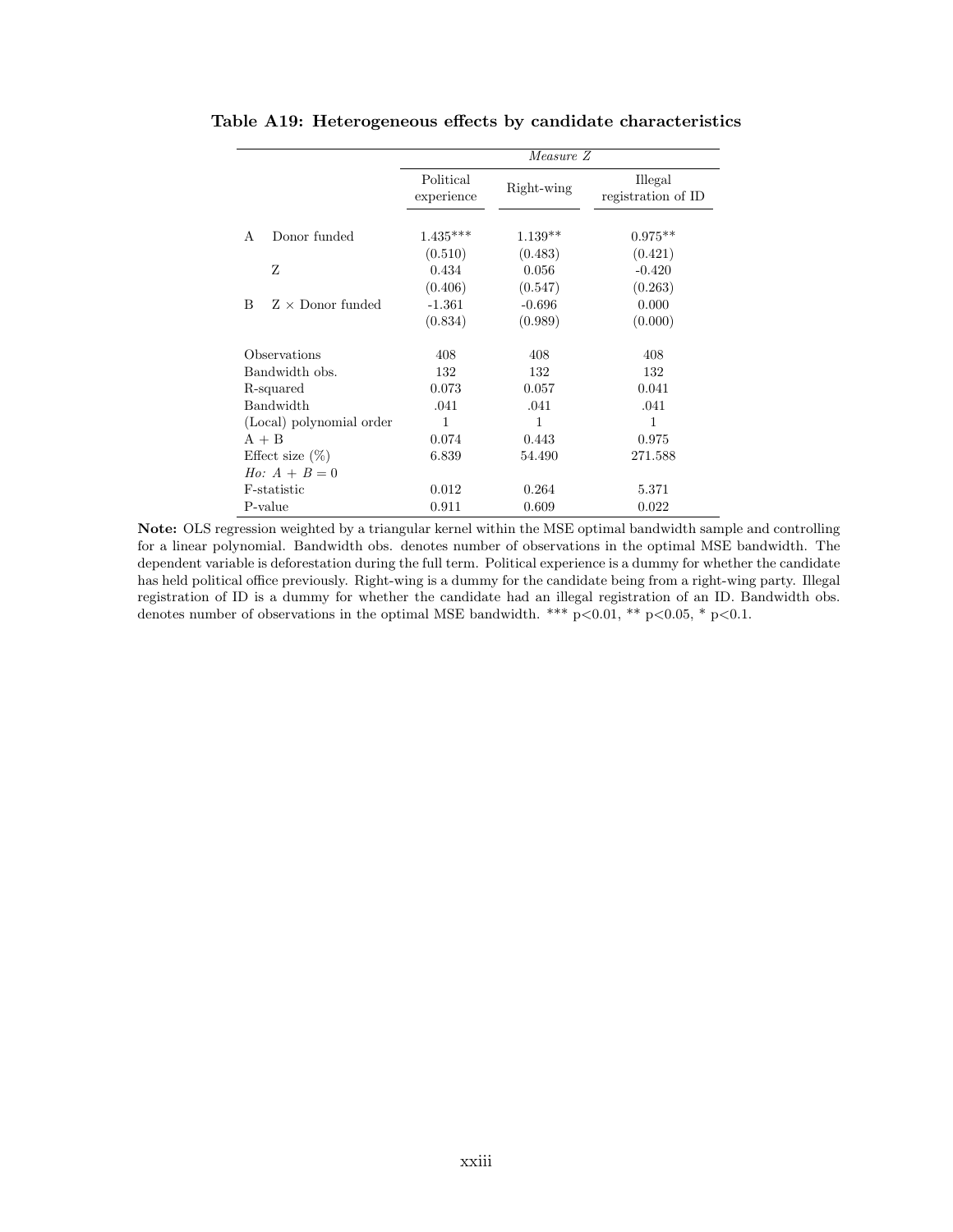|                              |                         | Measure Z  |                               |
|------------------------------|-------------------------|------------|-------------------------------|
|                              | Political<br>experience | Right-wing | Illegal<br>registration of ID |
| Donor funded<br>А            | $1.435***$              | $1.139**$  | $0.975**$                     |
|                              | (0.510)                 | (0.483)    | (0.421)                       |
| Z                            | 0.434                   | 0.056      | $-0.420$                      |
|                              | (0.406)                 | (0.547)    | (0.263)                       |
| $Z \times$ Donor funded<br>B | $-1.361$                | $-0.696$   | 0.000                         |
|                              | (0.834)                 | (0.989)    | (0.000)                       |
| Observations                 | 408                     | 408        | 408                           |
| Bandwidth obs.               | 132                     | 132        | 132                           |
| R-squared                    | 0.073                   | 0.057      | 0.041                         |
| Bandwidth                    | .041                    | .041       | .041                          |
| (Local) polynomial order     | 1                       | 1          | 1                             |
| $A + B$                      | 0.074                   | 0.443      | 0.975                         |
| Effect size $(\%)$           | 6.839                   | 54.490     | 271.588                       |
| <i>Ho</i> : $A + B = 0$      |                         |            |                               |
| F-statistic                  | 0.012                   | 0.264      | 5.371                         |
| P-value                      | 0.911                   | 0.609      | 0.022                         |

<span id="page-60-0"></span>Table A19: Heterogeneous effects by candidate characteristics

Note: OLS regression weighted by a triangular kernel within the MSE optimal bandwidth sample and controlling for a linear polynomial. Bandwidth obs. denotes number of observations in the optimal MSE bandwidth. The dependent variable is deforestation during the full term. Political experience is a dummy for whether the candidate has held political office previously. Right-wing is a dummy for the candidate being from a right-wing party. Illegal registration of ID is a dummy for whether the candidate had an illegal registration of an ID. Bandwidth obs. denotes number of observations in the optimal MSE bandwidth. \*\*\*  $p<0.01$ , \*\*  $p<0.05$ , \*  $p<0.1$ .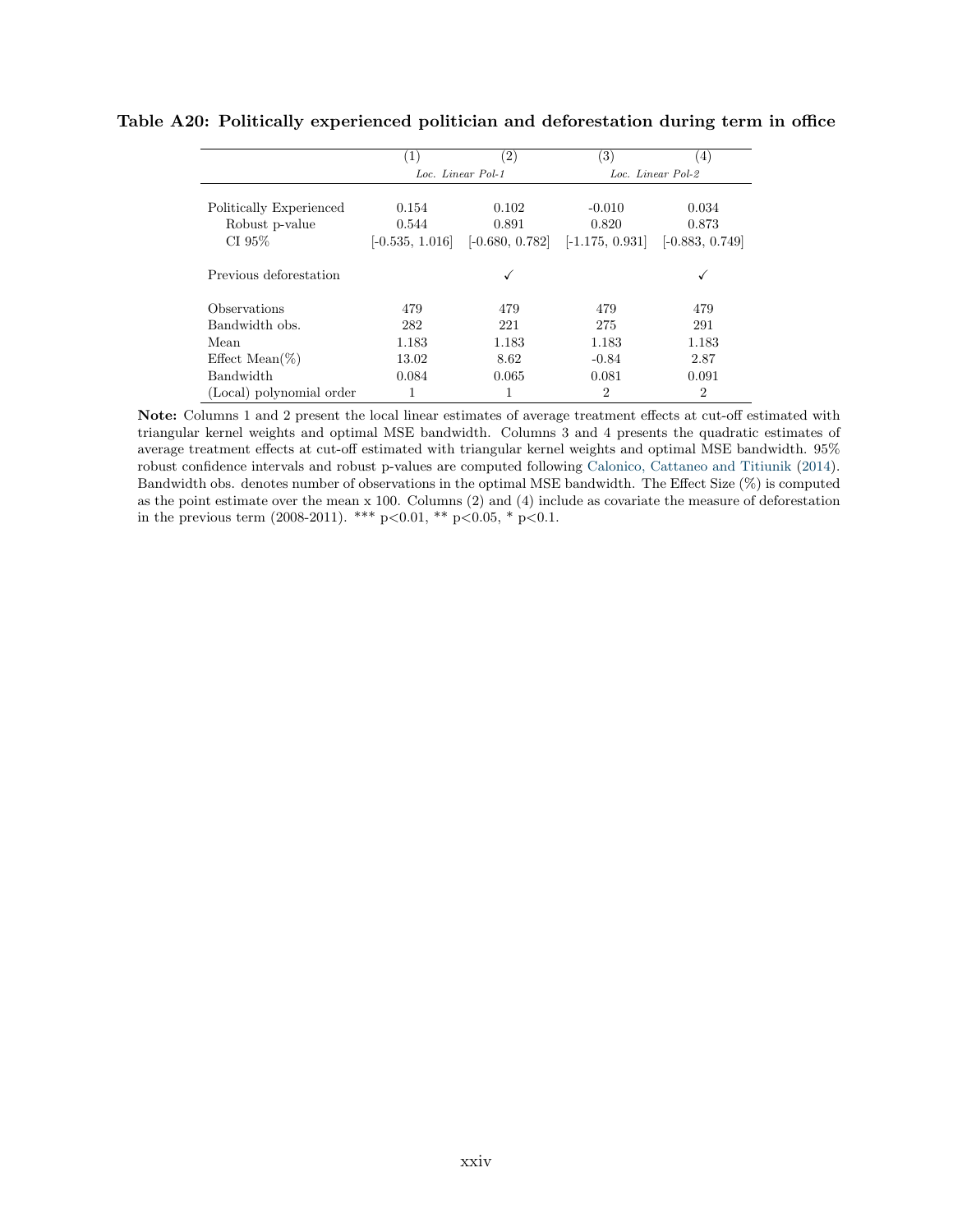|                          | $\left(1\right)$  | $\left( 2\right)$ | (3)               | (4)               |
|--------------------------|-------------------|-------------------|-------------------|-------------------|
|                          |                   | Loc. Linear Pol-1 |                   | Loc. Linear Pol-2 |
|                          |                   |                   |                   |                   |
| Politically Experienced  | 0.154             | 0.102             | $-0.010$          | 0.034             |
| Robust p-value           | 0.544             | 0.891             | 0.820             | 0.873             |
| CI 95%                   | $[-0.535, 1.016]$ | $[-0.680, 0.782]$ | $[-1.175, 0.931]$ | $[-0.883, 0.749]$ |
| Previous deforestation   |                   | ✓                 |                   |                   |
| Observations             | 479               | 479               | 479               | 479               |
| Bandwidth obs.           | 282               | 221               | 275               | 291               |
| Mean                     | 1.183             | 1.183             | 1.183             | 1.183             |
| Effect Mean $(\%)$       | 13.02             | 8.62              | $-0.84$           | 2.87              |
| Bandwidth                | 0.084             | 0.065             | 0.081             | 0.091             |
| (Local) polynomial order | 1                 |                   | 2                 | $\overline{2}$    |

#### <span id="page-61-0"></span>Table A20: Politically experienced politician and deforestation during term in office

Note: Columns 1 and 2 present the local linear estimates of average treatment effects at cut-off estimated with triangular kernel weights and optimal MSE bandwidth. Columns 3 and 4 presents the quadratic estimates of average treatment effects at cut-off estimated with triangular kernel weights and optimal MSE bandwidth. 95% robust confidence intervals and robust p-values are computed following [Calonico, Cattaneo and Titiunik](#page-33-11) [\(2014\)](#page-33-11). Bandwidth obs. denotes number of observations in the optimal MSE bandwidth. The Effect Size (%) is computed as the point estimate over the mean x 100. Columns (2) and (4) include as covariate the measure of deforestation in the previous term (2008-2011). \*\*\* p<0.01, \*\* p<0.05, \* p<0.1.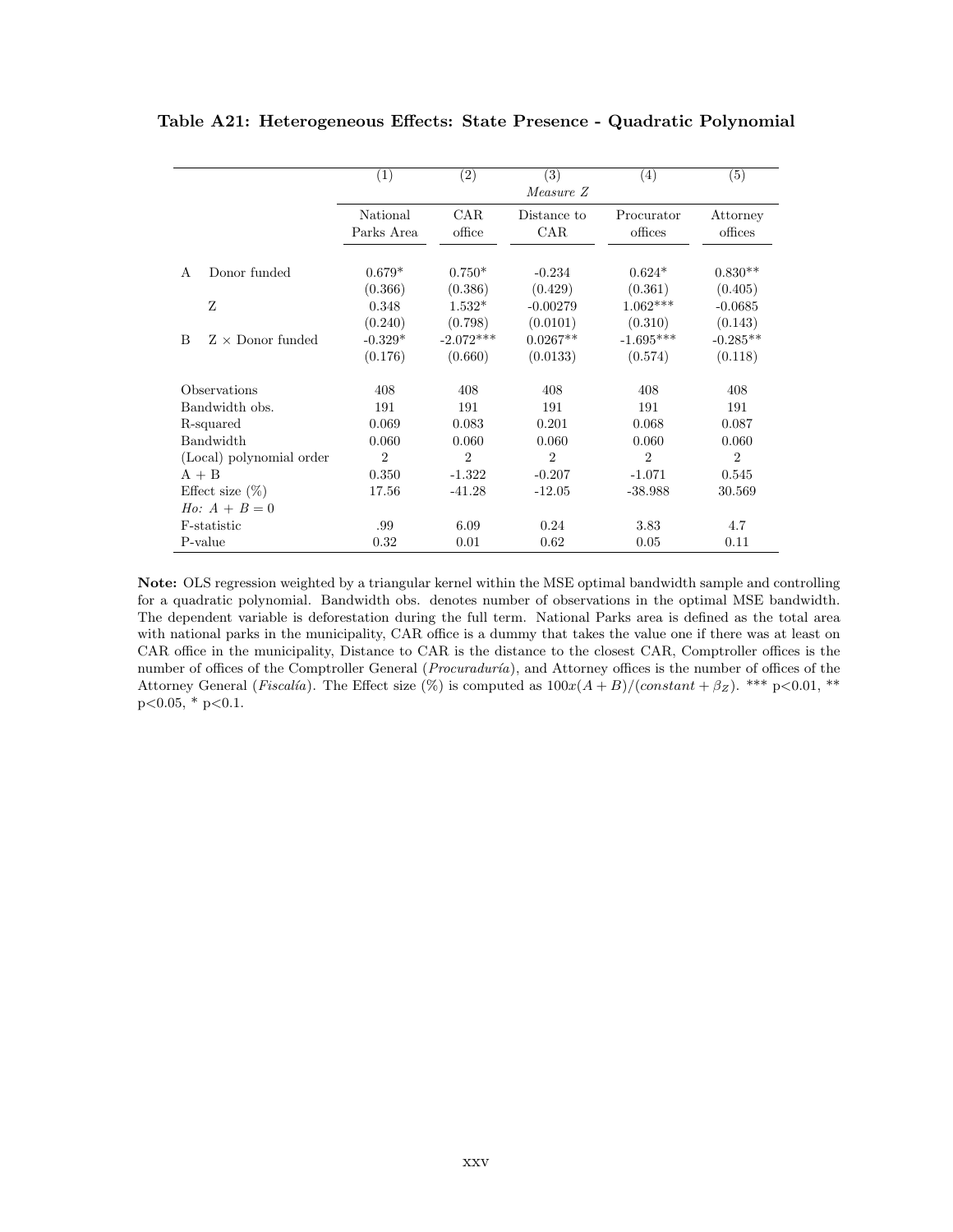<span id="page-62-0"></span>

|   |                          | (1)            | (2)            | (3)                         | (4)            | (5)            |
|---|--------------------------|----------------|----------------|-----------------------------|----------------|----------------|
|   |                          |                |                | Measure Z                   |                |                |
|   |                          | National       | <b>CAR</b>     | Distance to                 | Procurator     | Attorney       |
|   |                          | Parks Area     | office         | CAR                         | offices        | offices        |
|   |                          |                |                |                             |                |                |
| A | Donor funded             | $0.679*$       | $0.750*$       | $-0.234$                    | $0.624*$       | $0.830**$      |
|   |                          | (0.366)        | (0.386)        | (0.429)                     | (0.361)        | (0.405)        |
|   | Z                        | 0.348          | $1.532*$       | $-0.00279$                  | $1.062***$     | $-0.0685$      |
|   |                          | (0.240)        | (0.798)        | (0.0101)                    | (0.310)        | (0.143)        |
| B | $Z \times$ Donor funded  | $-0.329*$      | $-2.072***$    | $0.0267**$                  | $-1.695***$    | $-0.285**$     |
|   |                          | (0.176)        | (0.660)        | (0.0133)                    | (0.574)        | (0.118)        |
|   | Observations             | 408            | 408            | 408                         | 408            | 408            |
|   | Bandwidth obs.           | 191            | 191            | 191                         | 191            | 191            |
|   | R-squared                | 0.069          | 0.083          | 0.201                       | 0.068          | 0.087          |
|   | Bandwidth                | 0.060          | 0.060          | 0.060                       | 0.060          | 0.060          |
|   | (Local) polynomial order | $\overline{2}$ | $\overline{2}$ | $\mathcal{D}_{\mathcal{L}}$ | $\mathfrak{D}$ | $\overline{2}$ |
|   | $A + B$                  | 0.350          | $-1.322$       | $-0.207$                    | $-1.071$       | 0.545          |
|   | Effect size $(\%)$       | 17.56          | $-41.28$       | $-12.05$                    | $-38.988$      | 30.569         |
|   | <i>Ho:</i> $A + B = 0$   |                |                |                             |                |                |
|   | F-statistic              | .99            | 6.09           | 0.24                        | 3.83           | 4.7            |
|   | P-value                  | 0.32           | 0.01           | 0.62                        | 0.05           | 0.11           |

Note: OLS regression weighted by a triangular kernel within the MSE optimal bandwidth sample and controlling for a quadratic polynomial. Bandwidth obs. denotes number of observations in the optimal MSE bandwidth. The dependent variable is deforestation during the full term. National Parks area is defined as the total area with national parks in the municipality, CAR office is a dummy that takes the value one if there was at least on CAR office in the municipality, Distance to CAR is the distance to the closest CAR, Comptroller offices is the number of offices of the Comptroller General (Procuraduría), and Attorney offices is the number of offices of the Attorney General (*Fiscalía*). The Effect size (%) is computed as  $100x(A + B)/(constant + \beta_Z)$ . \*\*\* p<0.01, \*\*  $p<0.05$ , \*  $p<0.1$ .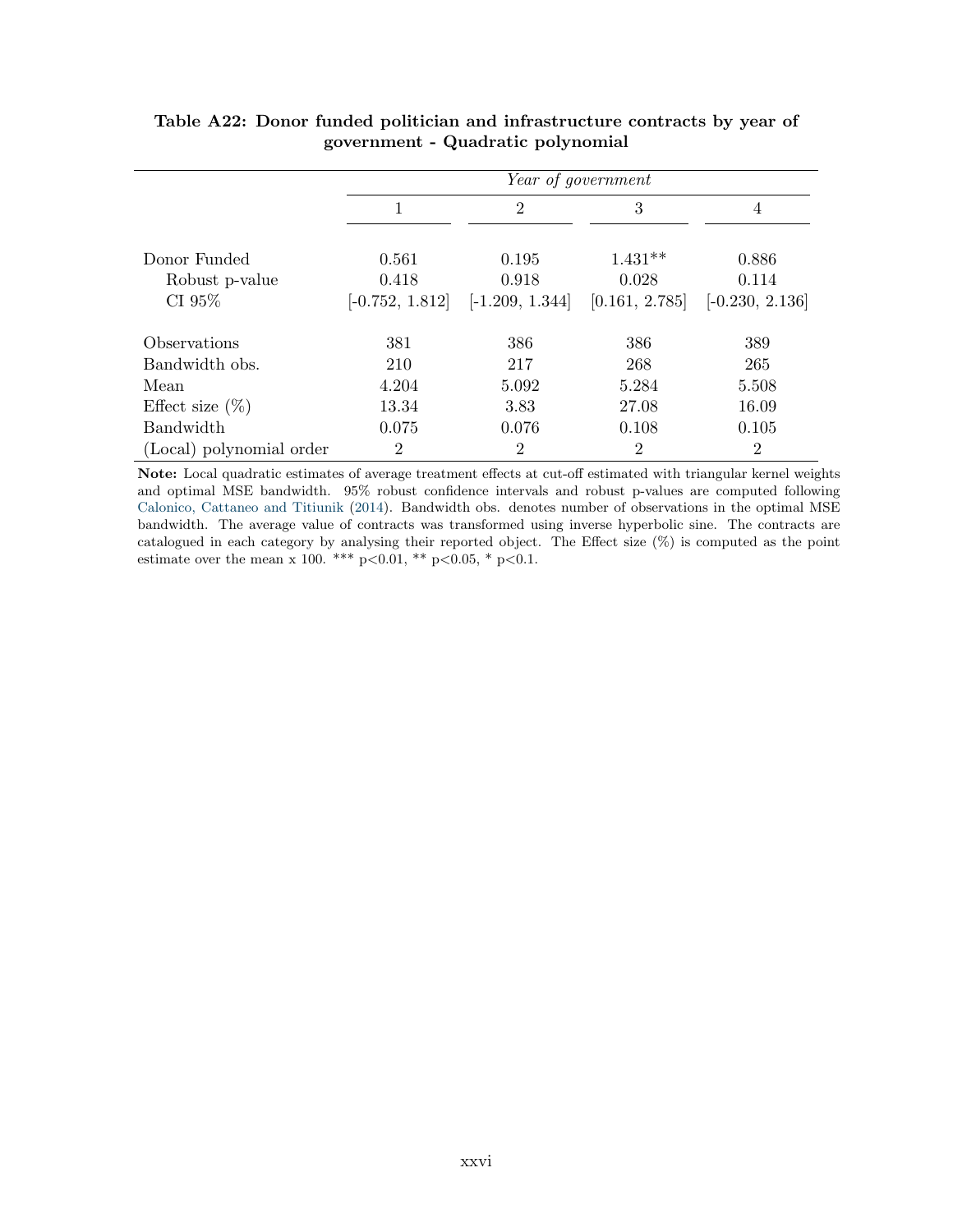|                            | Year of government |                   |                |                   |  |
|----------------------------|--------------------|-------------------|----------------|-------------------|--|
|                            | 1                  | $\overline{2}$    | 3              | 4                 |  |
| Donor Funded               | 0.561              | 0.195             | $1.431**$      | 0.886             |  |
| Robust p-value             | 0.418              | 0.918             | 0.028          | 0.114             |  |
| CI 95%                     | $[-0.752, 1.812]$  | $[-1.209, 1.344]$ | [0.161, 2.785] | $[-0.230, 2.136]$ |  |
| <i><b>Observations</b></i> | 381                | 386               | 386            | 389               |  |
| Bandwidth obs.             | 210                | 217               | 268            | 265               |  |
| Mean                       | 4.204              | 5.092             | 5.284          | 5.508             |  |
| Effect size $(\%)$         | 13.34              | 3.83              | 27.08          | 16.09             |  |
| Bandwidth                  | 0.075              | 0.076             | 0.108          | 0.105             |  |
| (Local) polynomial order   | 2                  | $\overline{2}$    | 2              | $\overline{2}$    |  |

### <span id="page-63-0"></span>Table A22: Donor funded politician and infrastructure contracts by year of government - Quadratic polynomial

Note: Local quadratic estimates of average treatment effects at cut-off estimated with triangular kernel weights and optimal MSE bandwidth. 95% robust confidence intervals and robust p-values are computed following [Calonico, Cattaneo and Titiunik](#page-33-11) [\(2014\)](#page-33-11). Bandwidth obs. denotes number of observations in the optimal MSE bandwidth. The average value of contracts was transformed using inverse hyperbolic sine. The contracts are catalogued in each category by analysing their reported object. The Effect size (%) is computed as the point estimate over the mean x 100. \*\*\* p<0.01, \*\* p<0.05, \* p<0.1.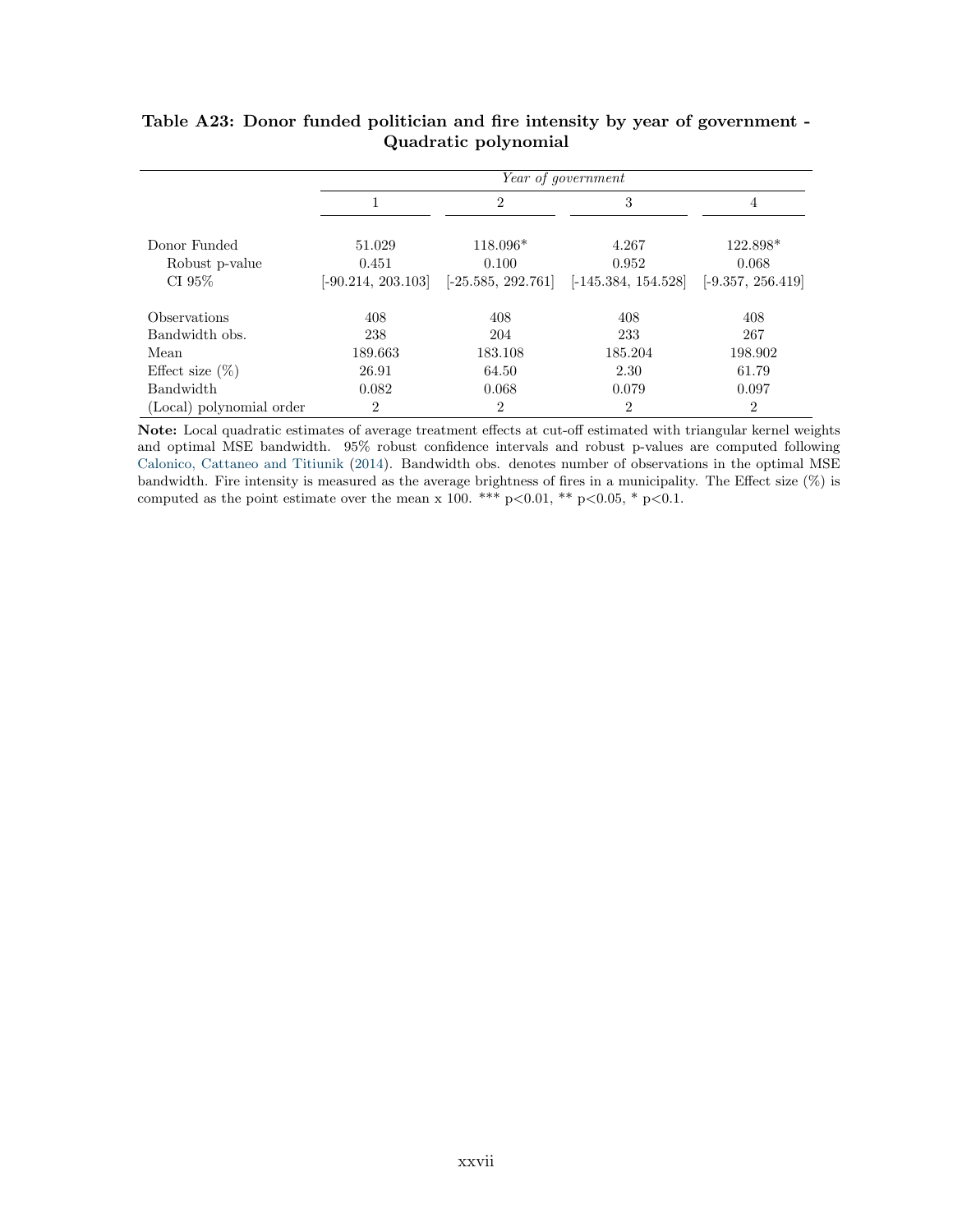|                          |                      |                      | Year of government    |                     |
|--------------------------|----------------------|----------------------|-----------------------|---------------------|
|                          | 1                    | $\overline{2}$       | 3                     | $\overline{4}$      |
| Donor Funded             | 51.029               | 118.096*             | 4.267                 | 122.898*            |
| Robust p-value           | 0.451                | 0.100                | 0.952                 | 0.068               |
| CI 95\%                  | $[-90.214, 203.103]$ | $[-25.585, 292.761]$ | $[-145.384, 154.528]$ | $[-9.357, 256.419]$ |
| Observations             | 408                  | 408                  | 408                   | 408                 |
| Bandwidth obs.           | 238                  | 204                  | 233                   | 267                 |
| Mean                     | 189.663              | 183.108              | 185.204               | 198.902             |
| Effect size $(\%)$       | 26.91                | 64.50                | 2.30                  | 61.79               |
| <b>Bandwidth</b>         | 0.082                | 0.068                | 0.079                 | 0.097               |
| (Local) polynomial order | $\overline{2}$       | $\overline{2}$       | $\overline{2}$        | $\overline{2}$      |

### <span id="page-64-0"></span>Table A23: Donor funded politician and fire intensity by year of government - Quadratic polynomial

Note: Local quadratic estimates of average treatment effects at cut-off estimated with triangular kernel weights and optimal MSE bandwidth. 95% robust confidence intervals and robust p-values are computed following [Calonico, Cattaneo and Titiunik](#page-33-11) [\(2014\)](#page-33-11). Bandwidth obs. denotes number of observations in the optimal MSE bandwidth. Fire intensity is measured as the average brightness of fires in a municipality. The Effect size (%) is computed as the point estimate over the mean x 100. \*\*\* p<0.01, \*\* p<0.05, \* p<0.1.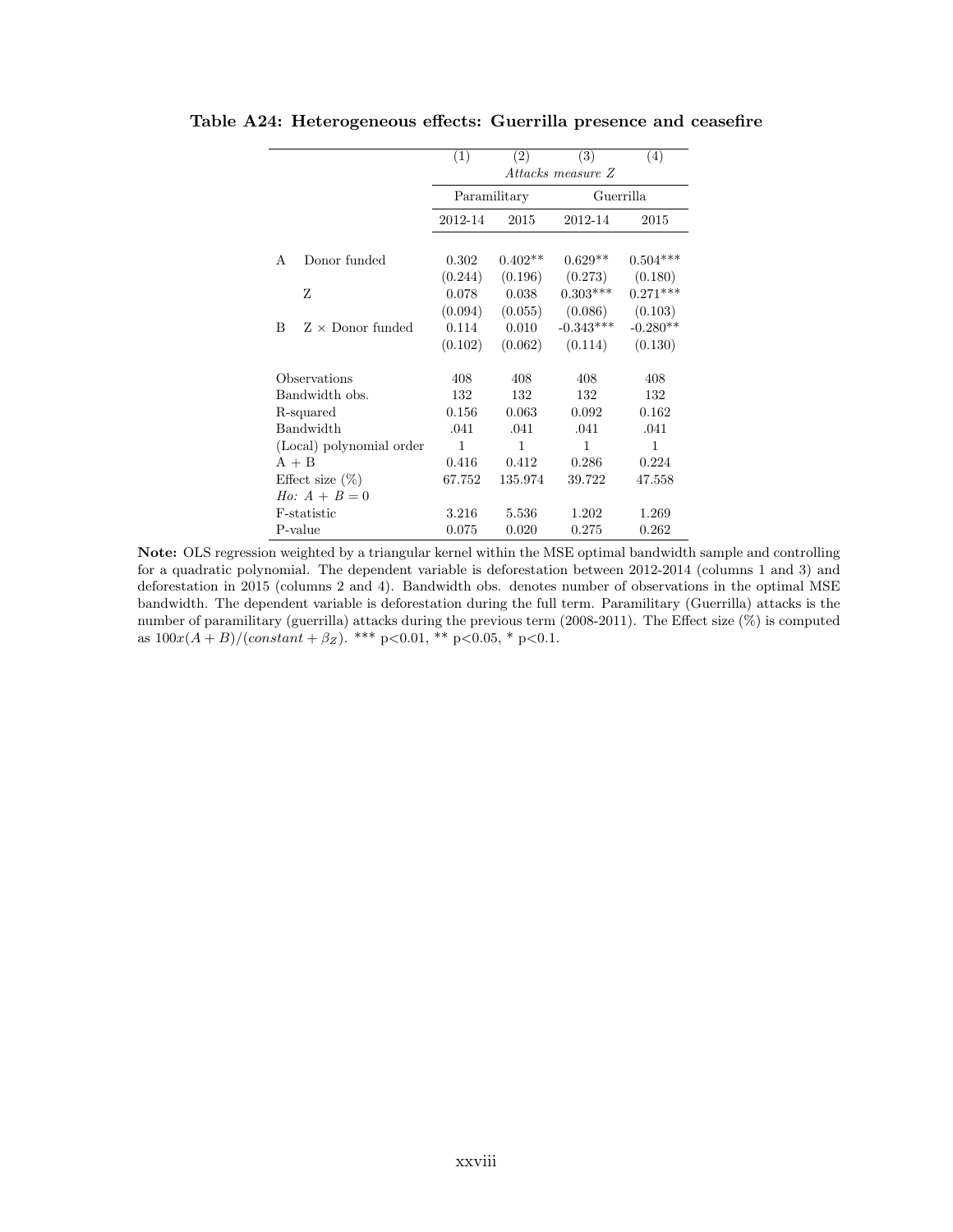|                              | (1)          | (2)          | (3)               | (4)        |  |
|------------------------------|--------------|--------------|-------------------|------------|--|
|                              |              |              | Attacks measure Z |            |  |
|                              |              | Paramilitary | Guerrilla         |            |  |
|                              | 2012-14      | 2015         | 2012-14           | 2015       |  |
|                              |              |              |                   |            |  |
| Donor funded<br>A            | 0.302        | $0.402**$    | $0.629**$         | $0.504***$ |  |
|                              | (0.244)      | (0.196)      | (0.273)           | (0.180)    |  |
| Z                            | 0.078        | 0.038        | $0.303***$        | $0.271***$ |  |
|                              | (0.094)      | (0.055)      | (0.086)           | (0.103)    |  |
| $Z \times$ Donor funded<br>B | 0.114        | 0.010        | $-0.343***$       | $-0.280**$ |  |
|                              | (0.102)      | (0.062)      | (0.114)           | (0.130)    |  |
| Observations                 | 408          | 408          | 408               | 408        |  |
| Bandwidth obs.               | 132          | 132          | 132               | 132        |  |
| R-squared                    | 0.156        | 0.063        | 0.092             | 0.162      |  |
| Bandwidth                    | .041         | .041         | .041              | .041       |  |
| (Local) polynomial order     | $\mathbf{1}$ | 1            | 1                 | 1          |  |
| $A + B$                      | 0.416        | 0.412        | 0.286             | 0.224      |  |
| Effect size $(\%)$           | 67.752       | 135.974      | 39.722            | 47.558     |  |
| $H_0$ : $A + B = 0$          |              |              |                   |            |  |
| F-statistic                  | 3.216        | 5.536        | 1.202             | 1.269      |  |
| P-value                      | 0.075        | 0.020        | 0.275             | 0.262      |  |

<span id="page-65-0"></span>Table A24: Heterogeneous effects: Guerrilla presence and ceasefire

Note: OLS regression weighted by a triangular kernel within the MSE optimal bandwidth sample and controlling for a quadratic polynomial. The dependent variable is deforestation between 2012-2014 (columns 1 and 3) and deforestation in 2015 (columns 2 and 4). Bandwidth obs. denotes number of observations in the optimal MSE bandwidth. The dependent variable is deforestation during the full term. Paramilitary (Guerrilla) attacks is the number of paramilitary (guerrilla) attacks during the previous term (2008-2011). The Effect size (%) is computed as  $100x(A+B)/(constant+\beta_Z)$ . \*\*\* p<0.01, \*\* p<0.05, \* p<0.1.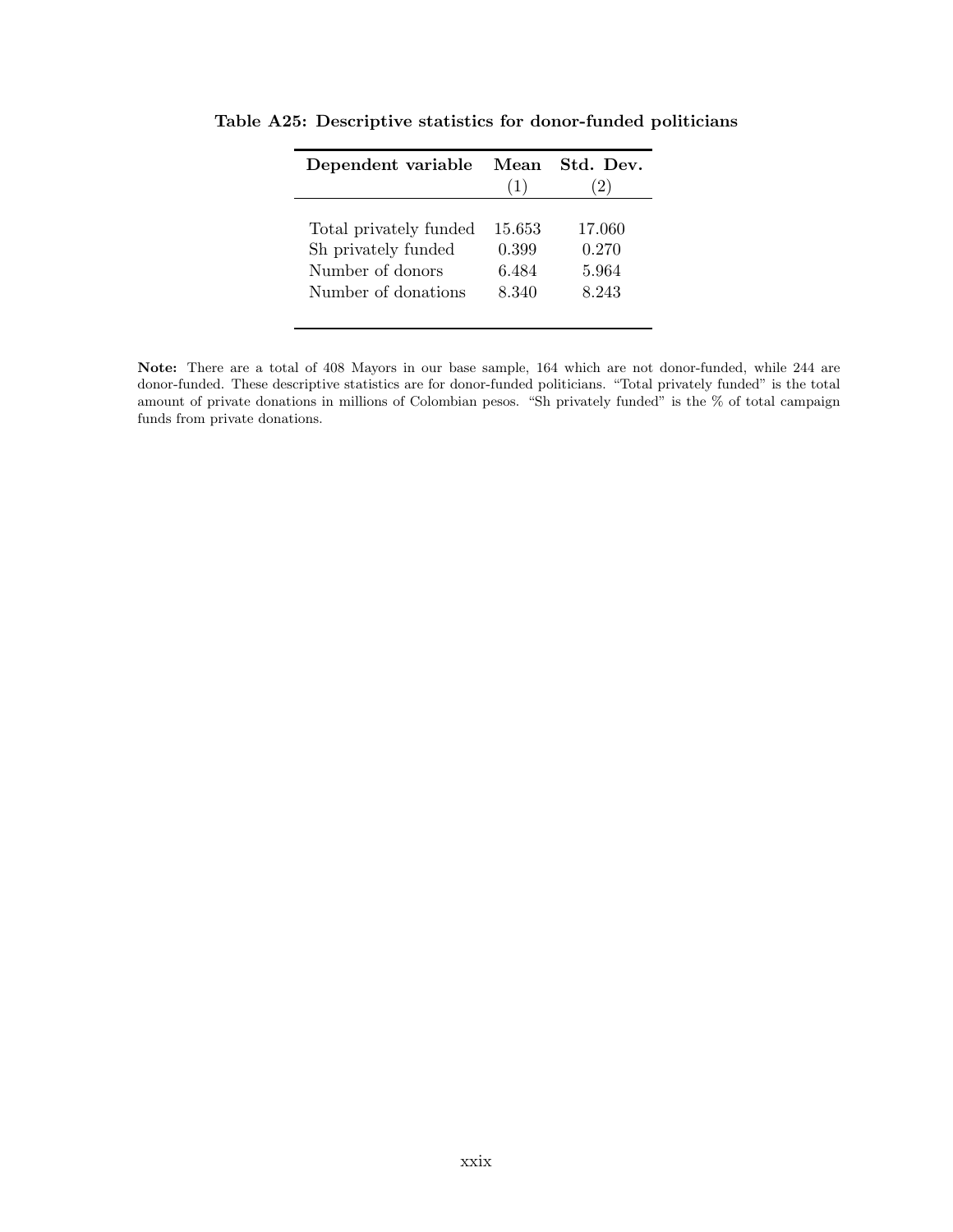| Dependent variable     | Mean<br>(1) | St.d. Dev.<br>(2) |
|------------------------|-------------|-------------------|
| Total privately funded | 15.653      | 17.060            |
| Sh privately funded    | 0.399       | 0.270             |
| Number of donors       | 6.484       | 5.964             |
| Number of donations    | 8.340       | 8.243             |

<span id="page-66-0"></span>Table A25: Descriptive statistics for donor-funded politicians

Note: There are a total of 408 Mayors in our base sample, 164 which are not donor-funded, while 244 are donor-funded. These descriptive statistics are for donor-funded politicians. "Total privately funded" is the total amount of private donations in millions of Colombian pesos. "Sh privately funded" is the % of total campaign funds from private donations.